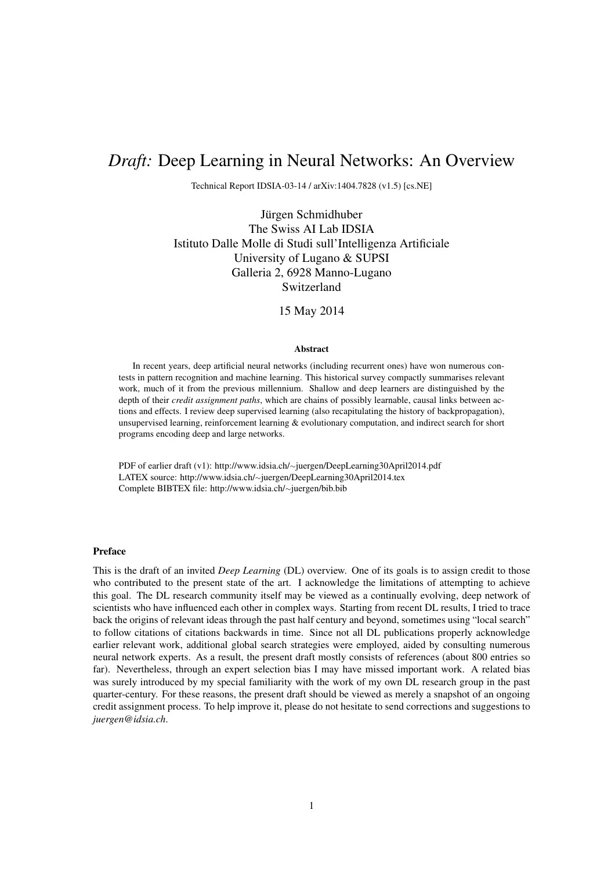# *Draft:* Deep Learning in Neural Networks: An Overview

Technical Report IDSIA-03-14 / arXiv:1404.7828 (v1.5) [cs.NE]

Jürgen Schmidhuber The Swiss AI Lab IDSIA Istituto Dalle Molle di Studi sull'Intelligenza Artificiale University of Lugano & SUPSI Galleria 2, 6928 Manno-Lugano Switzerland

### 15 May 2014

#### Abstract

In recent years, deep artificial neural networks (including recurrent ones) have won numerous contests in pattern recognition and machine learning. This historical survey compactly summarises relevant work, much of it from the previous millennium. Shallow and deep learners are distinguished by the depth of their *credit assignment paths*, which are chains of possibly learnable, causal links between actions and effects. I review deep supervised learning (also recapitulating the history of backpropagation), unsupervised learning, reinforcement learning & evolutionary computation, and indirect search for short programs encoding deep and large networks.

PDF of earlier draft (v1): http://www.idsia.ch/∼juergen/DeepLearning30April2014.pdf LATEX source: http://www.idsia.ch/∼juergen/DeepLearning30April2014.tex Complete BIBTEX file: http://www.idsia.ch/∼juergen/bib.bib

#### Preface

This is the draft of an invited *Deep Learning* (DL) overview. One of its goals is to assign credit to those who contributed to the present state of the art. I acknowledge the limitations of attempting to achieve this goal. The DL research community itself may be viewed as a continually evolving, deep network of scientists who have influenced each other in complex ways. Starting from recent DL results, I tried to trace back the origins of relevant ideas through the past half century and beyond, sometimes using "local search" to follow citations of citations backwards in time. Since not all DL publications properly acknowledge earlier relevant work, additional global search strategies were employed, aided by consulting numerous neural network experts. As a result, the present draft mostly consists of references (about 800 entries so far). Nevertheless, through an expert selection bias I may have missed important work. A related bias was surely introduced by my special familiarity with the work of my own DL research group in the past quarter-century. For these reasons, the present draft should be viewed as merely a snapshot of an ongoing credit assignment process. To help improve it, please do not hesitate to send corrections and suggestions to *juergen@idsia.ch*.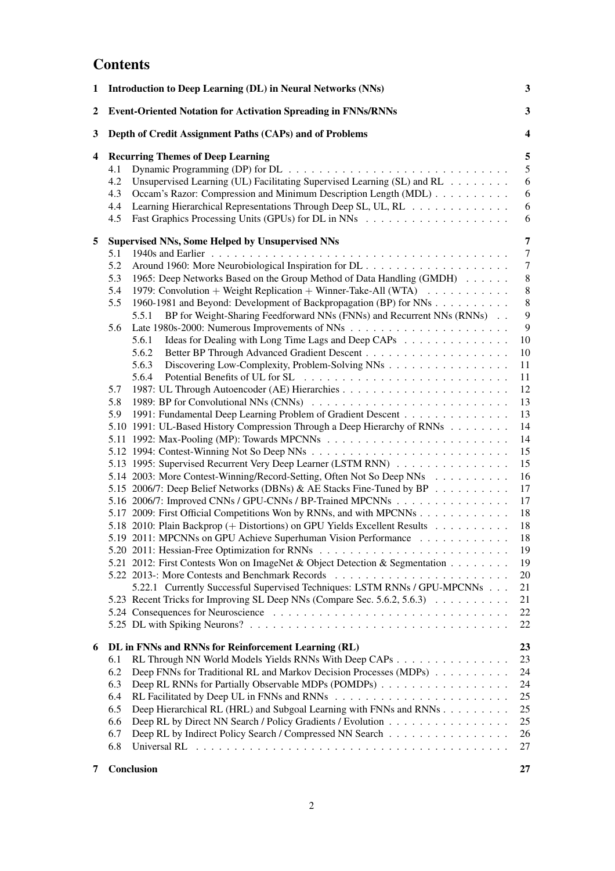# **Contents**

| 1 | <b>Introduction to Deep Learning (DL) in Neural Networks (NNs)</b>                                                                                                                                                                                                                                                                                                                                                                                                                                                                                                                                                                                                                                                                                                                                                                                                                                                                                                                                                                                                                                                                                                                                                                                                                                                                                                                                                                                                                                                  | $\mathbf{3}$                                                                                                                                                                                               |
|---|---------------------------------------------------------------------------------------------------------------------------------------------------------------------------------------------------------------------------------------------------------------------------------------------------------------------------------------------------------------------------------------------------------------------------------------------------------------------------------------------------------------------------------------------------------------------------------------------------------------------------------------------------------------------------------------------------------------------------------------------------------------------------------------------------------------------------------------------------------------------------------------------------------------------------------------------------------------------------------------------------------------------------------------------------------------------------------------------------------------------------------------------------------------------------------------------------------------------------------------------------------------------------------------------------------------------------------------------------------------------------------------------------------------------------------------------------------------------------------------------------------------------|------------------------------------------------------------------------------------------------------------------------------------------------------------------------------------------------------------|
| 2 | <b>Event-Oriented Notation for Activation Spreading in FNNs/RNNs</b>                                                                                                                                                                                                                                                                                                                                                                                                                                                                                                                                                                                                                                                                                                                                                                                                                                                                                                                                                                                                                                                                                                                                                                                                                                                                                                                                                                                                                                                | $\mathbf{3}$                                                                                                                                                                                               |
| 3 | Depth of Credit Assignment Paths (CAPs) and of Problems                                                                                                                                                                                                                                                                                                                                                                                                                                                                                                                                                                                                                                                                                                                                                                                                                                                                                                                                                                                                                                                                                                                                                                                                                                                                                                                                                                                                                                                             | 4                                                                                                                                                                                                          |
| 4 | <b>Recurring Themes of Deep Learning</b><br>4.1<br>Unsupervised Learning (UL) Facilitating Supervised Learning (SL) and RL<br>4.2<br>Occam's Razor: Compression and Minimum Description Length (MDL)<br>4.3<br>Learning Hierarchical Representations Through Deep SL, UL, RL<br>4.4<br>4.5                                                                                                                                                                                                                                                                                                                                                                                                                                                                                                                                                                                                                                                                                                                                                                                                                                                                                                                                                                                                                                                                                                                                                                                                                          | 5<br>5<br>$\sqrt{6}$<br>6<br>6<br>6                                                                                                                                                                        |
| 5 | Supervised NNs, Some Helped by Unsupervised NNs<br>5.1<br>5.2<br>5.3<br>1965: Deep Networks Based on the Group Method of Data Handling (GMDH)<br>1979: Convolution + Weight Replication + Winner-Take-All (WTA) $\dots \dots \dots$<br>5.4<br>5.5<br>1960-1981 and Beyond: Development of Backpropagation (BP) for NNs<br>BP for Weight-Sharing Feedforward NNs (FNNs) and Recurrent NNs (RNNs)<br>5.5.1<br>5.6<br>5.6.1<br>Ideas for Dealing with Long Time Lags and Deep CAPs<br>5.6.2<br>Discovering Low-Complexity, Problem-Solving NNs<br>5.6.3<br>5.6.4<br>5.7<br>1989: BP for Convolutional NNs (CNNs)<br>5.8<br>1991: Fundamental Deep Learning Problem of Gradient Descent<br>5.9<br>5.10 1991: UL-Based History Compression Through a Deep Hierarchy of RNNs<br>5.13 1995: Supervised Recurrent Very Deep Learner (LSTM RNN)<br>5.14 2003: More Contest-Winning/Record-Setting, Often Not So Deep NNs<br>5.15 2006/7: Deep Belief Networks (DBNs) & AE Stacks Fine-Tuned by BP<br>5.16 2006/7: Improved CNNs / GPU-CNNs / BP-Trained MPCNNs<br>5.17 2009: First Official Competitions Won by RNNs, and with MPCNNs<br>5.18 2010: Plain Backprop (+ Distortions) on GPU Yields Excellent Results<br>5.19 2011: MPCNNs on GPU Achieve Superhuman Vision Performance<br>5.21 2012: First Contests Won on ImageNet & Object Detection & Segmentation<br>5.22.1 Currently Successful Supervised Techniques: LSTM RNNs / GPU-MPCNNs<br>5.23 Recent Tricks for Improving SL Deep NNs (Compare Sec. 5.6.2, 5.6.3) | 7<br>$\tau$<br>$\tau$<br>$\,8\,$<br>$\,8\,$<br>$\,8\,$<br>9<br>9<br>10<br>10<br>11<br>11<br>12<br>13<br>13<br>14<br>14<br>15<br>15<br>16<br>17<br>17<br>18<br>18<br>18<br>19<br>19<br>20<br>21<br>21<br>22 |
| 6 | DL in FNNs and RNNs for Reinforcement Learning (RL)<br>RL Through NN World Models Yields RNNs With Deep CAPs<br>6.1<br>Deep FNNs for Traditional RL and Markov Decision Processes (MDPs)<br>6.2<br>Deep RL RNNs for Partially Observable MDPs (POMDPs)<br>6.3<br>6.4<br>Deep Hierarchical RL (HRL) and Subgoal Learning with FNNs and RNNs<br>6.5<br>Deep RL by Direct NN Search / Policy Gradients / Evolution<br>6.6<br>Deep RL by Indirect Policy Search / Compressed NN Search<br>6.7<br>6.8<br>Universal RL $\dots \dots \dots \dots \dots \dots \dots \dots \dots \dots \dots \dots \dots \dots \dots \dots$                                                                                                                                                                                                                                                                                                                                                                                                                                                                                                                                                                                                                                                                                                                                                                                                                                                                                                  | 22<br>23<br>23<br>24<br>24<br>25<br>25<br>25<br>26<br>27                                                                                                                                                   |
| 7 | Conclusion                                                                                                                                                                                                                                                                                                                                                                                                                                                                                                                                                                                                                                                                                                                                                                                                                                                                                                                                                                                                                                                                                                                                                                                                                                                                                                                                                                                                                                                                                                          | 27                                                                                                                                                                                                         |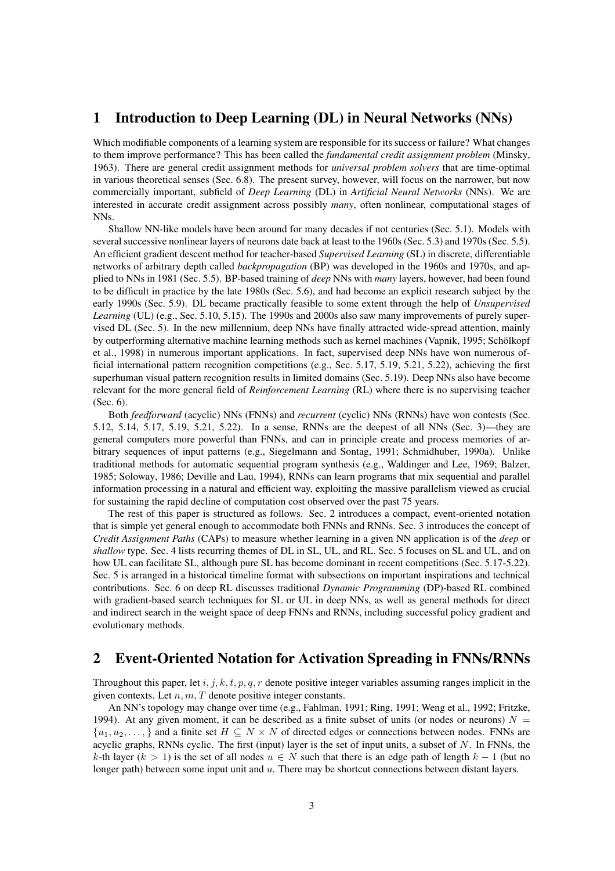## 1 Introduction to Deep Learning (DL) in Neural Networks (NNs)

Which modifiable components of a learning system are responsible for its success or failure? What changes to them improve performance? This has been called the *fundamental credit assignment problem* (Minsky, 1963). There are general credit assignment methods for *universal problem solvers* that are time-optimal in various theoretical senses (Sec. 6.8). The present survey, however, will focus on the narrower, but now commercially important, subfield of *Deep Learning* (DL) in *Artificial Neural Networks* (NNs). We are interested in accurate credit assignment across possibly *many*, often nonlinear, computational stages of NNs.

Shallow NN-like models have been around for many decades if not centuries (Sec. 5.1). Models with several successive nonlinear layers of neurons date back at least to the 1960s (Sec. 5.3) and 1970s (Sec. 5.5). An efficient gradient descent method for teacher-based *Supervised Learning* (SL) in discrete, differentiable networks of arbitrary depth called *backpropagation* (BP) was developed in the 1960s and 1970s, and applied to NNs in 1981 (Sec. 5.5). BP-based training of *deep* NNs with *many* layers, however, had been found to be difficult in practice by the late 1980s (Sec. 5.6), and had become an explicit research subject by the early 1990s (Sec. 5.9). DL became practically feasible to some extent through the help of *Unsupervised Learning* (UL) (e.g., Sec. 5.10, 5.15). The 1990s and 2000s also saw many improvements of purely supervised DL (Sec. 5). In the new millennium, deep NNs have finally attracted wide-spread attention, mainly by outperforming alternative machine learning methods such as kernel machines (Vapnik, 1995; Schölkopf et al., 1998) in numerous important applications. In fact, supervised deep NNs have won numerous official international pattern recognition competitions (e.g., Sec. 5.17, 5.19, 5.21, 5.22), achieving the first superhuman visual pattern recognition results in limited domains (Sec. 5.19). Deep NNs also have become relevant for the more general field of *Reinforcement Learning* (RL) where there is no supervising teacher (Sec. 6).

Both *feedforward* (acyclic) NNs (FNNs) and *recurrent* (cyclic) NNs (RNNs) have won contests (Sec. 5.12, 5.14, 5.17, 5.19, 5.21, 5.22). In a sense, RNNs are the deepest of all NNs (Sec. 3)—they are general computers more powerful than FNNs, and can in principle create and process memories of arbitrary sequences of input patterns (e.g., Siegelmann and Sontag, 1991; Schmidhuber, 1990a). Unlike traditional methods for automatic sequential program synthesis (e.g., Waldinger and Lee, 1969; Balzer, 1985; Soloway, 1986; Deville and Lau, 1994), RNNs can learn programs that mix sequential and parallel information processing in a natural and efficient way, exploiting the massive parallelism viewed as crucial for sustaining the rapid decline of computation cost observed over the past 75 years.

The rest of this paper is structured as follows. Sec. 2 introduces a compact, event-oriented notation that is simple yet general enough to accommodate both FNNs and RNNs. Sec. 3 introduces the concept of *Credit Assignment Paths* (CAPs) to measure whether learning in a given NN application is of the *deep* or *shallow* type. Sec. 4 lists recurring themes of DL in SL, UL, and RL. Sec. 5 focuses on SL and UL, and on how UL can facilitate SL, although pure SL has become dominant in recent competitions (Sec. 5.17-5.22). Sec. 5 is arranged in a historical timeline format with subsections on important inspirations and technical contributions. Sec. 6 on deep RL discusses traditional *Dynamic Programming* (DP)-based RL combined with gradient-based search techniques for SL or UL in deep NNs, as well as general methods for direct and indirect search in the weight space of deep FNNs and RNNs, including successful policy gradient and evolutionary methods.

## 2 Event-Oriented Notation for Activation Spreading in FNNs/RNNs

Throughout this paper, let i, j, k, t, p, q, r denote positive integer variables assuming ranges implicit in the given contexts. Let  $n, m, T$  denote positive integer constants.

An NN's topology may change over time (e.g., Fahlman, 1991; Ring, 1991; Weng et al., 1992; Fritzke, 1994). At any given moment, it can be described as a finite subset of units (or nodes or neurons)  $N =$  $\{u_1, u_2, \ldots\}$  and a finite set  $H \subseteq N \times N$  of directed edges or connections between nodes. FNNs are acyclic graphs, RNNs cyclic. The first (input) layer is the set of input units, a subset of  $N$ . In FNNs, the k-th layer (k > 1) is the set of all nodes  $u \in N$  such that there is an edge path of length  $k - 1$  (but no longer path) between some input unit and u. There may be shortcut connections between distant layers.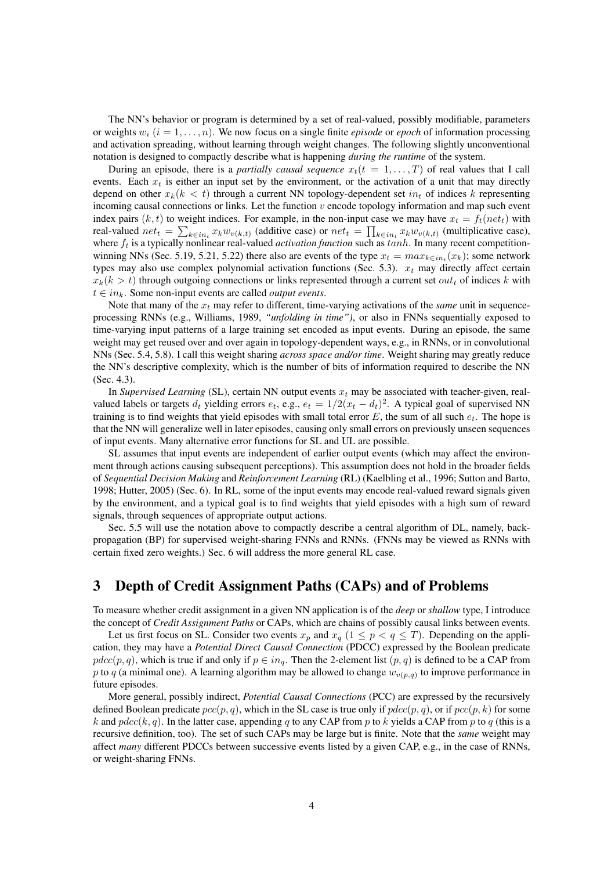The NN's behavior or program is determined by a set of real-valued, possibly modifiable, parameters or weights  $w_i$  ( $i = 1, \ldots, n$ ). We now focus on a single finite *episode* or *epoch* of information processing and activation spreading, without learning through weight changes. The following slightly unconventional notation is designed to compactly describe what is happening *during the runtime* of the system.

During an episode, there is a *partially causal sequence*  $x_t(t = 1, \ldots, T)$  of real values that I call events. Each  $x_t$  is either an input set by the environment, or the activation of a unit that may directly depend on other  $x_k(k < t)$  through a current NN topology-dependent set  $in_t$  of indices k representing incoming causal connections or links. Let the function  $v$  encode topology information and map such event index pairs  $(k, t)$  to weight indices. For example, in the non-input case we may have  $x_t = f_t(net_t)$  with real-valued  $net_t = \sum_{k \in in_t} x_k w_{v(k,t)}$  (additive case) or  $net_t = \prod_{k \in in_t} x_k w_{v(k,t)}$  (multiplicative case), where  $f_t$  is a typically nonlinear real-valued *activation function* such as  $tanh$ . In many recent competitionwinning NNs (Sec. 5.19, 5.21, 5.22) there also are events of the type  $x_t = max_{k \in in_t}(x_k)$ ; some network types may also use complex polynomial activation functions (Sec. 5.3).  $x_t$  may directly affect certain  $x_k(k > t)$  through outgoing connections or links represented through a current set *out<sub>t</sub>* of indices k with  $t \in in_k$ . Some non-input events are called *output events*.

Note that many of the  $x_t$  may refer to different, time-varying activations of the *same* unit in sequenceprocessing RNNs (e.g., Williams, 1989, *"unfolding in time")*, or also in FNNs sequentially exposed to time-varying input patterns of a large training set encoded as input events. During an episode, the same weight may get reused over and over again in topology-dependent ways, e.g., in RNNs, or in convolutional NNs (Sec. 5.4, 5.8). I call this weight sharing *across space and/or time*. Weight sharing may greatly reduce the NN's descriptive complexity, which is the number of bits of information required to describe the NN (Sec. 4.3).

In *Supervised Learning* (SL), certain NN output events  $x_t$  may be associated with teacher-given, realvalued labels or targets  $d_t$  yielding errors  $e_t$ , e.g.,  $e_t = 1/2(x_t - d_t)^2$ . A typical goal of supervised NN training is to find weights that yield episodes with small total error  $E$ , the sum of all such  $e_t$ . The hope is that the NN will generalize well in later episodes, causing only small errors on previously unseen sequences of input events. Many alternative error functions for SL and UL are possible.

SL assumes that input events are independent of earlier output events (which may affect the environment through actions causing subsequent perceptions). This assumption does not hold in the broader fields of *Sequential Decision Making* and *Reinforcement Learning* (RL) (Kaelbling et al., 1996; Sutton and Barto, 1998; Hutter, 2005) (Sec. 6). In RL, some of the input events may encode real-valued reward signals given by the environment, and a typical goal is to find weights that yield episodes with a high sum of reward signals, through sequences of appropriate output actions.

Sec. 5.5 will use the notation above to compactly describe a central algorithm of DL, namely, backpropagation (BP) for supervised weight-sharing FNNs and RNNs. (FNNs may be viewed as RNNs with certain fixed zero weights.) Sec. 6 will address the more general RL case.

## 3 Depth of Credit Assignment Paths (CAPs) and of Problems

To measure whether credit assignment in a given NN application is of the *deep* or *shallow* type, I introduce the concept of *Credit Assignment Paths* or CAPs, which are chains of possibly causal links between events.

Let us first focus on SL. Consider two events  $x_p$  and  $x_q$   $(1 \leq p < q \leq T)$ . Depending on the application, they may have a *Potential Direct Causal Connection* (PDCC) expressed by the Boolean predicate  $pdec(p, q)$ , which is true if and only if  $p \in in_q$ . Then the 2-element list  $(p, q)$  is defined to be a CAP from p to q (a minimal one). A learning algorithm may be allowed to change  $w_{v(p,q)}$  to improve performance in future episodes.

More general, possibly indirect, *Potential Causal Connections* (PCC) are expressed by the recursively defined Boolean predicate  $pcc(p, q)$ , which in the SL case is true only if  $pdc(p, q)$ , or if  $pcc(p, k)$  for some k and  $pdec(k, q)$ . In the latter case, appending q to any CAP from p to k yields a CAP from p to q (this is a recursive definition, too). The set of such CAPs may be large but is finite. Note that the *same* weight may affect *many* different PDCCs between successive events listed by a given CAP, e.g., in the case of RNNs, or weight-sharing FNNs.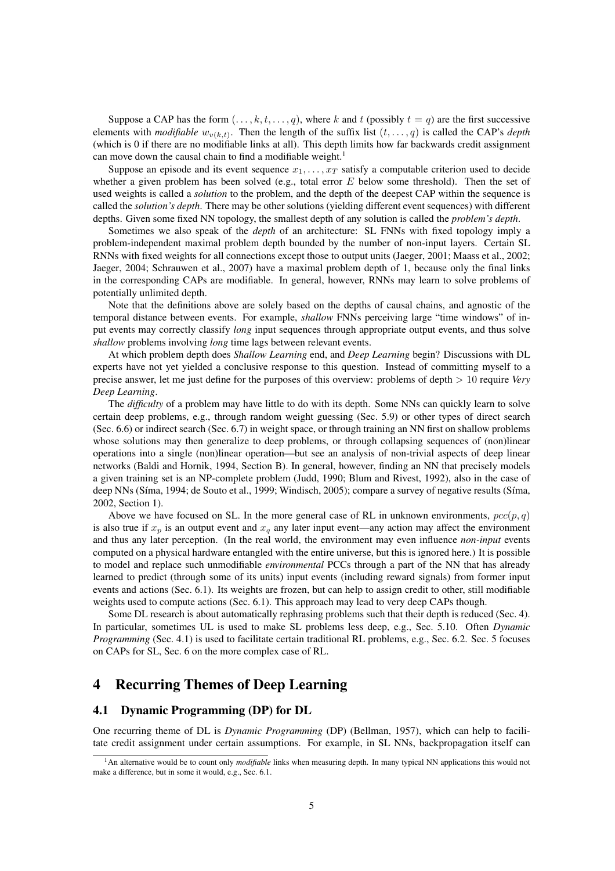Suppose a CAP has the form  $(\ldots, k, t, \ldots, q)$ , where k and t (possibly  $t = q$ ) are the first successive elements with *modifiable*  $w_{v(k,t)}$ . Then the length of the suffix list  $(t, \ldots, q)$  is called the CAP's *depth* (which is 0 if there are no modifiable links at all). This depth limits how far backwards credit assignment can move down the causal chain to find a modifiable weight.<sup>1</sup>

Suppose an episode and its event sequence  $x_1, \ldots, x_T$  satisfy a computable criterion used to decide whether a given problem has been solved (e.g., total error  $E$  below some threshold). Then the set of used weights is called a *solution* to the problem, and the depth of the deepest CAP within the sequence is called the *solution's depth*. There may be other solutions (yielding different event sequences) with different depths. Given some fixed NN topology, the smallest depth of any solution is called the *problem's depth*.

Sometimes we also speak of the *depth* of an architecture: SL FNNs with fixed topology imply a problem-independent maximal problem depth bounded by the number of non-input layers. Certain SL RNNs with fixed weights for all connections except those to output units (Jaeger, 2001; Maass et al., 2002; Jaeger, 2004; Schrauwen et al., 2007) have a maximal problem depth of 1, because only the final links in the corresponding CAPs are modifiable. In general, however, RNNs may learn to solve problems of potentially unlimited depth.

Note that the definitions above are solely based on the depths of causal chains, and agnostic of the temporal distance between events. For example, *shallow* FNNs perceiving large "time windows" of input events may correctly classify *long* input sequences through appropriate output events, and thus solve *shallow* problems involving *long* time lags between relevant events.

At which problem depth does *Shallow Learning* end, and *Deep Learning* begin? Discussions with DL experts have not yet yielded a conclusive response to this question. Instead of committing myself to a precise answer, let me just define for the purposes of this overview: problems of depth > 10 require *Very Deep Learning*.

The *difficulty* of a problem may have little to do with its depth. Some NNs can quickly learn to solve certain deep problems, e.g., through random weight guessing (Sec. 5.9) or other types of direct search (Sec. 6.6) or indirect search (Sec. 6.7) in weight space, or through training an NN first on shallow problems whose solutions may then generalize to deep problems, or through collapsing sequences of (non)linear operations into a single (non)linear operation—but see an analysis of non-trivial aspects of deep linear networks (Baldi and Hornik, 1994, Section B). In general, however, finding an NN that precisely models a given training set is an NP-complete problem (Judd, 1990; Blum and Rivest, 1992), also in the case of deep NNs (Síma, 1994; de Souto et al., 1999; Windisch, 2005); compare a survey of negative results (Síma, 2002, Section 1).

Above we have focused on SL. In the more general case of RL in unknown environments,  $pcc(p, q)$ is also true if  $x_p$  is an output event and  $x_q$  any later input event—any action may affect the environment and thus any later perception. (In the real world, the environment may even influence *non-input* events computed on a physical hardware entangled with the entire universe, but this is ignored here.) It is possible to model and replace such unmodifiable *environmental* PCCs through a part of the NN that has already learned to predict (through some of its units) input events (including reward signals) from former input events and actions (Sec. 6.1). Its weights are frozen, but can help to assign credit to other, still modifiable weights used to compute actions (Sec. 6.1). This approach may lead to very deep CAPs though.

Some DL research is about automatically rephrasing problems such that their depth is reduced (Sec. 4). In particular, sometimes UL is used to make SL problems less deep, e.g., Sec. 5.10. Often *Dynamic Programming* (Sec. 4.1) is used to facilitate certain traditional RL problems, e.g., Sec. 6.2. Sec. 5 focuses on CAPs for SL, Sec. 6 on the more complex case of RL.

## 4 Recurring Themes of Deep Learning

### 4.1 Dynamic Programming (DP) for DL

One recurring theme of DL is *Dynamic Programming* (DP) (Bellman, 1957), which can help to facilitate credit assignment under certain assumptions. For example, in SL NNs, backpropagation itself can

<sup>&</sup>lt;sup>1</sup>An alternative would be to count only *modifiable* links when measuring depth. In many typical NN applications this would not make a difference, but in some it would, e.g., Sec. 6.1.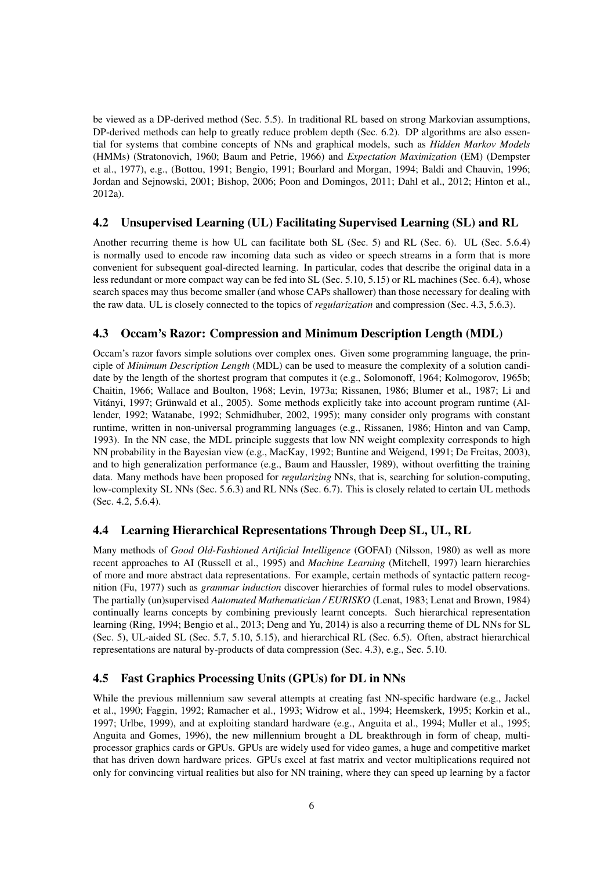be viewed as a DP-derived method (Sec. 5.5). In traditional RL based on strong Markovian assumptions, DP-derived methods can help to greatly reduce problem depth (Sec. 6.2). DP algorithms are also essential for systems that combine concepts of NNs and graphical models, such as *Hidden Markov Models* (HMMs) (Stratonovich, 1960; Baum and Petrie, 1966) and *Expectation Maximization* (EM) (Dempster et al., 1977), e.g., (Bottou, 1991; Bengio, 1991; Bourlard and Morgan, 1994; Baldi and Chauvin, 1996; Jordan and Sejnowski, 2001; Bishop, 2006; Poon and Domingos, 2011; Dahl et al., 2012; Hinton et al., 2012a).

### 4.2 Unsupervised Learning (UL) Facilitating Supervised Learning (SL) and RL

Another recurring theme is how UL can facilitate both SL (Sec. 5) and RL (Sec. 6). UL (Sec. 5.6.4) is normally used to encode raw incoming data such as video or speech streams in a form that is more convenient for subsequent goal-directed learning. In particular, codes that describe the original data in a less redundant or more compact way can be fed into SL (Sec. 5.10, 5.15) or RL machines (Sec. 6.4), whose search spaces may thus become smaller (and whose CAPs shallower) than those necessary for dealing with the raw data. UL is closely connected to the topics of *regularization* and compression (Sec. 4.3, 5.6.3).

## 4.3 Occam's Razor: Compression and Minimum Description Length (MDL)

Occam's razor favors simple solutions over complex ones. Given some programming language, the principle of *Minimum Description Length* (MDL) can be used to measure the complexity of a solution candidate by the length of the shortest program that computes it (e.g., Solomonoff, 1964; Kolmogorov, 1965b; Chaitin, 1966; Wallace and Boulton, 1968; Levin, 1973a; Rissanen, 1986; Blumer et al., 1987; Li and Vitányi, 1997; Grünwald et al., 2005). Some methods explicitly take into account program runtime (Allender, 1992; Watanabe, 1992; Schmidhuber, 2002, 1995); many consider only programs with constant runtime, written in non-universal programming languages (e.g., Rissanen, 1986; Hinton and van Camp, 1993). In the NN case, the MDL principle suggests that low NN weight complexity corresponds to high NN probability in the Bayesian view (e.g., MacKay, 1992; Buntine and Weigend, 1991; De Freitas, 2003), and to high generalization performance (e.g., Baum and Haussler, 1989), without overfitting the training data. Many methods have been proposed for *regularizing* NNs, that is, searching for solution-computing, low-complexity SL NNs (Sec. 5.6.3) and RL NNs (Sec. 6.7). This is closely related to certain UL methods (Sec. 4.2, 5.6.4).

### 4.4 Learning Hierarchical Representations Through Deep SL, UL, RL

Many methods of *Good Old-Fashioned Artificial Intelligence* (GOFAI) (Nilsson, 1980) as well as more recent approaches to AI (Russell et al., 1995) and *Machine Learning* (Mitchell, 1997) learn hierarchies of more and more abstract data representations. For example, certain methods of syntactic pattern recognition (Fu, 1977) such as *grammar induction* discover hierarchies of formal rules to model observations. The partially (un)supervised *Automated Mathematician / EURISKO* (Lenat, 1983; Lenat and Brown, 1984) continually learns concepts by combining previously learnt concepts. Such hierarchical representation learning (Ring, 1994; Bengio et al., 2013; Deng and Yu, 2014) is also a recurring theme of DL NNs for SL (Sec. 5), UL-aided SL (Sec. 5.7, 5.10, 5.15), and hierarchical RL (Sec. 6.5). Often, abstract hierarchical representations are natural by-products of data compression (Sec. 4.3), e.g., Sec. 5.10.

## 4.5 Fast Graphics Processing Units (GPUs) for DL in NNs

While the previous millennium saw several attempts at creating fast NN-specific hardware (e.g., Jackel et al., 1990; Faggin, 1992; Ramacher et al., 1993; Widrow et al., 1994; Heemskerk, 1995; Korkin et al., 1997; Urlbe, 1999), and at exploiting standard hardware (e.g., Anguita et al., 1994; Muller et al., 1995; Anguita and Gomes, 1996), the new millennium brought a DL breakthrough in form of cheap, multiprocessor graphics cards or GPUs. GPUs are widely used for video games, a huge and competitive market that has driven down hardware prices. GPUs excel at fast matrix and vector multiplications required not only for convincing virtual realities but also for NN training, where they can speed up learning by a factor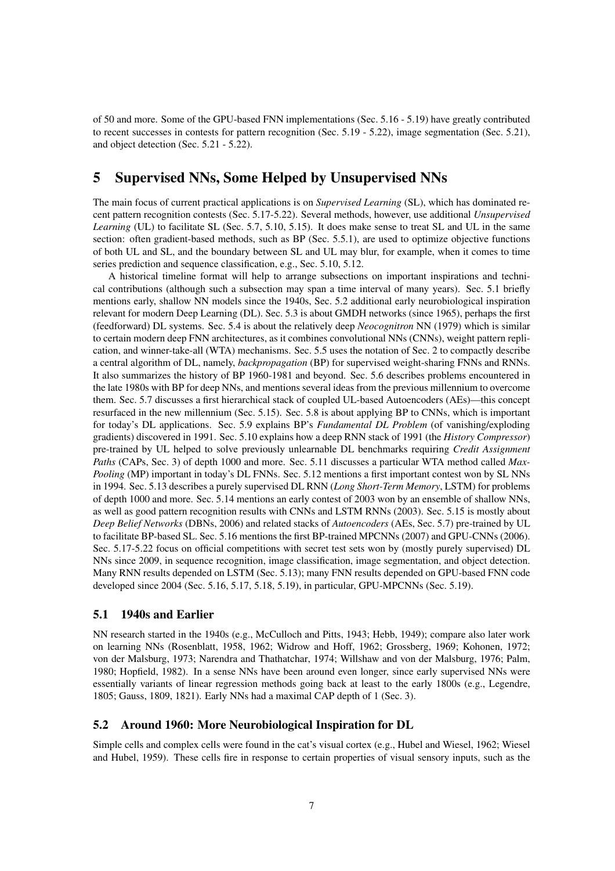of 50 and more. Some of the GPU-based FNN implementations (Sec. 5.16 - 5.19) have greatly contributed to recent successes in contests for pattern recognition (Sec. 5.19 - 5.22), image segmentation (Sec. 5.21), and object detection (Sec. 5.21 - 5.22).

## 5 Supervised NNs, Some Helped by Unsupervised NNs

The main focus of current practical applications is on *Supervised Learning* (SL), which has dominated recent pattern recognition contests (Sec. 5.17-5.22). Several methods, however, use additional *Unsupervised Learning* (UL) to facilitate SL (Sec. 5.7, 5.10, 5.15). It does make sense to treat SL and UL in the same section: often gradient-based methods, such as BP (Sec. 5.5.1), are used to optimize objective functions of both UL and SL, and the boundary between SL and UL may blur, for example, when it comes to time series prediction and sequence classification, e.g., Sec. 5.10, 5.12.

A historical timeline format will help to arrange subsections on important inspirations and technical contributions (although such a subsection may span a time interval of many years). Sec. 5.1 briefly mentions early, shallow NN models since the 1940s, Sec. 5.2 additional early neurobiological inspiration relevant for modern Deep Learning (DL). Sec. 5.3 is about GMDH networks (since 1965), perhaps the first (feedforward) DL systems. Sec. 5.4 is about the relatively deep *Neocognitron* NN (1979) which is similar to certain modern deep FNN architectures, as it combines convolutional NNs (CNNs), weight pattern replication, and winner-take-all (WTA) mechanisms. Sec. 5.5 uses the notation of Sec. 2 to compactly describe a central algorithm of DL, namely, *backpropagation* (BP) for supervised weight-sharing FNNs and RNNs. It also summarizes the history of BP 1960-1981 and beyond. Sec. 5.6 describes problems encountered in the late 1980s with BP for deep NNs, and mentions several ideas from the previous millennium to overcome them. Sec. 5.7 discusses a first hierarchical stack of coupled UL-based Autoencoders (AEs)—this concept resurfaced in the new millennium (Sec. 5.15). Sec. 5.8 is about applying BP to CNNs, which is important for today's DL applications. Sec. 5.9 explains BP's *Fundamental DL Problem* (of vanishing/exploding gradients) discovered in 1991. Sec. 5.10 explains how a deep RNN stack of 1991 (the *History Compressor*) pre-trained by UL helped to solve previously unlearnable DL benchmarks requiring *Credit Assignment Paths* (CAPs, Sec. 3) of depth 1000 and more. Sec. 5.11 discusses a particular WTA method called *Max-Pooling* (MP) important in today's DL FNNs. Sec. 5.12 mentions a first important contest won by SL NNs in 1994. Sec. 5.13 describes a purely supervised DL RNN (*Long Short-Term Memory*, LSTM) for problems of depth 1000 and more. Sec. 5.14 mentions an early contest of 2003 won by an ensemble of shallow NNs, as well as good pattern recognition results with CNNs and LSTM RNNs (2003). Sec. 5.15 is mostly about *Deep Belief Networks* (DBNs, 2006) and related stacks of *Autoencoders* (AEs, Sec. 5.7) pre-trained by UL to facilitate BP-based SL. Sec. 5.16 mentions the first BP-trained MPCNNs (2007) and GPU-CNNs (2006). Sec. 5.17-5.22 focus on official competitions with secret test sets won by (mostly purely supervised) DL NNs since 2009, in sequence recognition, image classification, image segmentation, and object detection. Many RNN results depended on LSTM (Sec. 5.13); many FNN results depended on GPU-based FNN code developed since 2004 (Sec. 5.16, 5.17, 5.18, 5.19), in particular, GPU-MPCNNs (Sec. 5.19).

### 5.1 1940s and Earlier

NN research started in the 1940s (e.g., McCulloch and Pitts, 1943; Hebb, 1949); compare also later work on learning NNs (Rosenblatt, 1958, 1962; Widrow and Hoff, 1962; Grossberg, 1969; Kohonen, 1972; von der Malsburg, 1973; Narendra and Thathatchar, 1974; Willshaw and von der Malsburg, 1976; Palm, 1980; Hopfield, 1982). In a sense NNs have been around even longer, since early supervised NNs were essentially variants of linear regression methods going back at least to the early 1800s (e.g., Legendre, 1805; Gauss, 1809, 1821). Early NNs had a maximal CAP depth of 1 (Sec. 3).

### 5.2 Around 1960: More Neurobiological Inspiration for DL

Simple cells and complex cells were found in the cat's visual cortex (e.g., Hubel and Wiesel, 1962; Wiesel and Hubel, 1959). These cells fire in response to certain properties of visual sensory inputs, such as the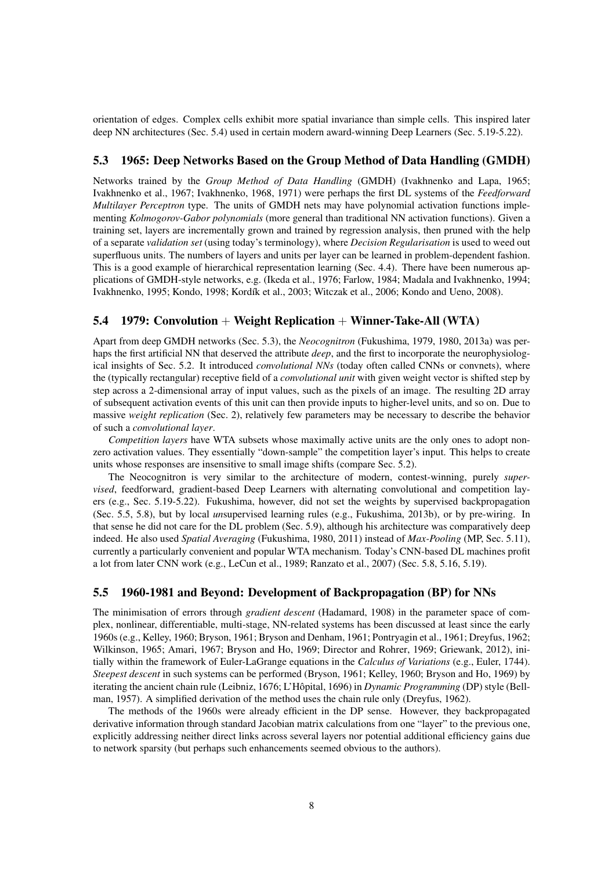orientation of edges. Complex cells exhibit more spatial invariance than simple cells. This inspired later deep NN architectures (Sec. 5.4) used in certain modern award-winning Deep Learners (Sec. 5.19-5.22).

### 5.3 1965: Deep Networks Based on the Group Method of Data Handling (GMDH)

Networks trained by the *Group Method of Data Handling* (GMDH) (Ivakhnenko and Lapa, 1965; Ivakhnenko et al., 1967; Ivakhnenko, 1968, 1971) were perhaps the first DL systems of the *Feedforward Multilayer Perceptron* type. The units of GMDH nets may have polynomial activation functions implementing *Kolmogorov-Gabor polynomials* (more general than traditional NN activation functions). Given a training set, layers are incrementally grown and trained by regression analysis, then pruned with the help of a separate *validation set* (using today's terminology), where *Decision Regularisation* is used to weed out superfluous units. The numbers of layers and units per layer can be learned in problem-dependent fashion. This is a good example of hierarchical representation learning (Sec. 4.4). There have been numerous applications of GMDH-style networks, e.g. (Ikeda et al., 1976; Farlow, 1984; Madala and Ivakhnenko, 1994; Ivakhnenko, 1995; Kondo, 1998; Kordík et al., 2003; Witczak et al., 2006; Kondo and Ueno, 2008).

### 5.4 1979: Convolution + Weight Replication + Winner-Take-All (WTA)

Apart from deep GMDH networks (Sec. 5.3), the *Neocognitron* (Fukushima, 1979, 1980, 2013a) was perhaps the first artificial NN that deserved the attribute *deep*, and the first to incorporate the neurophysiological insights of Sec. 5.2. It introduced *convolutional NNs* (today often called CNNs or convnets), where the (typically rectangular) receptive field of a *convolutional unit* with given weight vector is shifted step by step across a 2-dimensional array of input values, such as the pixels of an image. The resulting 2D array of subsequent activation events of this unit can then provide inputs to higher-level units, and so on. Due to massive *weight replication* (Sec. 2), relatively few parameters may be necessary to describe the behavior of such a *convolutional layer*.

*Competition layers* have WTA subsets whose maximally active units are the only ones to adopt nonzero activation values. They essentially "down-sample" the competition layer's input. This helps to create units whose responses are insensitive to small image shifts (compare Sec. 5.2).

The Neocognitron is very similar to the architecture of modern, contest-winning, purely *supervised*, feedforward, gradient-based Deep Learners with alternating convolutional and competition layers (e.g., Sec. 5.19-5.22). Fukushima, however, did not set the weights by supervised backpropagation (Sec. 5.5, 5.8), but by local *un*supervised learning rules (e.g., Fukushima, 2013b), or by pre-wiring. In that sense he did not care for the DL problem (Sec. 5.9), although his architecture was comparatively deep indeed. He also used *Spatial Averaging* (Fukushima, 1980, 2011) instead of *Max-Pooling* (MP, Sec. 5.11), currently a particularly convenient and popular WTA mechanism. Today's CNN-based DL machines profit a lot from later CNN work (e.g., LeCun et al., 1989; Ranzato et al., 2007) (Sec. 5.8, 5.16, 5.19).

### 5.5 1960-1981 and Beyond: Development of Backpropagation (BP) for NNs

The minimisation of errors through *gradient descent* (Hadamard, 1908) in the parameter space of complex, nonlinear, differentiable, multi-stage, NN-related systems has been discussed at least since the early 1960s (e.g., Kelley, 1960; Bryson, 1961; Bryson and Denham, 1961; Pontryagin et al., 1961; Dreyfus, 1962; Wilkinson, 1965; Amari, 1967; Bryson and Ho, 1969; Director and Rohrer, 1969; Griewank, 2012), initially within the framework of Euler-LaGrange equations in the *Calculus of Variations* (e.g., Euler, 1744). *Steepest descent* in such systems can be performed (Bryson, 1961; Kelley, 1960; Bryson and Ho, 1969) by iterating the ancient chain rule (Leibniz, 1676; L'Hôpital, 1696) in *Dynamic Programming* (DP) style (Bellman, 1957). A simplified derivation of the method uses the chain rule only (Dreyfus, 1962).

The methods of the 1960s were already efficient in the DP sense. However, they backpropagated derivative information through standard Jacobian matrix calculations from one "layer" to the previous one, explicitly addressing neither direct links across several layers nor potential additional efficiency gains due to network sparsity (but perhaps such enhancements seemed obvious to the authors).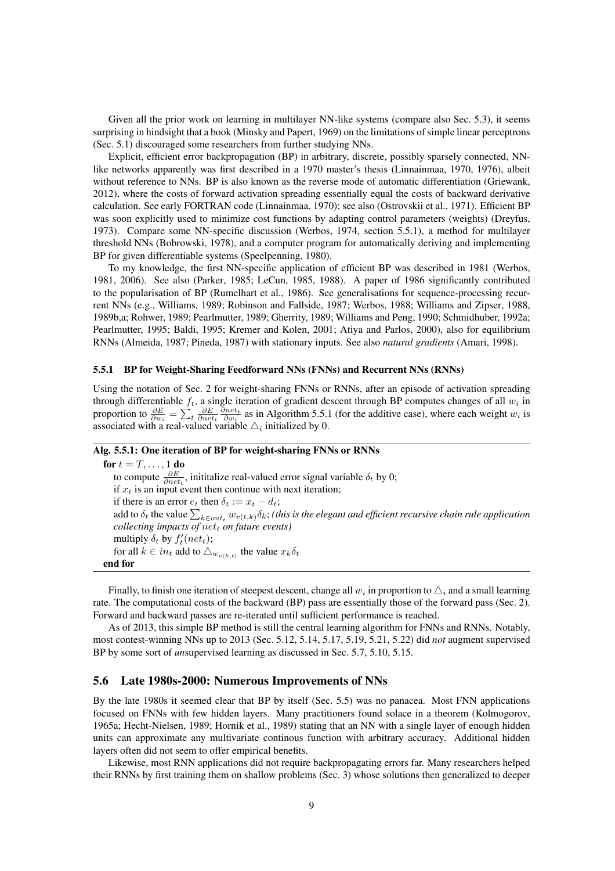Given all the prior work on learning in multilayer NN-like systems (compare also Sec. 5.3), it seems surprising in hindsight that a book (Minsky and Papert, 1969) on the limitations of simple linear perceptrons (Sec. 5.1) discouraged some researchers from further studying NNs.

Explicit, efficient error backpropagation (BP) in arbitrary, discrete, possibly sparsely connected, NNlike networks apparently was first described in a 1970 master's thesis (Linnainmaa, 1970, 1976), albeit without reference to NNs. BP is also known as the reverse mode of automatic differentiation (Griewank, 2012), where the costs of forward activation spreading essentially equal the costs of backward derivative calculation. See early FORTRAN code (Linnainmaa, 1970); see also (Ostrovskii et al., 1971). Efficient BP was soon explicitly used to minimize cost functions by adapting control parameters (weights) (Dreyfus, 1973). Compare some NN-specific discussion (Werbos, 1974, section 5.5.1), a method for multilayer threshold NNs (Bobrowski, 1978), and a computer program for automatically deriving and implementing BP for given differentiable systems (Speelpenning, 1980).

To my knowledge, the first NN-specific application of efficient BP was described in 1981 (Werbos, 1981, 2006). See also (Parker, 1985; LeCun, 1985, 1988). A paper of 1986 significantly contributed to the popularisation of BP (Rumelhart et al., 1986). See generalisations for sequence-processing recurrent NNs (e.g., Williams, 1989; Robinson and Fallside, 1987; Werbos, 1988; Williams and Zipser, 1988, 1989b,a; Rohwer, 1989; Pearlmutter, 1989; Gherrity, 1989; Williams and Peng, 1990; Schmidhuber, 1992a; Pearlmutter, 1995; Baldi, 1995; Kremer and Kolen, 2001; Atiya and Parlos, 2000), also for equilibrium RNNs (Almeida, 1987; Pineda, 1987) with stationary inputs. See also *natural gradients* (Amari, 1998).

#### 5.5.1 BP for Weight-Sharing Feedforward NNs (FNNs) and Recurrent NNs (RNNs)

Using the notation of Sec. 2 for weight-sharing FNNs or RNNs, after an episode of activation spreading through differentiable  $f_t$ , a single iteration of gradient descent through BP computes changes of all  $w_i$  in proportion to  $\frac{\partial E}{\partial w_i} = \sum_t \frac{\partial E}{\partial net_t} \frac{\partial net_t}{\partial w_i}$  as in Algorithm 5.5.1 (for the additive case), where each weight  $w_i$  is associated with a real-valued variable  $\triangle_i$  initialized by 0.

#### Alg. 5.5.1: One iteration of BP for weight-sharing FNNs or RNNs

for  $t=T,\ldots,1$  do to compute  $\frac{\partial E}{\partial net_t}$ , inititalize real-valued error signal variable  $\delta_t$  by 0; if  $x_t$  is an input event then continue with next iteration; if there is an error  $e_t$  then  $\delta_t := x_t - d_t$ ; add to  $\delta_t$  the value  $\sum_{k\in out_t}w_{v(t,k)}\delta_k$ ; (this is the elegant and efficient recursive chain rule application *collecting impacts of*  $net_t$  *on future events*) multiply  $\delta_t$  by  $f'_t(net_t);$ for all  $k \in in_t$  add to  $\triangle_{w_{v(k,t)}}$  the value  $x_k \delta_t$ end for

Finally, to finish one iteration of steepest descent, change all  $w_i$  in proportion to  $\triangle_i$  and a small learning rate. The computational costs of the backward (BP) pass are essentially those of the forward pass (Sec. 2). Forward and backward passes are re-iterated until sufficient performance is reached.

As of 2013, this simple BP method is still the central learning algorithm for FNNs and RNNs. Notably, most contest-winning NNs up to 2013 (Sec. 5.12, 5.14, 5.17, 5.19, 5.21, 5.22) did *not* augment supervised BP by some sort of *un*supervised learning as discussed in Sec. 5.7, 5.10, 5.15.

#### 5.6 Late 1980s-2000: Numerous Improvements of NNs

By the late 1980s it seemed clear that BP by itself (Sec. 5.5) was no panacea. Most FNN applications focused on FNNs with few hidden layers. Many practitioners found solace in a theorem (Kolmogorov, 1965a; Hecht-Nielsen, 1989; Hornik et al., 1989) stating that an NN with a single layer of enough hidden units can approximate any multivariate continous function with arbitrary accuracy. Additional hidden layers often did not seem to offer empirical benefits.

Likewise, most RNN applications did not require backpropagating errors far. Many researchers helped their RNNs by first training them on shallow problems (Sec. 3) whose solutions then generalized to deeper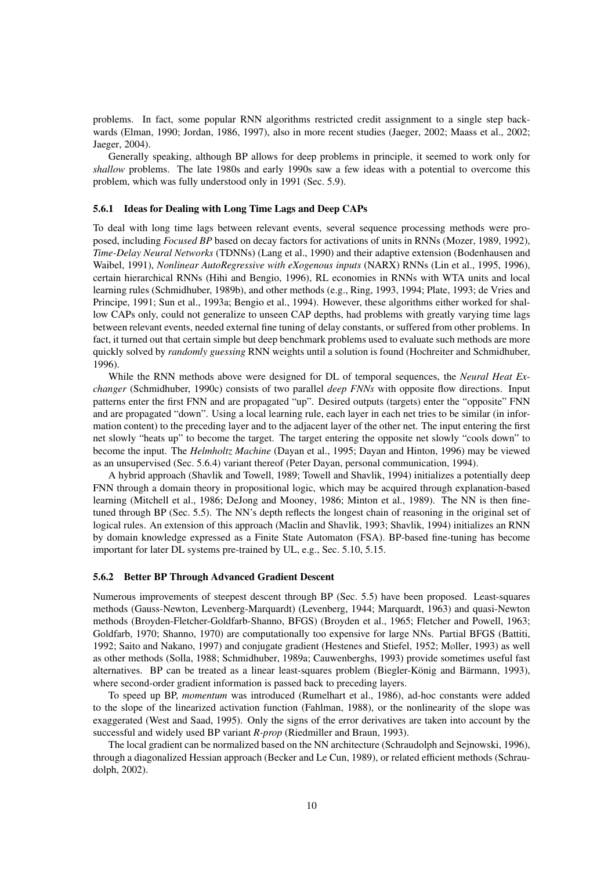problems. In fact, some popular RNN algorithms restricted credit assignment to a single step backwards (Elman, 1990; Jordan, 1986, 1997), also in more recent studies (Jaeger, 2002; Maass et al., 2002; Jaeger, 2004).

Generally speaking, although BP allows for deep problems in principle, it seemed to work only for *shallow* problems. The late 1980s and early 1990s saw a few ideas with a potential to overcome this problem, which was fully understood only in 1991 (Sec. 5.9).

#### 5.6.1 Ideas for Dealing with Long Time Lags and Deep CAPs

To deal with long time lags between relevant events, several sequence processing methods were proposed, including *Focused BP* based on decay factors for activations of units in RNNs (Mozer, 1989, 1992), *Time-Delay Neural Networks* (TDNNs) (Lang et al., 1990) and their adaptive extension (Bodenhausen and Waibel, 1991), *Nonlinear AutoRegressive with eXogenous inputs* (NARX) RNNs (Lin et al., 1995, 1996), certain hierarchical RNNs (Hihi and Bengio, 1996), RL economies in RNNs with WTA units and local learning rules (Schmidhuber, 1989b), and other methods (e.g., Ring, 1993, 1994; Plate, 1993; de Vries and Principe, 1991; Sun et al., 1993a; Bengio et al., 1994). However, these algorithms either worked for shallow CAPs only, could not generalize to unseen CAP depths, had problems with greatly varying time lags between relevant events, needed external fine tuning of delay constants, or suffered from other problems. In fact, it turned out that certain simple but deep benchmark problems used to evaluate such methods are more quickly solved by *randomly guessing* RNN weights until a solution is found (Hochreiter and Schmidhuber, 1996).

While the RNN methods above were designed for DL of temporal sequences, the *Neural Heat Exchanger* (Schmidhuber, 1990c) consists of two parallel *deep FNNs* with opposite flow directions. Input patterns enter the first FNN and are propagated "up". Desired outputs (targets) enter the "opposite" FNN and are propagated "down". Using a local learning rule, each layer in each net tries to be similar (in information content) to the preceding layer and to the adjacent layer of the other net. The input entering the first net slowly "heats up" to become the target. The target entering the opposite net slowly "cools down" to become the input. The *Helmholtz Machine* (Dayan et al., 1995; Dayan and Hinton, 1996) may be viewed as an unsupervised (Sec. 5.6.4) variant thereof (Peter Dayan, personal communication, 1994).

A hybrid approach (Shavlik and Towell, 1989; Towell and Shavlik, 1994) initializes a potentially deep FNN through a domain theory in propositional logic, which may be acquired through explanation-based learning (Mitchell et al., 1986; DeJong and Mooney, 1986; Minton et al., 1989). The NN is then finetuned through BP (Sec. 5.5). The NN's depth reflects the longest chain of reasoning in the original set of logical rules. An extension of this approach (Maclin and Shavlik, 1993; Shavlik, 1994) initializes an RNN by domain knowledge expressed as a Finite State Automaton (FSA). BP-based fine-tuning has become important for later DL systems pre-trained by UL, e.g., Sec. 5.10, 5.15.

#### 5.6.2 Better BP Through Advanced Gradient Descent

Numerous improvements of steepest descent through BP (Sec. 5.5) have been proposed. Least-squares methods (Gauss-Newton, Levenberg-Marquardt) (Levenberg, 1944; Marquardt, 1963) and quasi-Newton methods (Broyden-Fletcher-Goldfarb-Shanno, BFGS) (Broyden et al., 1965; Fletcher and Powell, 1963; Goldfarb, 1970; Shanno, 1970) are computationally too expensive for large NNs. Partial BFGS (Battiti, 1992; Saito and Nakano, 1997) and conjugate gradient (Hestenes and Stiefel, 1952; Møller, 1993) as well as other methods (Solla, 1988; Schmidhuber, 1989a; Cauwenberghs, 1993) provide sometimes useful fast alternatives. BP can be treated as a linear least-squares problem (Biegler-König and Bärmann, 1993), where second-order gradient information is passed back to preceding layers.

To speed up BP, *momentum* was introduced (Rumelhart et al., 1986), ad-hoc constants were added to the slope of the linearized activation function (Fahlman, 1988), or the nonlinearity of the slope was exaggerated (West and Saad, 1995). Only the signs of the error derivatives are taken into account by the successful and widely used BP variant *R-prop* (Riedmiller and Braun, 1993).

The local gradient can be normalized based on the NN architecture (Schraudolph and Sejnowski, 1996), through a diagonalized Hessian approach (Becker and Le Cun, 1989), or related efficient methods (Schraudolph, 2002).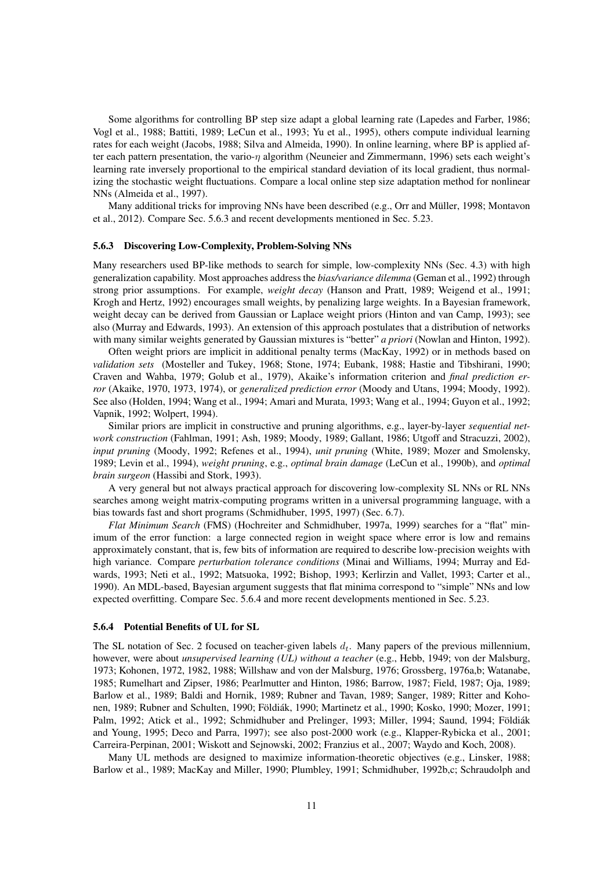Some algorithms for controlling BP step size adapt a global learning rate (Lapedes and Farber, 1986; Vogl et al., 1988; Battiti, 1989; LeCun et al., 1993; Yu et al., 1995), others compute individual learning rates for each weight (Jacobs, 1988; Silva and Almeida, 1990). In online learning, where BP is applied after each pattern presentation, the vario-η algorithm (Neuneier and Zimmermann, 1996) sets each weight's learning rate inversely proportional to the empirical standard deviation of its local gradient, thus normalizing the stochastic weight fluctuations. Compare a local online step size adaptation method for nonlinear NNs (Almeida et al., 1997).

Many additional tricks for improving NNs have been described (e.g., Orr and Müller, 1998; Montavon et al., 2012). Compare Sec. 5.6.3 and recent developments mentioned in Sec. 5.23.

#### 5.6.3 Discovering Low-Complexity, Problem-Solving NNs

Many researchers used BP-like methods to search for simple, low-complexity NNs (Sec. 4.3) with high generalization capability. Most approaches address the *bias/variance dilemma* (Geman et al., 1992) through strong prior assumptions. For example, *weight decay* (Hanson and Pratt, 1989; Weigend et al., 1991; Krogh and Hertz, 1992) encourages small weights, by penalizing large weights. In a Bayesian framework, weight decay can be derived from Gaussian or Laplace weight priors (Hinton and van Camp, 1993); see also (Murray and Edwards, 1993). An extension of this approach postulates that a distribution of networks with many similar weights generated by Gaussian mixtures is "better" *a priori* (Nowlan and Hinton, 1992).

Often weight priors are implicit in additional penalty terms (MacKay, 1992) or in methods based on *validation sets* (Mosteller and Tukey, 1968; Stone, 1974; Eubank, 1988; Hastie and Tibshirani, 1990; Craven and Wahba, 1979; Golub et al., 1979), Akaike's information criterion and *final prediction error* (Akaike, 1970, 1973, 1974), or *generalized prediction error* (Moody and Utans, 1994; Moody, 1992). See also (Holden, 1994; Wang et al., 1994; Amari and Murata, 1993; Wang et al., 1994; Guyon et al., 1992; Vapnik, 1992; Wolpert, 1994).

Similar priors are implicit in constructive and pruning algorithms, e.g., layer-by-layer *sequential network construction* (Fahlman, 1991; Ash, 1989; Moody, 1989; Gallant, 1986; Utgoff and Stracuzzi, 2002), *input pruning* (Moody, 1992; Refenes et al., 1994), *unit pruning* (White, 1989; Mozer and Smolensky, 1989; Levin et al., 1994), *weight pruning*, e.g., *optimal brain damage* (LeCun et al., 1990b), and *optimal brain surgeon* (Hassibi and Stork, 1993).

A very general but not always practical approach for discovering low-complexity SL NNs or RL NNs searches among weight matrix-computing programs written in a universal programming language, with a bias towards fast and short programs (Schmidhuber, 1995, 1997) (Sec. 6.7).

*Flat Minimum Search* (FMS) (Hochreiter and Schmidhuber, 1997a, 1999) searches for a "flat" minimum of the error function: a large connected region in weight space where error is low and remains approximately constant, that is, few bits of information are required to describe low-precision weights with high variance. Compare *perturbation tolerance conditions* (Minai and Williams, 1994; Murray and Edwards, 1993; Neti et al., 1992; Matsuoka, 1992; Bishop, 1993; Kerlirzin and Vallet, 1993; Carter et al., 1990). An MDL-based, Bayesian argument suggests that flat minima correspond to "simple" NNs and low expected overfitting. Compare Sec. 5.6.4 and more recent developments mentioned in Sec. 5.23.

#### 5.6.4 Potential Benefits of UL for SL

The SL notation of Sec. 2 focused on teacher-given labels  $d_t$ . Many papers of the previous millennium, however, were about *unsupervised learning (UL) without a teacher* (e.g., Hebb, 1949; von der Malsburg, 1973; Kohonen, 1972, 1982, 1988; Willshaw and von der Malsburg, 1976; Grossberg, 1976a,b; Watanabe, 1985; Rumelhart and Zipser, 1986; Pearlmutter and Hinton, 1986; Barrow, 1987; Field, 1987; Oja, 1989; Barlow et al., 1989; Baldi and Hornik, 1989; Rubner and Tavan, 1989; Sanger, 1989; Ritter and Kohonen, 1989; Rubner and Schulten, 1990; Földiák, 1990; Martinetz et al., 1990; Kosko, 1990; Mozer, 1991; Palm, 1992; Atick et al., 1992; Schmidhuber and Prelinger, 1993; Miller, 1994; Saund, 1994; Földiák and Young, 1995; Deco and Parra, 1997); see also post-2000 work (e.g., Klapper-Rybicka et al., 2001; Carreira-Perpinan, 2001; Wiskott and Sejnowski, 2002; Franzius et al., 2007; Waydo and Koch, 2008).

Many UL methods are designed to maximize information-theoretic objectives (e.g., Linsker, 1988; Barlow et al., 1989; MacKay and Miller, 1990; Plumbley, 1991; Schmidhuber, 1992b,c; Schraudolph and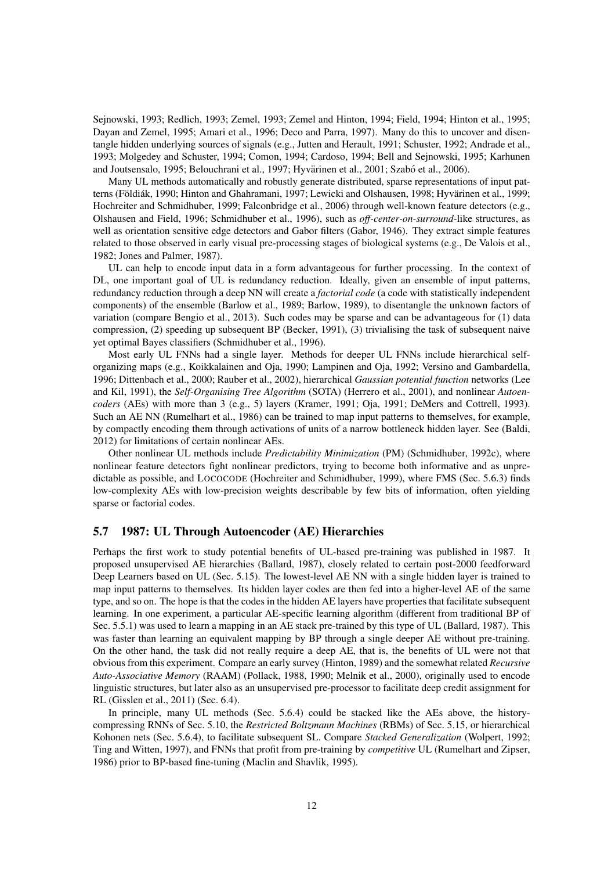Sejnowski, 1993; Redlich, 1993; Zemel, 1993; Zemel and Hinton, 1994; Field, 1994; Hinton et al., 1995; Dayan and Zemel, 1995; Amari et al., 1996; Deco and Parra, 1997). Many do this to uncover and disentangle hidden underlying sources of signals (e.g., Jutten and Herault, 1991; Schuster, 1992; Andrade et al., 1993; Molgedey and Schuster, 1994; Comon, 1994; Cardoso, 1994; Bell and Sejnowski, 1995; Karhunen and Joutsensalo, 1995; Belouchrani et al., 1997; Hyvärinen et al., 2001; Szabó et al., 2006).

Many UL methods automatically and robustly generate distributed, sparse representations of input patterns (Földiák, 1990; Hinton and Ghahramani, 1997; Lewicki and Olshausen, 1998; Hyvärinen et al., 1999; Hochreiter and Schmidhuber, 1999; Falconbridge et al., 2006) through well-known feature detectors (e.g., Olshausen and Field, 1996; Schmidhuber et al., 1996), such as *off-center-on-surround*-like structures, as well as orientation sensitive edge detectors and Gabor filters (Gabor, 1946). They extract simple features related to those observed in early visual pre-processing stages of biological systems (e.g., De Valois et al., 1982; Jones and Palmer, 1987).

UL can help to encode input data in a form advantageous for further processing. In the context of DL, one important goal of UL is redundancy reduction. Ideally, given an ensemble of input patterns, redundancy reduction through a deep NN will create a *factorial code* (a code with statistically independent components) of the ensemble (Barlow et al., 1989; Barlow, 1989), to disentangle the unknown factors of variation (compare Bengio et al., 2013). Such codes may be sparse and can be advantageous for (1) data compression, (2) speeding up subsequent BP (Becker, 1991), (3) trivialising the task of subsequent naive yet optimal Bayes classifiers (Schmidhuber et al., 1996).

Most early UL FNNs had a single layer. Methods for deeper UL FNNs include hierarchical selforganizing maps (e.g., Koikkalainen and Oja, 1990; Lampinen and Oja, 1992; Versino and Gambardella, 1996; Dittenbach et al., 2000; Rauber et al., 2002), hierarchical *Gaussian potential function* networks (Lee and Kil, 1991), the *Self-Organising Tree Algorithm* (SOTA) (Herrero et al., 2001), and nonlinear *Autoencoders* (AEs) with more than 3 (e.g., 5) layers (Kramer, 1991; Oja, 1991; DeMers and Cottrell, 1993). Such an AE NN (Rumelhart et al., 1986) can be trained to map input patterns to themselves, for example, by compactly encoding them through activations of units of a narrow bottleneck hidden layer. See (Baldi, 2012) for limitations of certain nonlinear AEs.

Other nonlinear UL methods include *Predictability Minimization* (PM) (Schmidhuber, 1992c), where nonlinear feature detectors fight nonlinear predictors, trying to become both informative and as unpredictable as possible, and LOCOCODE (Hochreiter and Schmidhuber, 1999), where FMS (Sec. 5.6.3) finds low-complexity AEs with low-precision weights describable by few bits of information, often yielding sparse or factorial codes.

#### 5.7 1987: UL Through Autoencoder (AE) Hierarchies

Perhaps the first work to study potential benefits of UL-based pre-training was published in 1987. It proposed unsupervised AE hierarchies (Ballard, 1987), closely related to certain post-2000 feedforward Deep Learners based on UL (Sec. 5.15). The lowest-level AE NN with a single hidden layer is trained to map input patterns to themselves. Its hidden layer codes are then fed into a higher-level AE of the same type, and so on. The hope is that the codes in the hidden AE layers have properties that facilitate subsequent learning. In one experiment, a particular AE-specific learning algorithm (different from traditional BP of Sec. 5.5.1) was used to learn a mapping in an AE stack pre-trained by this type of UL (Ballard, 1987). This was faster than learning an equivalent mapping by BP through a single deeper AE without pre-training. On the other hand, the task did not really require a deep AE, that is, the benefits of UL were not that obvious from this experiment. Compare an early survey (Hinton, 1989) and the somewhat related *Recursive Auto-Associative Memory* (RAAM) (Pollack, 1988, 1990; Melnik et al., 2000), originally used to encode linguistic structures, but later also as an unsupervised pre-processor to facilitate deep credit assignment for RL (Gisslen et al., 2011) (Sec. 6.4).

In principle, many UL methods (Sec. 5.6.4) could be stacked like the AEs above, the historycompressing RNNs of Sec. 5.10, the *Restricted Boltzmann Machines* (RBMs) of Sec. 5.15, or hierarchical Kohonen nets (Sec. 5.6.4), to facilitate subsequent SL. Compare *Stacked Generalization* (Wolpert, 1992; Ting and Witten, 1997), and FNNs that profit from pre-training by *competitive* UL (Rumelhart and Zipser, 1986) prior to BP-based fine-tuning (Maclin and Shavlik, 1995).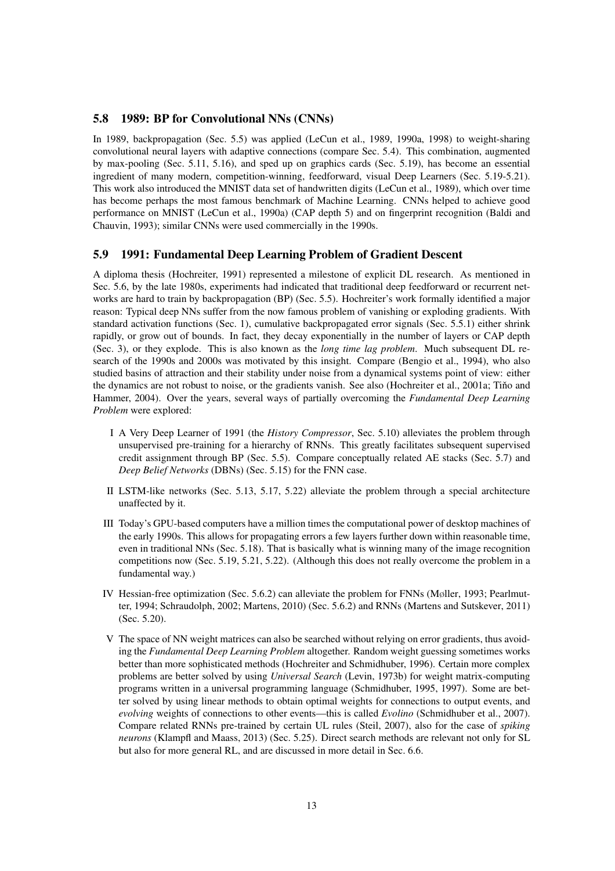### 5.8 1989: BP for Convolutional NNs (CNNs)

In 1989, backpropagation (Sec. 5.5) was applied (LeCun et al., 1989, 1990a, 1998) to weight-sharing convolutional neural layers with adaptive connections (compare Sec. 5.4). This combination, augmented by max-pooling (Sec. 5.11, 5.16), and sped up on graphics cards (Sec. 5.19), has become an essential ingredient of many modern, competition-winning, feedforward, visual Deep Learners (Sec. 5.19-5.21). This work also introduced the MNIST data set of handwritten digits (LeCun et al., 1989), which over time has become perhaps the most famous benchmark of Machine Learning. CNNs helped to achieve good performance on MNIST (LeCun et al., 1990a) (CAP depth 5) and on fingerprint recognition (Baldi and Chauvin, 1993); similar CNNs were used commercially in the 1990s.

### 5.9 1991: Fundamental Deep Learning Problem of Gradient Descent

A diploma thesis (Hochreiter, 1991) represented a milestone of explicit DL research. As mentioned in Sec. 5.6, by the late 1980s, experiments had indicated that traditional deep feedforward or recurrent networks are hard to train by backpropagation (BP) (Sec. 5.5). Hochreiter's work formally identified a major reason: Typical deep NNs suffer from the now famous problem of vanishing or exploding gradients. With standard activation functions (Sec. 1), cumulative backpropagated error signals (Sec. 5.5.1) either shrink rapidly, or grow out of bounds. In fact, they decay exponentially in the number of layers or CAP depth (Sec. 3), or they explode. This is also known as the *long time lag problem*. Much subsequent DL research of the 1990s and 2000s was motivated by this insight. Compare (Bengio et al., 1994), who also studied basins of attraction and their stability under noise from a dynamical systems point of view: either the dynamics are not robust to noise, or the gradients vanish. See also (Hochreiter et al., 2001a; Tino and Hammer, 2004). Over the years, several ways of partially overcoming the *Fundamental Deep Learning Problem* were explored:

- I A Very Deep Learner of 1991 (the *History Compressor*, Sec. 5.10) alleviates the problem through unsupervised pre-training for a hierarchy of RNNs. This greatly facilitates subsequent supervised credit assignment through BP (Sec. 5.5). Compare conceptually related AE stacks (Sec. 5.7) and *Deep Belief Networks* (DBNs) (Sec. 5.15) for the FNN case.
- II LSTM-like networks (Sec. 5.13, 5.17, 5.22) alleviate the problem through a special architecture unaffected by it.
- III Today's GPU-based computers have a million times the computational power of desktop machines of the early 1990s. This allows for propagating errors a few layers further down within reasonable time, even in traditional NNs (Sec. 5.18). That is basically what is winning many of the image recognition competitions now (Sec. 5.19, 5.21, 5.22). (Although this does not really overcome the problem in a fundamental way.)
- IV Hessian-free optimization (Sec. 5.6.2) can alleviate the problem for FNNs (Møller, 1993; Pearlmutter, 1994; Schraudolph, 2002; Martens, 2010) (Sec. 5.6.2) and RNNs (Martens and Sutskever, 2011) (Sec. 5.20).
- V The space of NN weight matrices can also be searched without relying on error gradients, thus avoiding the *Fundamental Deep Learning Problem* altogether. Random weight guessing sometimes works better than more sophisticated methods (Hochreiter and Schmidhuber, 1996). Certain more complex problems are better solved by using *Universal Search* (Levin, 1973b) for weight matrix-computing programs written in a universal programming language (Schmidhuber, 1995, 1997). Some are better solved by using linear methods to obtain optimal weights for connections to output events, and *evolving* weights of connections to other events—this is called *Evolino* (Schmidhuber et al., 2007). Compare related RNNs pre-trained by certain UL rules (Steil, 2007), also for the case of *spiking neurons* (Klampfl and Maass, 2013) (Sec. 5.25). Direct search methods are relevant not only for SL but also for more general RL, and are discussed in more detail in Sec. 6.6.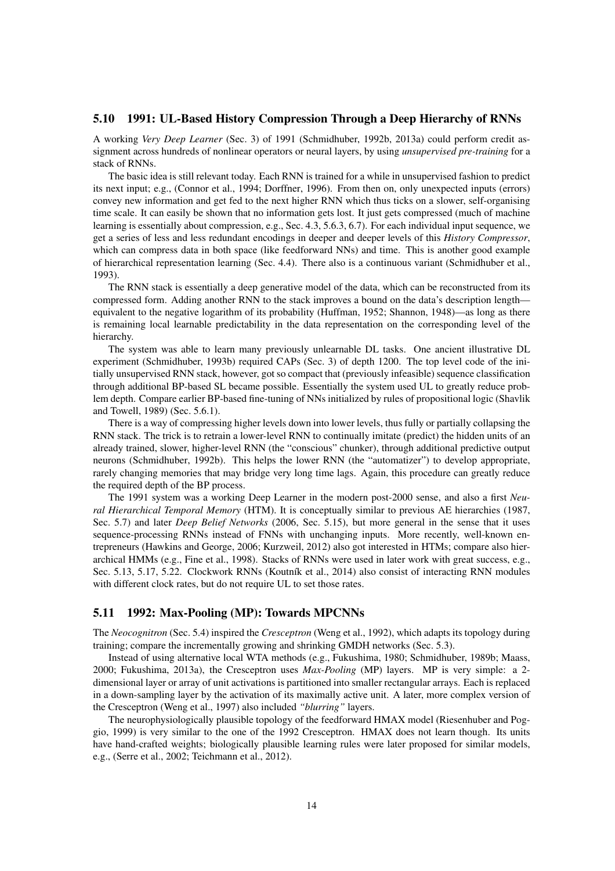### 5.10 1991: UL-Based History Compression Through a Deep Hierarchy of RNNs

A working *Very Deep Learner* (Sec. 3) of 1991 (Schmidhuber, 1992b, 2013a) could perform credit assignment across hundreds of nonlinear operators or neural layers, by using *unsupervised pre-training* for a stack of RNNs.

The basic idea is still relevant today. Each RNN is trained for a while in unsupervised fashion to predict its next input; e.g., (Connor et al., 1994; Dorffner, 1996). From then on, only unexpected inputs (errors) convey new information and get fed to the next higher RNN which thus ticks on a slower, self-organising time scale. It can easily be shown that no information gets lost. It just gets compressed (much of machine learning is essentially about compression, e.g., Sec. 4.3, 5.6.3, 6.7). For each individual input sequence, we get a series of less and less redundant encodings in deeper and deeper levels of this *History Compressor*, which can compress data in both space (like feedforward NNs) and time. This is another good example of hierarchical representation learning (Sec. 4.4). There also is a continuous variant (Schmidhuber et al., 1993).

The RNN stack is essentially a deep generative model of the data, which can be reconstructed from its compressed form. Adding another RNN to the stack improves a bound on the data's description lengthequivalent to the negative logarithm of its probability (Huffman, 1952; Shannon, 1948)—as long as there is remaining local learnable predictability in the data representation on the corresponding level of the hierarchy.

The system was able to learn many previously unlearnable DL tasks. One ancient illustrative DL experiment (Schmidhuber, 1993b) required CAPs (Sec. 3) of depth 1200. The top level code of the initially unsupervised RNN stack, however, got so compact that (previously infeasible) sequence classification through additional BP-based SL became possible. Essentially the system used UL to greatly reduce problem depth. Compare earlier BP-based fine-tuning of NNs initialized by rules of propositional logic (Shavlik and Towell, 1989) (Sec. 5.6.1).

There is a way of compressing higher levels down into lower levels, thus fully or partially collapsing the RNN stack. The trick is to retrain a lower-level RNN to continually imitate (predict) the hidden units of an already trained, slower, higher-level RNN (the "conscious" chunker), through additional predictive output neurons (Schmidhuber, 1992b). This helps the lower RNN (the "automatizer") to develop appropriate, rarely changing memories that may bridge very long time lags. Again, this procedure can greatly reduce the required depth of the BP process.

The 1991 system was a working Deep Learner in the modern post-2000 sense, and also a first *Neural Hierarchical Temporal Memory* (HTM). It is conceptually similar to previous AE hierarchies (1987, Sec. 5.7) and later *Deep Belief Networks* (2006, Sec. 5.15), but more general in the sense that it uses sequence-processing RNNs instead of FNNs with unchanging inputs. More recently, well-known entrepreneurs (Hawkins and George, 2006; Kurzweil, 2012) also got interested in HTMs; compare also hierarchical HMMs (e.g., Fine et al., 1998). Stacks of RNNs were used in later work with great success, e.g., Sec. 5.13, 5.17, 5.22. Clockwork RNNs (Koutník et al., 2014) also consist of interacting RNN modules with different clock rates, but do not require UL to set those rates.

#### 5.11 1992: Max-Pooling (MP): Towards MPCNNs

The *Neocognitron* (Sec. 5.4) inspired the *Cresceptron* (Weng et al., 1992), which adapts its topology during training; compare the incrementally growing and shrinking GMDH networks (Sec. 5.3).

Instead of using alternative local WTA methods (e.g., Fukushima, 1980; Schmidhuber, 1989b; Maass, 2000; Fukushima, 2013a), the Cresceptron uses *Max-Pooling* (MP) layers. MP is very simple: a 2 dimensional layer or array of unit activations is partitioned into smaller rectangular arrays. Each is replaced in a down-sampling layer by the activation of its maximally active unit. A later, more complex version of the Cresceptron (Weng et al., 1997) also included *"blurring"* layers.

The neurophysiologically plausible topology of the feedforward HMAX model (Riesenhuber and Poggio, 1999) is very similar to the one of the 1992 Cresceptron. HMAX does not learn though. Its units have hand-crafted weights; biologically plausible learning rules were later proposed for similar models, e.g., (Serre et al., 2002; Teichmann et al., 2012).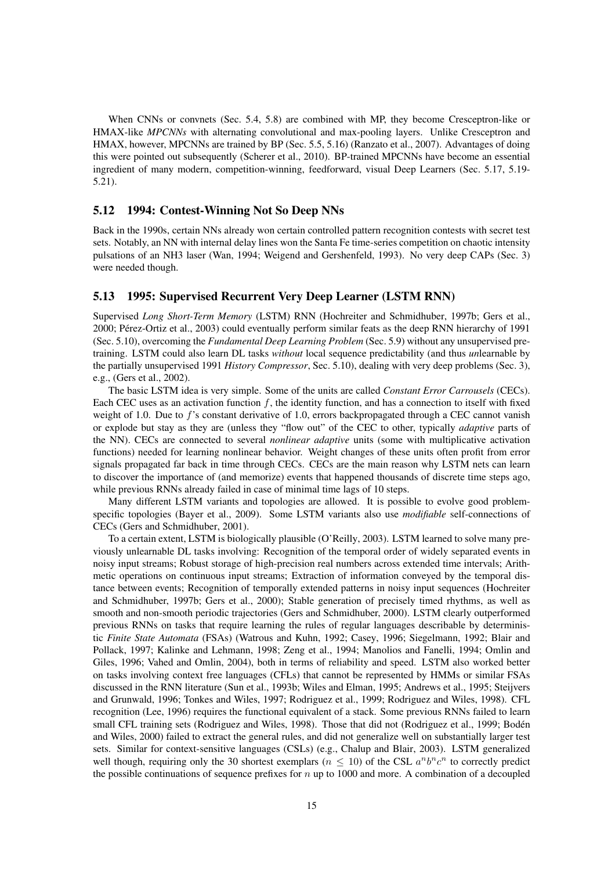When CNNs or convnets (Sec. 5.4, 5.8) are combined with MP, they become Cresceptron-like or HMAX-like *MPCNNs* with alternating convolutional and max-pooling layers. Unlike Cresceptron and HMAX, however, MPCNNs are trained by BP (Sec. 5.5, 5.16) (Ranzato et al., 2007). Advantages of doing this were pointed out subsequently (Scherer et al., 2010). BP-trained MPCNNs have become an essential ingredient of many modern, competition-winning, feedforward, visual Deep Learners (Sec. 5.17, 5.19- 5.21).

### 5.12 1994: Contest-Winning Not So Deep NNs

Back in the 1990s, certain NNs already won certain controlled pattern recognition contests with secret test sets. Notably, an NN with internal delay lines won the Santa Fe time-series competition on chaotic intensity pulsations of an NH3 laser (Wan, 1994; Weigend and Gershenfeld, 1993). No very deep CAPs (Sec. 3) were needed though.

#### 5.13 1995: Supervised Recurrent Very Deep Learner (LSTM RNN)

Supervised *Long Short-Term Memory* (LSTM) RNN (Hochreiter and Schmidhuber, 1997b; Gers et al., 2000; Pérez-Ortiz et al., 2003) could eventually perform similar feats as the deep RNN hierarchy of 1991 (Sec. 5.10), overcoming the *Fundamental Deep Learning Problem* (Sec. 5.9) without any unsupervised pretraining. LSTM could also learn DL tasks *without* local sequence predictability (and thus *un*learnable by the partially unsupervised 1991 *History Compressor*, Sec. 5.10), dealing with very deep problems (Sec. 3), e.g., (Gers et al., 2002).

The basic LSTM idea is very simple. Some of the units are called *Constant Error Carrousels* (CECs). Each CEC uses as an activation function  $f$ , the identity function, and has a connection to itself with fixed weight of 1.0. Due to f's constant derivative of 1.0, errors backpropagated through a CEC cannot vanish or explode but stay as they are (unless they "flow out" of the CEC to other, typically *adaptive* parts of the NN). CECs are connected to several *nonlinear adaptive* units (some with multiplicative activation functions) needed for learning nonlinear behavior. Weight changes of these units often profit from error signals propagated far back in time through CECs. CECs are the main reason why LSTM nets can learn to discover the importance of (and memorize) events that happened thousands of discrete time steps ago, while previous RNNs already failed in case of minimal time lags of 10 steps.

Many different LSTM variants and topologies are allowed. It is possible to evolve good problemspecific topologies (Bayer et al., 2009). Some LSTM variants also use *modifiable* self-connections of CECs (Gers and Schmidhuber, 2001).

To a certain extent, LSTM is biologically plausible (O'Reilly, 2003). LSTM learned to solve many previously unlearnable DL tasks involving: Recognition of the temporal order of widely separated events in noisy input streams; Robust storage of high-precision real numbers across extended time intervals; Arithmetic operations on continuous input streams; Extraction of information conveyed by the temporal distance between events; Recognition of temporally extended patterns in noisy input sequences (Hochreiter and Schmidhuber, 1997b; Gers et al., 2000); Stable generation of precisely timed rhythms, as well as smooth and non-smooth periodic trajectories (Gers and Schmidhuber, 2000). LSTM clearly outperformed previous RNNs on tasks that require learning the rules of regular languages describable by deterministic *Finite State Automata* (FSAs) (Watrous and Kuhn, 1992; Casey, 1996; Siegelmann, 1992; Blair and Pollack, 1997; Kalinke and Lehmann, 1998; Zeng et al., 1994; Manolios and Fanelli, 1994; Omlin and Giles, 1996; Vahed and Omlin, 2004), both in terms of reliability and speed. LSTM also worked better on tasks involving context free languages (CFLs) that cannot be represented by HMMs or similar FSAs discussed in the RNN literature (Sun et al., 1993b; Wiles and Elman, 1995; Andrews et al., 1995; Steijvers and Grunwald, 1996; Tonkes and Wiles, 1997; Rodriguez et al., 1999; Rodriguez and Wiles, 1998). CFL recognition (Lee, 1996) requires the functional equivalent of a stack. Some previous RNNs failed to learn small CFL training sets (Rodriguez and Wiles, 1998). Those that did not (Rodriguez et al., 1999; Boden´ and Wiles, 2000) failed to extract the general rules, and did not generalize well on substantially larger test sets. Similar for context-sensitive languages (CSLs) (e.g., Chalup and Blair, 2003). LSTM generalized well though, requiring only the 30 shortest exemplars ( $n \leq 10$ ) of the CSL  $a^n b^n c^n$  to correctly predict the possible continuations of sequence prefixes for  $n$  up to 1000 and more. A combination of a decoupled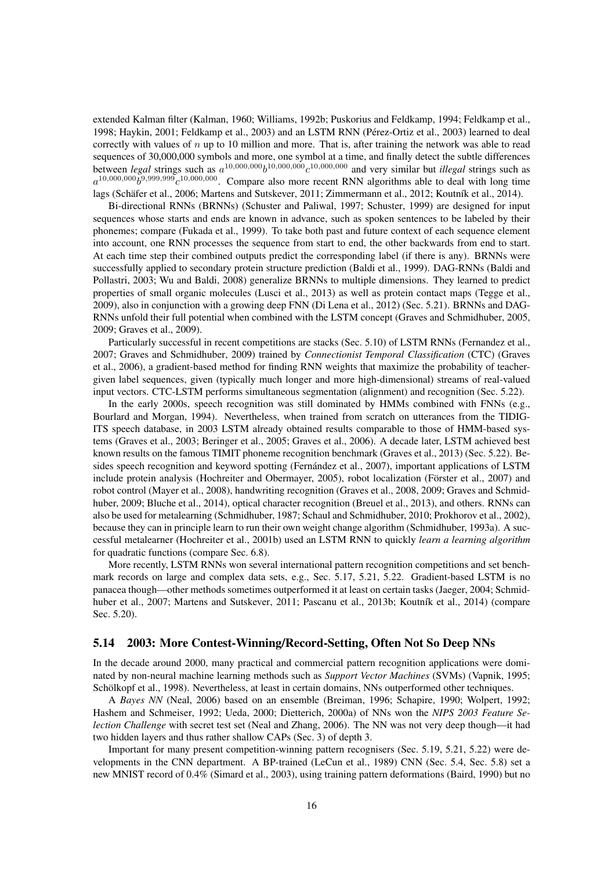extended Kalman filter (Kalman, 1960; Williams, 1992b; Puskorius and Feldkamp, 1994; Feldkamp et al., 1998; Haykin, 2001; Feldkamp et al., 2003) and an LSTM RNN (Perez-Ortiz et al., 2003) learned to deal ´ correctly with values of  $n$  up to 10 million and more. That is, after training the network was able to read sequences of 30,000,000 symbols and more, one symbol at a time, and finally detect the subtle differences between *legal* strings such as  $a^{10,000,000}b^{10,000,000}c^{10,000,000}$  and very similar but *illegal* strings such as  $a^{10,000,000}b^{9,999,999}c^{10,000,000}$ . Compare also more recent RNN algorithms able to deal with long time lags (Schäfer et al., 2006; Martens and Sutskever, 2011; Zimmermann et al., 2012; Koutník et al., 2014).

Bi-directional RNNs (BRNNs) (Schuster and Paliwal, 1997; Schuster, 1999) are designed for input sequences whose starts and ends are known in advance, such as spoken sentences to be labeled by their phonemes; compare (Fukada et al., 1999). To take both past and future context of each sequence element into account, one RNN processes the sequence from start to end, the other backwards from end to start. At each time step their combined outputs predict the corresponding label (if there is any). BRNNs were successfully applied to secondary protein structure prediction (Baldi et al., 1999). DAG-RNNs (Baldi and Pollastri, 2003; Wu and Baldi, 2008) generalize BRNNs to multiple dimensions. They learned to predict properties of small organic molecules (Lusci et al., 2013) as well as protein contact maps (Tegge et al., 2009), also in conjunction with a growing deep FNN (Di Lena et al., 2012) (Sec. 5.21). BRNNs and DAG-RNNs unfold their full potential when combined with the LSTM concept (Graves and Schmidhuber, 2005, 2009; Graves et al., 2009).

Particularly successful in recent competitions are stacks (Sec. 5.10) of LSTM RNNs (Fernandez et al., 2007; Graves and Schmidhuber, 2009) trained by *Connectionist Temporal Classification* (CTC) (Graves et al., 2006), a gradient-based method for finding RNN weights that maximize the probability of teachergiven label sequences, given (typically much longer and more high-dimensional) streams of real-valued input vectors. CTC-LSTM performs simultaneous segmentation (alignment) and recognition (Sec. 5.22).

In the early 2000s, speech recognition was still dominated by HMMs combined with FNNs (e.g., Bourlard and Morgan, 1994). Nevertheless, when trained from scratch on utterances from the TIDIG-ITS speech database, in 2003 LSTM already obtained results comparable to those of HMM-based systems (Graves et al., 2003; Beringer et al., 2005; Graves et al., 2006). A decade later, LSTM achieved best known results on the famous TIMIT phoneme recognition benchmark (Graves et al., 2013) (Sec. 5.22). Besides speech recognition and keyword spotting (Fernández et al., 2007), important applications of LSTM include protein analysis (Hochreiter and Obermayer, 2005), robot localization (Förster et al., 2007) and robot control (Mayer et al., 2008), handwriting recognition (Graves et al., 2008, 2009; Graves and Schmidhuber, 2009; Bluche et al., 2014), optical character recognition (Breuel et al., 2013), and others. RNNs can also be used for metalearning (Schmidhuber, 1987; Schaul and Schmidhuber, 2010; Prokhorov et al., 2002), because they can in principle learn to run their own weight change algorithm (Schmidhuber, 1993a). A successful metalearner (Hochreiter et al., 2001b) used an LSTM RNN to quickly *learn a learning algorithm* for quadratic functions (compare Sec. 6.8).

More recently, LSTM RNNs won several international pattern recognition competitions and set benchmark records on large and complex data sets, e.g., Sec. 5.17, 5.21, 5.22. Gradient-based LSTM is no panacea though—other methods sometimes outperformed it at least on certain tasks (Jaeger, 2004; Schmidhuber et al., 2007; Martens and Sutskever, 2011; Pascanu et al., 2013b; Koutník et al., 2014) (compare Sec. 5.20).

### 5.14 2003: More Contest-Winning/Record-Setting, Often Not So Deep NNs

In the decade around 2000, many practical and commercial pattern recognition applications were dominated by non-neural machine learning methods such as *Support Vector Machines* (SVMs) (Vapnik, 1995; Schölkopf et al., 1998). Nevertheless, at least in certain domains, NNs outperformed other techniques.

A *Bayes NN* (Neal, 2006) based on an ensemble (Breiman, 1996; Schapire, 1990; Wolpert, 1992; Hashem and Schmeiser, 1992; Ueda, 2000; Dietterich, 2000a) of NNs won the *NIPS 2003 Feature Selection Challenge* with secret test set (Neal and Zhang, 2006). The NN was not very deep though—it had two hidden layers and thus rather shallow CAPs (Sec. 3) of depth 3.

Important for many present competition-winning pattern recognisers (Sec. 5.19, 5.21, 5.22) were developments in the CNN department. A BP-trained (LeCun et al., 1989) CNN (Sec. 5.4, Sec. 5.8) set a new MNIST record of 0.4% (Simard et al., 2003), using training pattern deformations (Baird, 1990) but no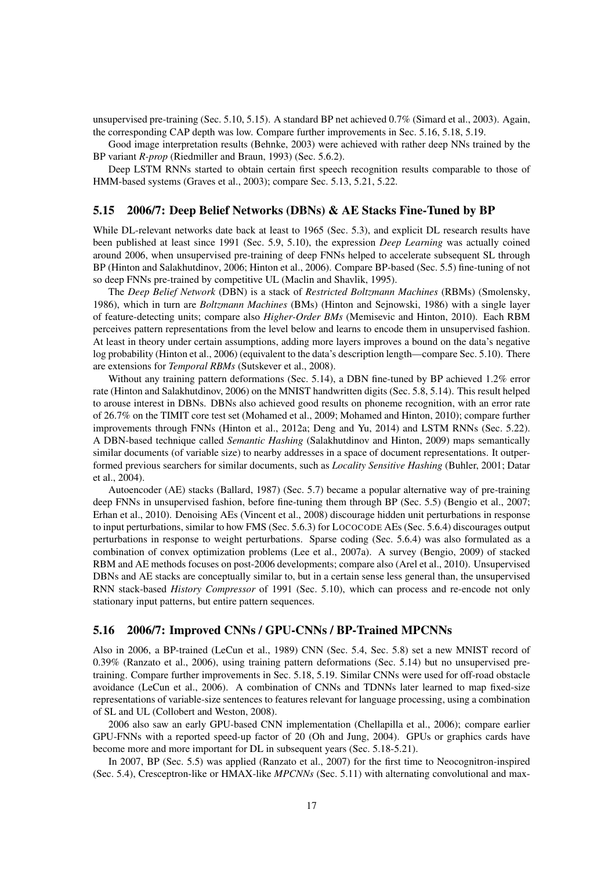unsupervised pre-training (Sec. 5.10, 5.15). A standard BP net achieved 0.7% (Simard et al., 2003). Again, the corresponding CAP depth was low. Compare further improvements in Sec. 5.16, 5.18, 5.19.

Good image interpretation results (Behnke, 2003) were achieved with rather deep NNs trained by the BP variant *R-prop* (Riedmiller and Braun, 1993) (Sec. 5.6.2).

Deep LSTM RNNs started to obtain certain first speech recognition results comparable to those of HMM-based systems (Graves et al., 2003); compare Sec. 5.13, 5.21, 5.22.

### 5.15 2006/7: Deep Belief Networks (DBNs) & AE Stacks Fine-Tuned by BP

While DL-relevant networks date back at least to 1965 (Sec. 5.3), and explicit DL research results have been published at least since 1991 (Sec. 5.9, 5.10), the expression *Deep Learning* was actually coined around 2006, when unsupervised pre-training of deep FNNs helped to accelerate subsequent SL through BP (Hinton and Salakhutdinov, 2006; Hinton et al., 2006). Compare BP-based (Sec. 5.5) fine-tuning of not so deep FNNs pre-trained by competitive UL (Maclin and Shavlik, 1995).

The *Deep Belief Network* (DBN) is a stack of *Restricted Boltzmann Machines* (RBMs) (Smolensky, 1986), which in turn are *Boltzmann Machines* (BMs) (Hinton and Sejnowski, 1986) with a single layer of feature-detecting units; compare also *Higher-Order BMs* (Memisevic and Hinton, 2010). Each RBM perceives pattern representations from the level below and learns to encode them in unsupervised fashion. At least in theory under certain assumptions, adding more layers improves a bound on the data's negative log probability (Hinton et al., 2006) (equivalent to the data's description length—compare Sec. 5.10). There are extensions for *Temporal RBMs* (Sutskever et al., 2008).

Without any training pattern deformations (Sec. 5.14), a DBN fine-tuned by BP achieved 1.2% error rate (Hinton and Salakhutdinov, 2006) on the MNIST handwritten digits (Sec. 5.8, 5.14). This result helped to arouse interest in DBNs. DBNs also achieved good results on phoneme recognition, with an error rate of 26.7% on the TIMIT core test set (Mohamed et al., 2009; Mohamed and Hinton, 2010); compare further improvements through FNNs (Hinton et al., 2012a; Deng and Yu, 2014) and LSTM RNNs (Sec. 5.22). A DBN-based technique called *Semantic Hashing* (Salakhutdinov and Hinton, 2009) maps semantically similar documents (of variable size) to nearby addresses in a space of document representations. It outperformed previous searchers for similar documents, such as *Locality Sensitive Hashing* (Buhler, 2001; Datar et al., 2004).

Autoencoder (AE) stacks (Ballard, 1987) (Sec. 5.7) became a popular alternative way of pre-training deep FNNs in unsupervised fashion, before fine-tuning them through BP (Sec. 5.5) (Bengio et al., 2007; Erhan et al., 2010). Denoising AEs (Vincent et al., 2008) discourage hidden unit perturbations in response to input perturbations, similar to how FMS (Sec. 5.6.3) for LOCOCODE AEs (Sec. 5.6.4) discourages output perturbations in response to weight perturbations. Sparse coding (Sec. 5.6.4) was also formulated as a combination of convex optimization problems (Lee et al., 2007a). A survey (Bengio, 2009) of stacked RBM and AE methods focuses on post-2006 developments; compare also (Arel et al., 2010). Unsupervised DBNs and AE stacks are conceptually similar to, but in a certain sense less general than, the unsupervised RNN stack-based *History Compressor* of 1991 (Sec. 5.10), which can process and re-encode not only stationary input patterns, but entire pattern sequences.

### 5.16 2006/7: Improved CNNs / GPU-CNNs / BP-Trained MPCNNs

Also in 2006, a BP-trained (LeCun et al., 1989) CNN (Sec. 5.4, Sec. 5.8) set a new MNIST record of 0.39% (Ranzato et al., 2006), using training pattern deformations (Sec. 5.14) but no unsupervised pretraining. Compare further improvements in Sec. 5.18, 5.19. Similar CNNs were used for off-road obstacle avoidance (LeCun et al., 2006). A combination of CNNs and TDNNs later learned to map fixed-size representations of variable-size sentences to features relevant for language processing, using a combination of SL and UL (Collobert and Weston, 2008).

2006 also saw an early GPU-based CNN implementation (Chellapilla et al., 2006); compare earlier GPU-FNNs with a reported speed-up factor of 20 (Oh and Jung, 2004). GPUs or graphics cards have become more and more important for DL in subsequent years (Sec. 5.18-5.21).

In 2007, BP (Sec. 5.5) was applied (Ranzato et al., 2007) for the first time to Neocognitron-inspired (Sec. 5.4), Cresceptron-like or HMAX-like *MPCNNs* (Sec. 5.11) with alternating convolutional and max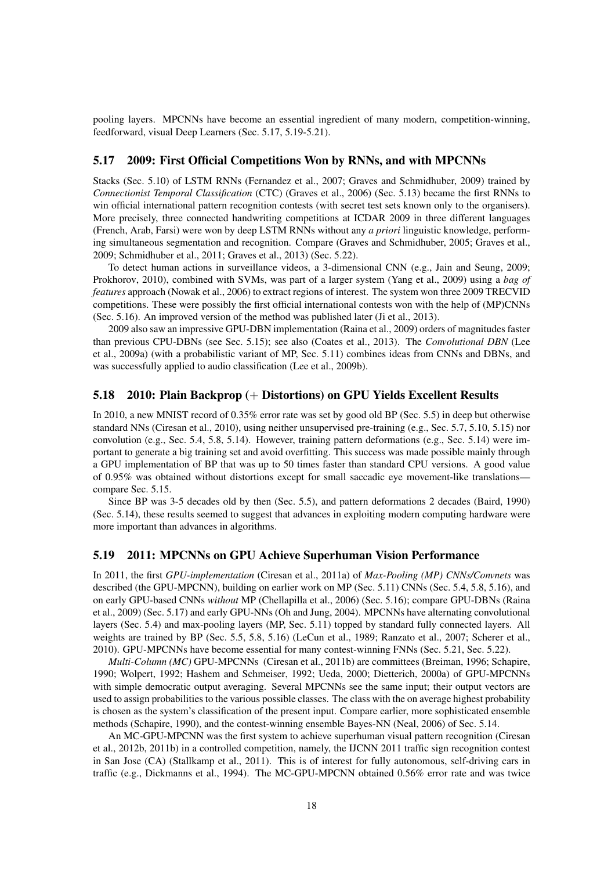pooling layers. MPCNNs have become an essential ingredient of many modern, competition-winning, feedforward, visual Deep Learners (Sec. 5.17, 5.19-5.21).

#### 5.17 2009: First Official Competitions Won by RNNs, and with MPCNNs

Stacks (Sec. 5.10) of LSTM RNNs (Fernandez et al., 2007; Graves and Schmidhuber, 2009) trained by *Connectionist Temporal Classification* (CTC) (Graves et al., 2006) (Sec. 5.13) became the first RNNs to win official international pattern recognition contests (with secret test sets known only to the organisers). More precisely, three connected handwriting competitions at ICDAR 2009 in three different languages (French, Arab, Farsi) were won by deep LSTM RNNs without any *a priori* linguistic knowledge, performing simultaneous segmentation and recognition. Compare (Graves and Schmidhuber, 2005; Graves et al., 2009; Schmidhuber et al., 2011; Graves et al., 2013) (Sec. 5.22).

To detect human actions in surveillance videos, a 3-dimensional CNN (e.g., Jain and Seung, 2009; Prokhorov, 2010), combined with SVMs, was part of a larger system (Yang et al., 2009) using a *bag of features* approach (Nowak et al., 2006) to extract regions of interest. The system won three 2009 TRECVID competitions. These were possibly the first official international contests won with the help of (MP)CNNs (Sec. 5.16). An improved version of the method was published later (Ji et al., 2013).

2009 also saw an impressive GPU-DBN implementation (Raina et al., 2009) orders of magnitudes faster than previous CPU-DBNs (see Sec. 5.15); see also (Coates et al., 2013). The *Convolutional DBN* (Lee et al., 2009a) (with a probabilistic variant of MP, Sec. 5.11) combines ideas from CNNs and DBNs, and was successfully applied to audio classification (Lee et al., 2009b).

#### 5.18 2010: Plain Backprop (+ Distortions) on GPU Yields Excellent Results

In 2010, a new MNIST record of 0.35% error rate was set by good old BP (Sec. 5.5) in deep but otherwise standard NNs (Ciresan et al., 2010), using neither unsupervised pre-training (e.g., Sec. 5.7, 5.10, 5.15) nor convolution (e.g., Sec. 5.4, 5.8, 5.14). However, training pattern deformations (e.g., Sec. 5.14) were important to generate a big training set and avoid overfitting. This success was made possible mainly through a GPU implementation of BP that was up to 50 times faster than standard CPU versions. A good value of 0.95% was obtained without distortions except for small saccadic eye movement-like translations compare Sec. 5.15.

Since BP was 3-5 decades old by then (Sec. 5.5), and pattern deformations 2 decades (Baird, 1990) (Sec. 5.14), these results seemed to suggest that advances in exploiting modern computing hardware were more important than advances in algorithms.

#### 5.19 2011: MPCNNs on GPU Achieve Superhuman Vision Performance

In 2011, the first *GPU-implementation* (Ciresan et al., 2011a) of *Max-Pooling (MP) CNNs/Convnets* was described (the GPU-MPCNN), building on earlier work on MP (Sec. 5.11) CNNs (Sec. 5.4, 5.8, 5.16), and on early GPU-based CNNs *without* MP (Chellapilla et al., 2006) (Sec. 5.16); compare GPU-DBNs (Raina et al., 2009) (Sec. 5.17) and early GPU-NNs (Oh and Jung, 2004). MPCNNs have alternating convolutional layers (Sec. 5.4) and max-pooling layers (MP, Sec. 5.11) topped by standard fully connected layers. All weights are trained by BP (Sec. 5.5, 5.8, 5.16) (LeCun et al., 1989; Ranzato et al., 2007; Scherer et al., 2010). GPU-MPCNNs have become essential for many contest-winning FNNs (Sec. 5.21, Sec. 5.22).

*Multi-Column (MC)* GPU-MPCNNs (Ciresan et al., 2011b) are committees (Breiman, 1996; Schapire, 1990; Wolpert, 1992; Hashem and Schmeiser, 1992; Ueda, 2000; Dietterich, 2000a) of GPU-MPCNNs with simple democratic output averaging. Several MPCNNs see the same input; their output vectors are used to assign probabilities to the various possible classes. The class with the on average highest probability is chosen as the system's classification of the present input. Compare earlier, more sophisticated ensemble methods (Schapire, 1990), and the contest-winning ensemble Bayes-NN (Neal, 2006) of Sec. 5.14.

An MC-GPU-MPCNN was the first system to achieve superhuman visual pattern recognition (Ciresan et al., 2012b, 2011b) in a controlled competition, namely, the IJCNN 2011 traffic sign recognition contest in San Jose (CA) (Stallkamp et al., 2011). This is of interest for fully autonomous, self-driving cars in traffic (e.g., Dickmanns et al., 1994). The MC-GPU-MPCNN obtained 0.56% error rate and was twice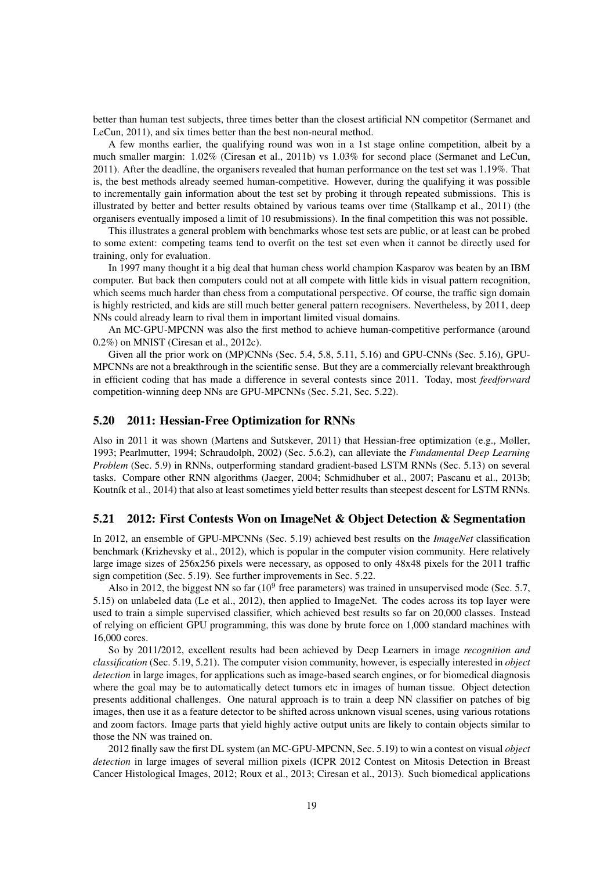better than human test subjects, three times better than the closest artificial NN competitor (Sermanet and LeCun, 2011), and six times better than the best non-neural method.

A few months earlier, the qualifying round was won in a 1st stage online competition, albeit by a much smaller margin: 1.02% (Ciresan et al., 2011b) vs 1.03% for second place (Sermanet and LeCun, 2011). After the deadline, the organisers revealed that human performance on the test set was 1.19%. That is, the best methods already seemed human-competitive. However, during the qualifying it was possible to incrementally gain information about the test set by probing it through repeated submissions. This is illustrated by better and better results obtained by various teams over time (Stallkamp et al., 2011) (the organisers eventually imposed a limit of 10 resubmissions). In the final competition this was not possible.

This illustrates a general problem with benchmarks whose test sets are public, or at least can be probed to some extent: competing teams tend to overfit on the test set even when it cannot be directly used for training, only for evaluation.

In 1997 many thought it a big deal that human chess world champion Kasparov was beaten by an IBM computer. But back then computers could not at all compete with little kids in visual pattern recognition, which seems much harder than chess from a computational perspective. Of course, the traffic sign domain is highly restricted, and kids are still much better general pattern recognisers. Nevertheless, by 2011, deep NNs could already learn to rival them in important limited visual domains.

An MC-GPU-MPCNN was also the first method to achieve human-competitive performance (around 0.2%) on MNIST (Ciresan et al., 2012c).

Given all the prior work on (MP)CNNs (Sec. 5.4, 5.8, 5.11, 5.16) and GPU-CNNs (Sec. 5.16), GPU-MPCNNs are not a breakthrough in the scientific sense. But they are a commercially relevant breakthrough in efficient coding that has made a difference in several contests since 2011. Today, most *feedforward* competition-winning deep NNs are GPU-MPCNNs (Sec. 5.21, Sec. 5.22).

#### 5.20 2011: Hessian-Free Optimization for RNNs

Also in 2011 it was shown (Martens and Sutskever, 2011) that Hessian-free optimization (e.g., Møller, 1993; Pearlmutter, 1994; Schraudolph, 2002) (Sec. 5.6.2), can alleviate the *Fundamental Deep Learning Problem* (Sec. 5.9) in RNNs, outperforming standard gradient-based LSTM RNNs (Sec. 5.13) on several tasks. Compare other RNN algorithms (Jaeger, 2004; Schmidhuber et al., 2007; Pascanu et al., 2013b; Koutník et al., 2014) that also at least sometimes yield better results than steepest descent for LSTM RNNs.

#### 5.21 2012: First Contests Won on ImageNet & Object Detection & Segmentation

In 2012, an ensemble of GPU-MPCNNs (Sec. 5.19) achieved best results on the *ImageNet* classification benchmark (Krizhevsky et al., 2012), which is popular in the computer vision community. Here relatively large image sizes of 256x256 pixels were necessary, as opposed to only 48x48 pixels for the 2011 traffic sign competition (Sec. 5.19). See further improvements in Sec. 5.22.

Also in 2012, the biggest NN so far  $(10^9$  free parameters) was trained in unsupervised mode (Sec. 5.7, 5.15) on unlabeled data (Le et al., 2012), then applied to ImageNet. The codes across its top layer were used to train a simple supervised classifier, which achieved best results so far on 20,000 classes. Instead of relying on efficient GPU programming, this was done by brute force on 1,000 standard machines with 16,000 cores.

So by 2011/2012, excellent results had been achieved by Deep Learners in image *recognition and classification* (Sec. 5.19, 5.21). The computer vision community, however, is especially interested in *object detection* in large images, for applications such as image-based search engines, or for biomedical diagnosis where the goal may be to automatically detect tumors etc in images of human tissue. Object detection presents additional challenges. One natural approach is to train a deep NN classifier on patches of big images, then use it as a feature detector to be shifted across unknown visual scenes, using various rotations and zoom factors. Image parts that yield highly active output units are likely to contain objects similar to those the NN was trained on.

2012 finally saw the first DL system (an MC-GPU-MPCNN, Sec. 5.19) to win a contest on visual *object detection* in large images of several million pixels (ICPR 2012 Contest on Mitosis Detection in Breast Cancer Histological Images, 2012; Roux et al., 2013; Ciresan et al., 2013). Such biomedical applications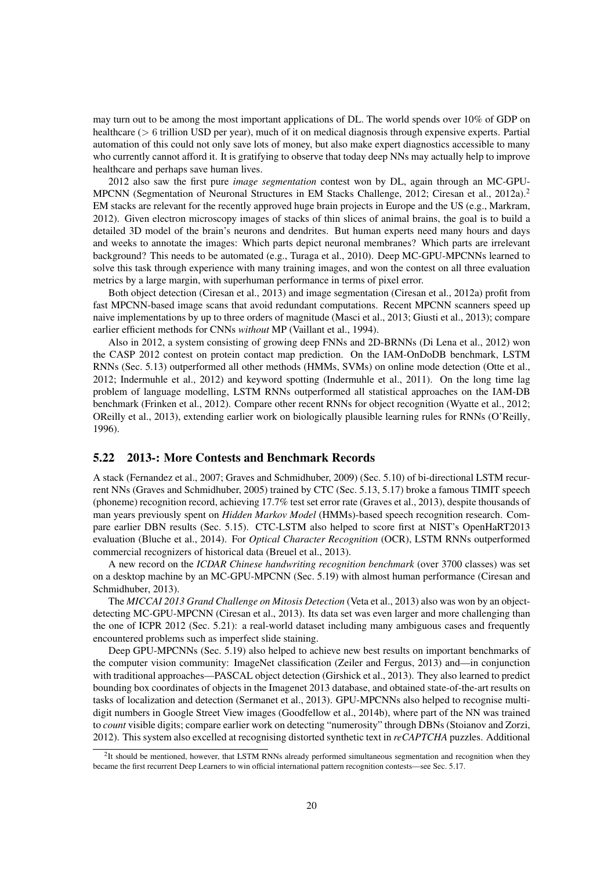may turn out to be among the most important applications of DL. The world spends over 10% of GDP on healthcare (> 6 trillion USD per year), much of it on medical diagnosis through expensive experts. Partial automation of this could not only save lots of money, but also make expert diagnostics accessible to many who currently cannot afford it. It is gratifying to observe that today deep NNs may actually help to improve healthcare and perhaps save human lives.

2012 also saw the first pure *image segmentation* contest won by DL, again through an MC-GPU-MPCNN (Segmentation of Neuronal Structures in EM Stacks Challenge, 2012; Ciresan et al., 2012a).<sup>2</sup> EM stacks are relevant for the recently approved huge brain projects in Europe and the US (e.g., Markram, 2012). Given electron microscopy images of stacks of thin slices of animal brains, the goal is to build a detailed 3D model of the brain's neurons and dendrites. But human experts need many hours and days and weeks to annotate the images: Which parts depict neuronal membranes? Which parts are irrelevant background? This needs to be automated (e.g., Turaga et al., 2010). Deep MC-GPU-MPCNNs learned to solve this task through experience with many training images, and won the contest on all three evaluation metrics by a large margin, with superhuman performance in terms of pixel error.

Both object detection (Ciresan et al., 2013) and image segmentation (Ciresan et al., 2012a) profit from fast MPCNN-based image scans that avoid redundant computations. Recent MPCNN scanners speed up naive implementations by up to three orders of magnitude (Masci et al., 2013; Giusti et al., 2013); compare earlier efficient methods for CNNs *without* MP (Vaillant et al., 1994).

Also in 2012, a system consisting of growing deep FNNs and 2D-BRNNs (Di Lena et al., 2012) won the CASP 2012 contest on protein contact map prediction. On the IAM-OnDoDB benchmark, LSTM RNNs (Sec. 5.13) outperformed all other methods (HMMs, SVMs) on online mode detection (Otte et al., 2012; Indermuhle et al., 2012) and keyword spotting (Indermuhle et al., 2011). On the long time lag problem of language modelling, LSTM RNNs outperformed all statistical approaches on the IAM-DB benchmark (Frinken et al., 2012). Compare other recent RNNs for object recognition (Wyatte et al., 2012; OReilly et al., 2013), extending earlier work on biologically plausible learning rules for RNNs (O'Reilly, 1996).

#### 5.22 2013-: More Contests and Benchmark Records

A stack (Fernandez et al., 2007; Graves and Schmidhuber, 2009) (Sec. 5.10) of bi-directional LSTM recurrent NNs (Graves and Schmidhuber, 2005) trained by CTC (Sec. 5.13, 5.17) broke a famous TIMIT speech (phoneme) recognition record, achieving 17.7% test set error rate (Graves et al., 2013), despite thousands of man years previously spent on *Hidden Markov Model* (HMMs)-based speech recognition research. Compare earlier DBN results (Sec. 5.15). CTC-LSTM also helped to score first at NIST's OpenHaRT2013 evaluation (Bluche et al., 2014). For *Optical Character Recognition* (OCR), LSTM RNNs outperformed commercial recognizers of historical data (Breuel et al., 2013).

A new record on the *ICDAR Chinese handwriting recognition benchmark* (over 3700 classes) was set on a desktop machine by an MC-GPU-MPCNN (Sec. 5.19) with almost human performance (Ciresan and Schmidhuber, 2013).

The *MICCAI 2013 Grand Challenge on Mitosis Detection* (Veta et al., 2013) also was won by an objectdetecting MC-GPU-MPCNN (Ciresan et al., 2013). Its data set was even larger and more challenging than the one of ICPR 2012 (Sec. 5.21): a real-world dataset including many ambiguous cases and frequently encountered problems such as imperfect slide staining.

Deep GPU-MPCNNs (Sec. 5.19) also helped to achieve new best results on important benchmarks of the computer vision community: ImageNet classification (Zeiler and Fergus, 2013) and—in conjunction with traditional approaches—PASCAL object detection (Girshick et al., 2013). They also learned to predict bounding box coordinates of objects in the Imagenet 2013 database, and obtained state-of-the-art results on tasks of localization and detection (Sermanet et al., 2013). GPU-MPCNNs also helped to recognise multidigit numbers in Google Street View images (Goodfellow et al., 2014b), where part of the NN was trained to *count* visible digits; compare earlier work on detecting "numerosity" through DBNs (Stoianov and Zorzi, 2012). This system also excelled at recognising distorted synthetic text in *reCAPTCHA* puzzles. Additional

<sup>&</sup>lt;sup>2</sup>It should be mentioned, however, that LSTM RNNs already performed simultaneous segmentation and recognition when they became the first recurrent Deep Learners to win official international pattern recognition contests—see Sec. 5.17.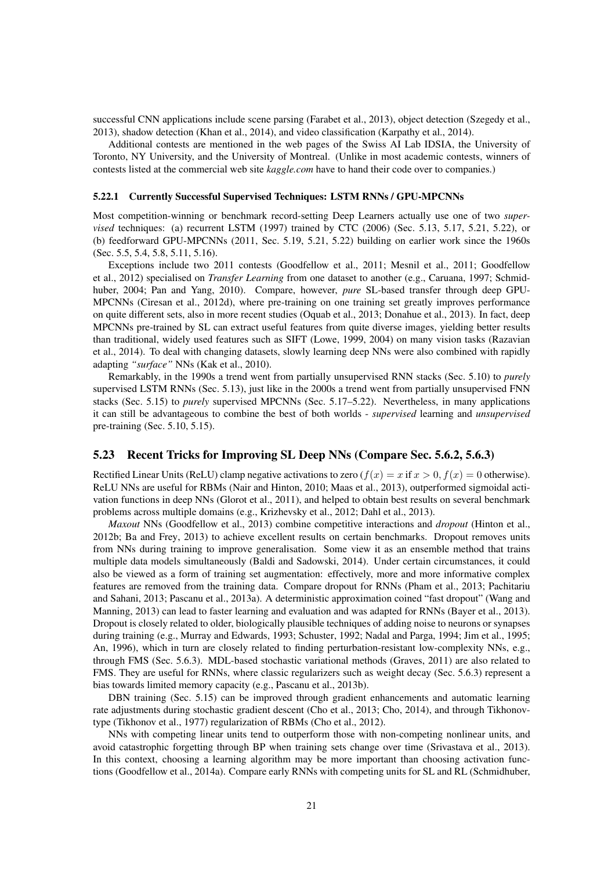successful CNN applications include scene parsing (Farabet et al., 2013), object detection (Szegedy et al., 2013), shadow detection (Khan et al., 2014), and video classification (Karpathy et al., 2014).

Additional contests are mentioned in the web pages of the Swiss AI Lab IDSIA, the University of Toronto, NY University, and the University of Montreal. (Unlike in most academic contests, winners of contests listed at the commercial web site *kaggle.com* have to hand their code over to companies.)

#### 5.22.1 Currently Successful Supervised Techniques: LSTM RNNs / GPU-MPCNNs

Most competition-winning or benchmark record-setting Deep Learners actually use one of two *supervised* techniques: (a) recurrent LSTM (1997) trained by CTC (2006) (Sec. 5.13, 5.17, 5.21, 5.22), or (b) feedforward GPU-MPCNNs (2011, Sec. 5.19, 5.21, 5.22) building on earlier work since the 1960s (Sec. 5.5, 5.4, 5.8, 5.11, 5.16).

Exceptions include two 2011 contests (Goodfellow et al., 2011; Mesnil et al., 2011; Goodfellow et al., 2012) specialised on *Transfer Learning* from one dataset to another (e.g., Caruana, 1997; Schmidhuber, 2004; Pan and Yang, 2010). Compare, however, *pure* SL-based transfer through deep GPU-MPCNNs (Ciresan et al., 2012d), where pre-training on one training set greatly improves performance on quite different sets, also in more recent studies (Oquab et al., 2013; Donahue et al., 2013). In fact, deep MPCNNs pre-trained by SL can extract useful features from quite diverse images, yielding better results than traditional, widely used features such as SIFT (Lowe, 1999, 2004) on many vision tasks (Razavian et al., 2014). To deal with changing datasets, slowly learning deep NNs were also combined with rapidly adapting *"surface"* NNs (Kak et al., 2010).

Remarkably, in the 1990s a trend went from partially unsupervised RNN stacks (Sec. 5.10) to *purely* supervised LSTM RNNs (Sec. 5.13), just like in the 2000s a trend went from partially unsupervised FNN stacks (Sec. 5.15) to *purely* supervised MPCNNs (Sec. 5.17–5.22). Nevertheless, in many applications it can still be advantageous to combine the best of both worlds - *supervised* learning and *unsupervised* pre-training (Sec. 5.10, 5.15).

#### 5.23 Recent Tricks for Improving SL Deep NNs (Compare Sec. 5.6.2, 5.6.3)

Rectified Linear Units (ReLU) clamp negative activations to zero  $(f(x) = x$  if  $x > 0, f(x) = 0$  otherwise). ReLU NNs are useful for RBMs (Nair and Hinton, 2010; Maas et al., 2013), outperformed sigmoidal activation functions in deep NNs (Glorot et al., 2011), and helped to obtain best results on several benchmark problems across multiple domains (e.g., Krizhevsky et al., 2012; Dahl et al., 2013).

*Maxout* NNs (Goodfellow et al., 2013) combine competitive interactions and *dropout* (Hinton et al., 2012b; Ba and Frey, 2013) to achieve excellent results on certain benchmarks. Dropout removes units from NNs during training to improve generalisation. Some view it as an ensemble method that trains multiple data models simultaneously (Baldi and Sadowski, 2014). Under certain circumstances, it could also be viewed as a form of training set augmentation: effectively, more and more informative complex features are removed from the training data. Compare dropout for RNNs (Pham et al., 2013; Pachitariu and Sahani, 2013; Pascanu et al., 2013a). A deterministic approximation coined "fast dropout" (Wang and Manning, 2013) can lead to faster learning and evaluation and was adapted for RNNs (Bayer et al., 2013). Dropout is closely related to older, biologically plausible techniques of adding noise to neurons or synapses during training (e.g., Murray and Edwards, 1993; Schuster, 1992; Nadal and Parga, 1994; Jim et al., 1995; An, 1996), which in turn are closely related to finding perturbation-resistant low-complexity NNs, e.g., through FMS (Sec. 5.6.3). MDL-based stochastic variational methods (Graves, 2011) are also related to FMS. They are useful for RNNs, where classic regularizers such as weight decay (Sec. 5.6.3) represent a bias towards limited memory capacity (e.g., Pascanu et al., 2013b).

DBN training (Sec. 5.15) can be improved through gradient enhancements and automatic learning rate adjustments during stochastic gradient descent (Cho et al., 2013; Cho, 2014), and through Tikhonovtype (Tikhonov et al., 1977) regularization of RBMs (Cho et al., 2012).

NNs with competing linear units tend to outperform those with non-competing nonlinear units, and avoid catastrophic forgetting through BP when training sets change over time (Srivastava et al., 2013). In this context, choosing a learning algorithm may be more important than choosing activation functions (Goodfellow et al., 2014a). Compare early RNNs with competing units for SL and RL (Schmidhuber,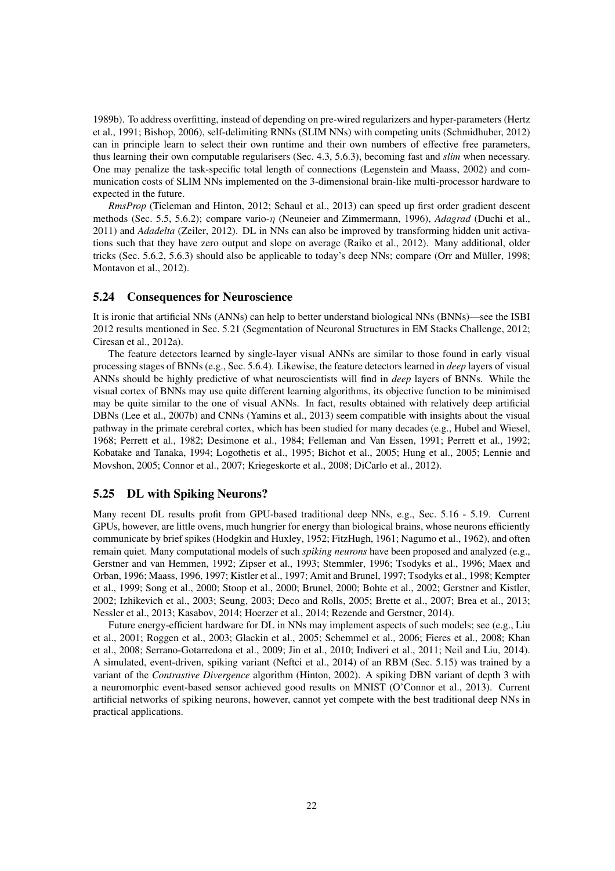1989b). To address overfitting, instead of depending on pre-wired regularizers and hyper-parameters (Hertz et al., 1991; Bishop, 2006), self-delimiting RNNs (SLIM NNs) with competing units (Schmidhuber, 2012) can in principle learn to select their own runtime and their own numbers of effective free parameters, thus learning their own computable regularisers (Sec. 4.3, 5.6.3), becoming fast and *slim* when necessary. One may penalize the task-specific total length of connections (Legenstein and Maass, 2002) and communication costs of SLIM NNs implemented on the 3-dimensional brain-like multi-processor hardware to expected in the future.

*RmsProp* (Tieleman and Hinton, 2012; Schaul et al., 2013) can speed up first order gradient descent methods (Sec. 5.5, 5.6.2); compare vario-η (Neuneier and Zimmermann, 1996), *Adagrad* (Duchi et al., 2011) and *Adadelta* (Zeiler, 2012). DL in NNs can also be improved by transforming hidden unit activations such that they have zero output and slope on average (Raiko et al., 2012). Many additional, older tricks (Sec. 5.6.2, 5.6.3) should also be applicable to today's deep NNs; compare (Orr and Müller, 1998; Montavon et al., 2012).

#### 5.24 Consequences for Neuroscience

It is ironic that artificial NNs (ANNs) can help to better understand biological NNs (BNNs)—see the ISBI 2012 results mentioned in Sec. 5.21 (Segmentation of Neuronal Structures in EM Stacks Challenge, 2012; Ciresan et al., 2012a).

The feature detectors learned by single-layer visual ANNs are similar to those found in early visual processing stages of BNNs (e.g., Sec. 5.6.4). Likewise, the feature detectors learned in *deep* layers of visual ANNs should be highly predictive of what neuroscientists will find in *deep* layers of BNNs. While the visual cortex of BNNs may use quite different learning algorithms, its objective function to be minimised may be quite similar to the one of visual ANNs. In fact, results obtained with relatively deep artificial DBNs (Lee et al., 2007b) and CNNs (Yamins et al., 2013) seem compatible with insights about the visual pathway in the primate cerebral cortex, which has been studied for many decades (e.g., Hubel and Wiesel, 1968; Perrett et al., 1982; Desimone et al., 1984; Felleman and Van Essen, 1991; Perrett et al., 1992; Kobatake and Tanaka, 1994; Logothetis et al., 1995; Bichot et al., 2005; Hung et al., 2005; Lennie and Movshon, 2005; Connor et al., 2007; Kriegeskorte et al., 2008; DiCarlo et al., 2012).

### 5.25 DL with Spiking Neurons?

Many recent DL results profit from GPU-based traditional deep NNs, e.g., Sec. 5.16 - 5.19. Current GPUs, however, are little ovens, much hungrier for energy than biological brains, whose neurons efficiently communicate by brief spikes (Hodgkin and Huxley, 1952; FitzHugh, 1961; Nagumo et al., 1962), and often remain quiet. Many computational models of such *spiking neurons* have been proposed and analyzed (e.g., Gerstner and van Hemmen, 1992; Zipser et al., 1993; Stemmler, 1996; Tsodyks et al., 1996; Maex and Orban, 1996; Maass, 1996, 1997; Kistler et al., 1997; Amit and Brunel, 1997; Tsodyks et al., 1998; Kempter et al., 1999; Song et al., 2000; Stoop et al., 2000; Brunel, 2000; Bohte et al., 2002; Gerstner and Kistler, 2002; Izhikevich et al., 2003; Seung, 2003; Deco and Rolls, 2005; Brette et al., 2007; Brea et al., 2013; Nessler et al., 2013; Kasabov, 2014; Hoerzer et al., 2014; Rezende and Gerstner, 2014).

Future energy-efficient hardware for DL in NNs may implement aspects of such models; see (e.g., Liu et al., 2001; Roggen et al., 2003; Glackin et al., 2005; Schemmel et al., 2006; Fieres et al., 2008; Khan et al., 2008; Serrano-Gotarredona et al., 2009; Jin et al., 2010; Indiveri et al., 2011; Neil and Liu, 2014). A simulated, event-driven, spiking variant (Neftci et al., 2014) of an RBM (Sec. 5.15) was trained by a variant of the *Contrastive Divergence* algorithm (Hinton, 2002). A spiking DBN variant of depth 3 with a neuromorphic event-based sensor achieved good results on MNIST (O'Connor et al., 2013). Current artificial networks of spiking neurons, however, cannot yet compete with the best traditional deep NNs in practical applications.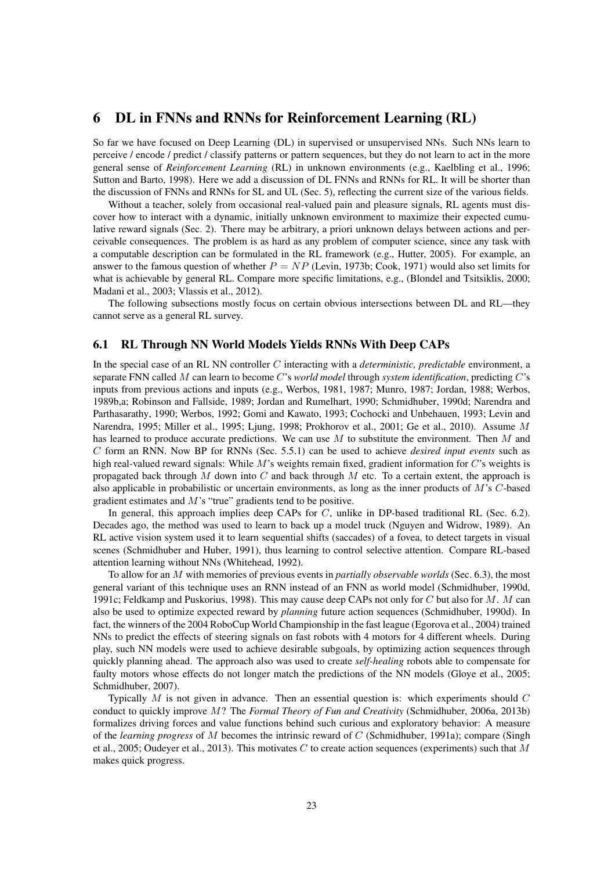## 6 DL in FNNs and RNNs for Reinforcement Learning (RL)

So far we have focused on Deep Learning (DL) in supervised or unsupervised NNs. Such NNs learn to perceive / encode / predict / classify patterns or pattern sequences, but they do not learn to act in the more general sense of *Reinforcement Learning* (RL) in unknown environments (e.g., Kaelbling et al., 1996; Sutton and Barto, 1998). Here we add a discussion of DL FNNs and RNNs for RL. It will be shorter than the discussion of FNNs and RNNs for SL and UL (Sec. 5), reflecting the current size of the various fields.

Without a teacher, solely from occasional real-valued pain and pleasure signals, RL agents must discover how to interact with a dynamic, initially unknown environment to maximize their expected cumulative reward signals (Sec. 2). There may be arbitrary, a priori unknown delays between actions and perceivable consequences. The problem is as hard as any problem of computer science, since any task with a computable description can be formulated in the RL framework (e.g., Hutter, 2005). For example, an answer to the famous question of whether  $P = NP$  (Levin, 1973b; Cook, 1971) would also set limits for what is achievable by general RL. Compare more specific limitations, e.g., (Blondel and Tsitsiklis, 2000; Madani et al., 2003; Vlassis et al., 2012).

The following subsections mostly focus on certain obvious intersections between DL and RL—they cannot serve as a general RL survey.

### 6.1 RL Through NN World Models Yields RNNs With Deep CAPs

In the special case of an RL NN controller C interacting with a *deterministic, predictable* environment, a separate FNN called M can learn to become C's *world model* through *system identification*, predicting C's inputs from previous actions and inputs (e.g., Werbos, 1981, 1987; Munro, 1987; Jordan, 1988; Werbos, 1989b,a; Robinson and Fallside, 1989; Jordan and Rumelhart, 1990; Schmidhuber, 1990d; Narendra and Parthasarathy, 1990; Werbos, 1992; Gomi and Kawato, 1993; Cochocki and Unbehauen, 1993; Levin and Narendra, 1995; Miller et al., 1995; Ljung, 1998; Prokhorov et al., 2001; Ge et al., 2010). Assume M has learned to produce accurate predictions. We can use  $M$  to substitute the environment. Then  $M$  and C form an RNN. Now BP for RNNs (Sec. 5.5.1) can be used to achieve *desired input events* such as high real-valued reward signals: While  $M$ 's weights remain fixed, gradient information for  $C$ 's weights is propagated back through M down into C and back through M etc. To a certain extent, the approach is also applicable in probabilistic or uncertain environments, as long as the inner products of M's C-based gradient estimates and M's "true" gradients tend to be positive.

In general, this approach implies deep CAPs for C, unlike in DP-based traditional RL (Sec. 6.2). Decades ago, the method was used to learn to back up a model truck (Nguyen and Widrow, 1989). An RL active vision system used it to learn sequential shifts (saccades) of a fovea, to detect targets in visual scenes (Schmidhuber and Huber, 1991), thus learning to control selective attention. Compare RL-based attention learning without NNs (Whitehead, 1992).

To allow for an M with memories of previous events in *partially observable worlds* (Sec. 6.3), the most general variant of this technique uses an RNN instead of an FNN as world model (Schmidhuber, 1990d, 1991c; Feldkamp and Puskorius, 1998). This may cause deep CAPs not only for C but also for  $M$ . M can also be used to optimize expected reward by *planning* future action sequences (Schmidhuber, 1990d). In fact, the winners of the 2004 RoboCup World Championship in the fast league (Egorova et al., 2004) trained NNs to predict the effects of steering signals on fast robots with 4 motors for 4 different wheels. During play, such NN models were used to achieve desirable subgoals, by optimizing action sequences through quickly planning ahead. The approach also was used to create *self-healing* robots able to compensate for faulty motors whose effects do not longer match the predictions of the NN models (Gloye et al., 2005; Schmidhuber, 2007).

Typically  $M$  is not given in advance. Then an essential question is: which experiments should  $C$ conduct to quickly improve M? The *Formal Theory of Fun and Creativity* (Schmidhuber, 2006a, 2013b) formalizes driving forces and value functions behind such curious and exploratory behavior: A measure of the *learning progress* of M becomes the intrinsic reward of C (Schmidhuber, 1991a); compare (Singh et al., 2005; Oudeyer et al., 2013). This motivates C to create action sequences (experiments) such that M makes quick progress.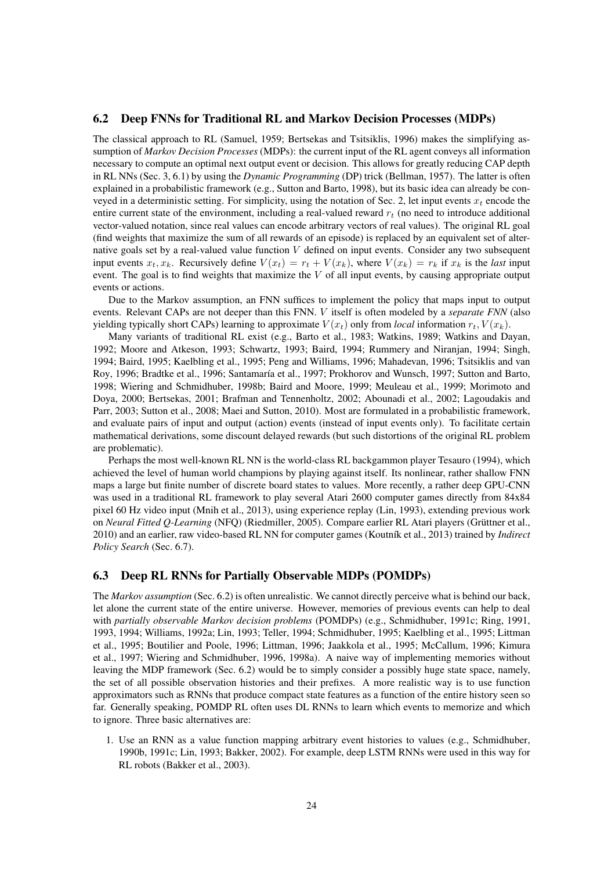### 6.2 Deep FNNs for Traditional RL and Markov Decision Processes (MDPs)

The classical approach to RL (Samuel, 1959; Bertsekas and Tsitsiklis, 1996) makes the simplifying assumption of *Markov Decision Processes* (MDPs): the current input of the RL agent conveys all information necessary to compute an optimal next output event or decision. This allows for greatly reducing CAP depth in RL NNs (Sec. 3, 6.1) by using the *Dynamic Programming* (DP) trick (Bellman, 1957). The latter is often explained in a probabilistic framework (e.g., Sutton and Barto, 1998), but its basic idea can already be conveyed in a deterministic setting. For simplicity, using the notation of Sec. 2, let input events  $x_t$  encode the entire current state of the environment, including a real-valued reward  $r_t$  (no need to introduce additional vector-valued notation, since real values can encode arbitrary vectors of real values). The original RL goal (find weights that maximize the sum of all rewards of an episode) is replaced by an equivalent set of alternative goals set by a real-valued value function V defined on input events. Consider any two subsequent input events  $x_t, x_k$ . Recursively define  $V(x_t) = r_t + V(x_k)$ , where  $V(x_k) = r_k$  if  $x_k$  is the *last* input event. The goal is to find weights that maximize the  $V$  of all input events, by causing appropriate output events or actions.

Due to the Markov assumption, an FNN suffices to implement the policy that maps input to output events. Relevant CAPs are not deeper than this FNN. V itself is often modeled by a *separate FNN* (also yielding typically short CAPs) learning to approximate  $V(x_t)$  only from *local* information  $r_t$ ,  $V(x_k)$ .

Many variants of traditional RL exist (e.g., Barto et al., 1983; Watkins, 1989; Watkins and Dayan, 1992; Moore and Atkeson, 1993; Schwartz, 1993; Baird, 1994; Rummery and Niranjan, 1994; Singh, 1994; Baird, 1995; Kaelbling et al., 1995; Peng and Williams, 1996; Mahadevan, 1996; Tsitsiklis and van Roy, 1996; Bradtke et al., 1996; Santamaría et al., 1997; Prokhorov and Wunsch, 1997; Sutton and Barto, 1998; Wiering and Schmidhuber, 1998b; Baird and Moore, 1999; Meuleau et al., 1999; Morimoto and Doya, 2000; Bertsekas, 2001; Brafman and Tennenholtz, 2002; Abounadi et al., 2002; Lagoudakis and Parr, 2003; Sutton et al., 2008; Maei and Sutton, 2010). Most are formulated in a probabilistic framework, and evaluate pairs of input and output (action) events (instead of input events only). To facilitate certain mathematical derivations, some discount delayed rewards (but such distortions of the original RL problem are problematic).

Perhaps the most well-known RL NN is the world-class RL backgammon player Tesauro (1994), which achieved the level of human world champions by playing against itself. Its nonlinear, rather shallow FNN maps a large but finite number of discrete board states to values. More recently, a rather deep GPU-CNN was used in a traditional RL framework to play several Atari 2600 computer games directly from 84x84 pixel 60 Hz video input (Mnih et al., 2013), using experience replay (Lin, 1993), extending previous work on *Neural Fitted O-Learning* (NFO) (Riedmiller, 2005). Compare earlier RL Atari players (Grüttner et al., 2010) and an earlier, raw video-based RL NN for computer games (Koutník et al., 2013) trained by *Indirect Policy Search* (Sec. 6.7).

### 6.3 Deep RL RNNs for Partially Observable MDPs (POMDPs)

The *Markov assumption* (Sec. 6.2) is often unrealistic. We cannot directly perceive what is behind our back, let alone the current state of the entire universe. However, memories of previous events can help to deal with *partially observable Markov decision problems* (POMDPs) (e.g., Schmidhuber, 1991c; Ring, 1991, 1993, 1994; Williams, 1992a; Lin, 1993; Teller, 1994; Schmidhuber, 1995; Kaelbling et al., 1995; Littman et al., 1995; Boutilier and Poole, 1996; Littman, 1996; Jaakkola et al., 1995; McCallum, 1996; Kimura et al., 1997; Wiering and Schmidhuber, 1996, 1998a). A naive way of implementing memories without leaving the MDP framework (Sec. 6.2) would be to simply consider a possibly huge state space, namely, the set of all possible observation histories and their prefixes. A more realistic way is to use function approximators such as RNNs that produce compact state features as a function of the entire history seen so far. Generally speaking, POMDP RL often uses DL RNNs to learn which events to memorize and which to ignore. Three basic alternatives are:

1. Use an RNN as a value function mapping arbitrary event histories to values (e.g., Schmidhuber, 1990b, 1991c; Lin, 1993; Bakker, 2002). For example, deep LSTM RNNs were used in this way for RL robots (Bakker et al., 2003).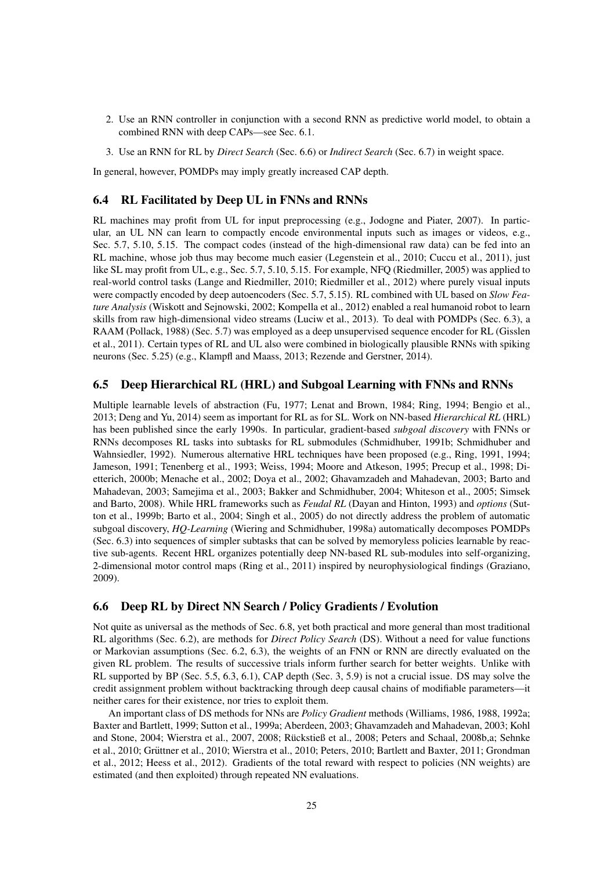- 2. Use an RNN controller in conjunction with a second RNN as predictive world model, to obtain a combined RNN with deep CAPs—see Sec. 6.1.
- 3. Use an RNN for RL by *Direct Search* (Sec. 6.6) or *Indirect Search* (Sec. 6.7) in weight space.

In general, however, POMDPs may imply greatly increased CAP depth.

### 6.4 RL Facilitated by Deep UL in FNNs and RNNs

RL machines may profit from UL for input preprocessing (e.g., Jodogne and Piater, 2007). In particular, an UL NN can learn to compactly encode environmental inputs such as images or videos, e.g., Sec. 5.7, 5.10, 5.15. The compact codes (instead of the high-dimensional raw data) can be fed into an RL machine, whose job thus may become much easier (Legenstein et al., 2010; Cuccu et al., 2011), just like SL may profit from UL, e.g., Sec. 5.7, 5.10, 5.15. For example, NFQ (Riedmiller, 2005) was applied to real-world control tasks (Lange and Riedmiller, 2010; Riedmiller et al., 2012) where purely visual inputs were compactly encoded by deep autoencoders (Sec. 5.7, 5.15). RL combined with UL based on *Slow Feature Analysis* (Wiskott and Sejnowski, 2002; Kompella et al., 2012) enabled a real humanoid robot to learn skills from raw high-dimensional video streams (Luciw et al., 2013). To deal with POMDPs (Sec. 6.3), a RAAM (Pollack, 1988) (Sec. 5.7) was employed as a deep unsupervised sequence encoder for RL (Gisslen et al., 2011). Certain types of RL and UL also were combined in biologically plausible RNNs with spiking neurons (Sec. 5.25) (e.g., Klampfl and Maass, 2013; Rezende and Gerstner, 2014).

#### 6.5 Deep Hierarchical RL (HRL) and Subgoal Learning with FNNs and RNNs

Multiple learnable levels of abstraction (Fu, 1977; Lenat and Brown, 1984; Ring, 1994; Bengio et al., 2013; Deng and Yu, 2014) seem as important for RL as for SL. Work on NN-based *Hierarchical RL* (HRL) has been published since the early 1990s. In particular, gradient-based *subgoal discovery* with FNNs or RNNs decomposes RL tasks into subtasks for RL submodules (Schmidhuber, 1991b; Schmidhuber and Wahnsiedler, 1992). Numerous alternative HRL techniques have been proposed (e.g., Ring, 1991, 1994; Jameson, 1991; Tenenberg et al., 1993; Weiss, 1994; Moore and Atkeson, 1995; Precup et al., 1998; Dietterich, 2000b; Menache et al., 2002; Doya et al., 2002; Ghavamzadeh and Mahadevan, 2003; Barto and Mahadevan, 2003; Samejima et al., 2003; Bakker and Schmidhuber, 2004; Whiteson et al., 2005; Simsek and Barto, 2008). While HRL frameworks such as *Feudal RL* (Dayan and Hinton, 1993) and *options* (Sutton et al., 1999b; Barto et al., 2004; Singh et al., 2005) do not directly address the problem of automatic subgoal discovery, *HQ-Learning* (Wiering and Schmidhuber, 1998a) automatically decomposes POMDPs (Sec. 6.3) into sequences of simpler subtasks that can be solved by memoryless policies learnable by reactive sub-agents. Recent HRL organizes potentially deep NN-based RL sub-modules into self-organizing, 2-dimensional motor control maps (Ring et al., 2011) inspired by neurophysiological findings (Graziano, 2009).

#### 6.6 Deep RL by Direct NN Search / Policy Gradients / Evolution

Not quite as universal as the methods of Sec. 6.8, yet both practical and more general than most traditional RL algorithms (Sec. 6.2), are methods for *Direct Policy Search* (DS). Without a need for value functions or Markovian assumptions (Sec. 6.2, 6.3), the weights of an FNN or RNN are directly evaluated on the given RL problem. The results of successive trials inform further search for better weights. Unlike with RL supported by BP (Sec. 5.5, 6.3, 6.1), CAP depth (Sec. 3, 5.9) is not a crucial issue. DS may solve the credit assignment problem without backtracking through deep causal chains of modifiable parameters—it neither cares for their existence, nor tries to exploit them.

An important class of DS methods for NNs are *Policy Gradient* methods (Williams, 1986, 1988, 1992a; Baxter and Bartlett, 1999; Sutton et al., 1999a; Aberdeen, 2003; Ghavamzadeh and Mahadevan, 2003; Kohl and Stone, 2004; Wierstra et al., 2007, 2008; Rückstieß et al., 2008; Peters and Schaal, 2008b,a; Sehnke et al., 2010; Grüttner et al., 2010; Wierstra et al., 2010; Peters, 2010; Bartlett and Baxter, 2011; Grondman et al., 2012; Heess et al., 2012). Gradients of the total reward with respect to policies (NN weights) are estimated (and then exploited) through repeated NN evaluations.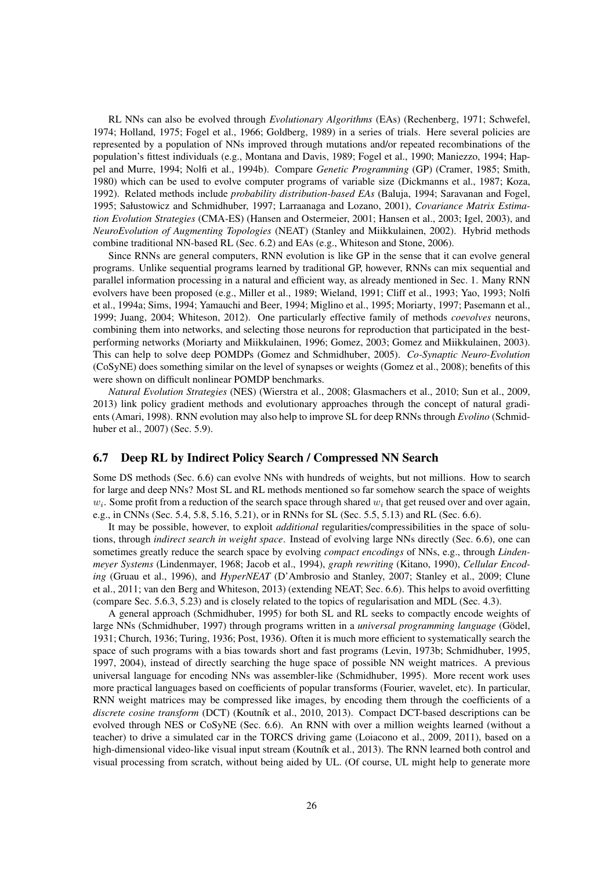RL NNs can also be evolved through *Evolutionary Algorithms* (EAs) (Rechenberg, 1971; Schwefel, 1974; Holland, 1975; Fogel et al., 1966; Goldberg, 1989) in a series of trials. Here several policies are represented by a population of NNs improved through mutations and/or repeated recombinations of the population's fittest individuals (e.g., Montana and Davis, 1989; Fogel et al., 1990; Maniezzo, 1994; Happel and Murre, 1994; Nolfi et al., 1994b). Compare *Genetic Programming* (GP) (Cramer, 1985; Smith, 1980) which can be used to evolve computer programs of variable size (Dickmanns et al., 1987; Koza, 1992). Related methods include *probability distribution-based EAs* (Baluja, 1994; Saravanan and Fogel, 1995; Sałustowicz and Schmidhuber, 1997; Larraanaga and Lozano, 2001), *Covariance Matrix Estimation Evolution Strategies* (CMA-ES) (Hansen and Ostermeier, 2001; Hansen et al., 2003; Igel, 2003), and *NeuroEvolution of Augmenting Topologies* (NEAT) (Stanley and Miikkulainen, 2002). Hybrid methods combine traditional NN-based RL (Sec. 6.2) and EAs (e.g., Whiteson and Stone, 2006).

Since RNNs are general computers, RNN evolution is like GP in the sense that it can evolve general programs. Unlike sequential programs learned by traditional GP, however, RNNs can mix sequential and parallel information processing in a natural and efficient way, as already mentioned in Sec. 1. Many RNN evolvers have been proposed (e.g., Miller et al., 1989; Wieland, 1991; Cliff et al., 1993; Yao, 1993; Nolfi et al., 1994a; Sims, 1994; Yamauchi and Beer, 1994; Miglino et al., 1995; Moriarty, 1997; Pasemann et al., 1999; Juang, 2004; Whiteson, 2012). One particularly effective family of methods *coevolves* neurons, combining them into networks, and selecting those neurons for reproduction that participated in the bestperforming networks (Moriarty and Miikkulainen, 1996; Gomez, 2003; Gomez and Miikkulainen, 2003). This can help to solve deep POMDPs (Gomez and Schmidhuber, 2005). *Co-Synaptic Neuro-Evolution* (CoSyNE) does something similar on the level of synapses or weights (Gomez et al., 2008); benefits of this were shown on difficult nonlinear POMDP benchmarks.

*Natural Evolution Strategies* (NES) (Wierstra et al., 2008; Glasmachers et al., 2010; Sun et al., 2009, 2013) link policy gradient methods and evolutionary approaches through the concept of natural gradients (Amari, 1998). RNN evolution may also help to improve SL for deep RNNs through *Evolino* (Schmidhuber et al., 2007) (Sec. 5.9).

### 6.7 Deep RL by Indirect Policy Search / Compressed NN Search

Some DS methods (Sec. 6.6) can evolve NNs with hundreds of weights, but not millions. How to search for large and deep NNs? Most SL and RL methods mentioned so far somehow search the space of weights  $w_i$ . Some profit from a reduction of the search space through shared  $w_i$  that get reused over and over again, e.g., in CNNs (Sec. 5.4, 5.8, 5.16, 5.21), or in RNNs for SL (Sec. 5.5, 5.13) and RL (Sec. 6.6).

It may be possible, however, to exploit *additional* regularities/compressibilities in the space of solutions, through *indirect search in weight space*. Instead of evolving large NNs directly (Sec. 6.6), one can sometimes greatly reduce the search space by evolving *compact encodings* of NNs, e.g., through *Lindenmeyer Systems* (Lindenmayer, 1968; Jacob et al., 1994), *graph rewriting* (Kitano, 1990), *Cellular Encoding* (Gruau et al., 1996), and *HyperNEAT* (D'Ambrosio and Stanley, 2007; Stanley et al., 2009; Clune et al., 2011; van den Berg and Whiteson, 2013) (extending NEAT; Sec. 6.6). This helps to avoid overfitting (compare Sec. 5.6.3, 5.23) and is closely related to the topics of regularisation and MDL (Sec. 4.3).

A general approach (Schmidhuber, 1995) for both SL and RL seeks to compactly encode weights of large NNs (Schmidhuber, 1997) through programs written in a *universal programming language* (Gödel, 1931; Church, 1936; Turing, 1936; Post, 1936). Often it is much more efficient to systematically search the space of such programs with a bias towards short and fast programs (Levin, 1973b; Schmidhuber, 1995, 1997, 2004), instead of directly searching the huge space of possible NN weight matrices. A previous universal language for encoding NNs was assembler-like (Schmidhuber, 1995). More recent work uses more practical languages based on coefficients of popular transforms (Fourier, wavelet, etc). In particular, RNN weight matrices may be compressed like images, by encoding them through the coefficients of a discrete cosine transform (DCT) (Koutník et al., 2010, 2013). Compact DCT-based descriptions can be evolved through NES or CoSyNE (Sec. 6.6). An RNN with over a million weights learned (without a teacher) to drive a simulated car in the TORCS driving game (Loiacono et al., 2009, 2011), based on a high-dimensional video-like visual input stream (Koutník et al., 2013). The RNN learned both control and visual processing from scratch, without being aided by UL. (Of course, UL might help to generate more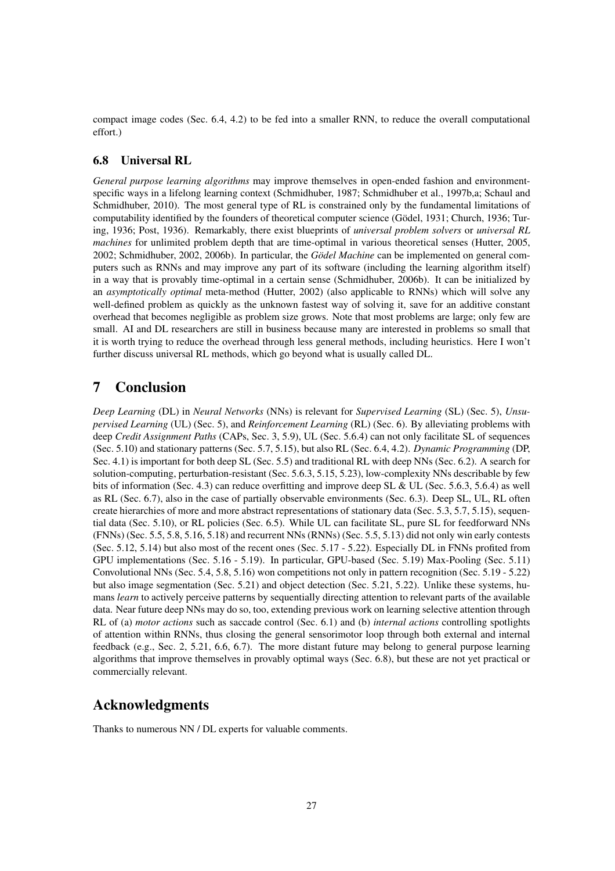compact image codes (Sec. 6.4, 4.2) to be fed into a smaller RNN, to reduce the overall computational effort.)

### 6.8 Universal RL

*General purpose learning algorithms* may improve themselves in open-ended fashion and environmentspecific ways in a lifelong learning context (Schmidhuber, 1987; Schmidhuber et al., 1997b,a; Schaul and Schmidhuber, 2010). The most general type of RL is constrained only by the fundamental limitations of computability identified by the founders of theoretical computer science (Gödel, 1931; Church, 1936; Turing, 1936; Post, 1936). Remarkably, there exist blueprints of *universal problem solvers* or *universal RL machines* for unlimited problem depth that are time-optimal in various theoretical senses (Hutter, 2005, 2002; Schmidhuber, 2002, 2006b). In particular, the *Gödel Machine* can be implemented on general computers such as RNNs and may improve any part of its software (including the learning algorithm itself) in a way that is provably time-optimal in a certain sense (Schmidhuber, 2006b). It can be initialized by an *asymptotically optimal* meta-method (Hutter, 2002) (also applicable to RNNs) which will solve any well-defined problem as quickly as the unknown fastest way of solving it, save for an additive constant overhead that becomes negligible as problem size grows. Note that most problems are large; only few are small. AI and DL researchers are still in business because many are interested in problems so small that it is worth trying to reduce the overhead through less general methods, including heuristics. Here I won't further discuss universal RL methods, which go beyond what is usually called DL.

## 7 Conclusion

*Deep Learning* (DL) in *Neural Networks* (NNs) is relevant for *Supervised Learning* (SL) (Sec. 5), *Unsupervised Learning* (UL) (Sec. 5), and *Reinforcement Learning* (RL) (Sec. 6). By alleviating problems with deep *Credit Assignment Paths* (CAPs, Sec. 3, 5.9), UL (Sec. 5.6.4) can not only facilitate SL of sequences (Sec. 5.10) and stationary patterns (Sec. 5.7, 5.15), but also RL (Sec. 6.4, 4.2). *Dynamic Programming* (DP, Sec. 4.1) is important for both deep SL (Sec. 5.5) and traditional RL with deep NNs (Sec. 6.2). A search for solution-computing, perturbation-resistant (Sec. 5.6.3, 5.15, 5.23), low-complexity NNs describable by few bits of information (Sec. 4.3) can reduce overfitting and improve deep SL & UL (Sec. 5.6.3, 5.6.4) as well as RL (Sec. 6.7), also in the case of partially observable environments (Sec. 6.3). Deep SL, UL, RL often create hierarchies of more and more abstract representations of stationary data (Sec. 5.3, 5.7, 5.15), sequential data (Sec. 5.10), or RL policies (Sec. 6.5). While UL can facilitate SL, pure SL for feedforward NNs (FNNs) (Sec. 5.5, 5.8, 5.16, 5.18) and recurrent NNs (RNNs) (Sec. 5.5, 5.13) did not only win early contests (Sec. 5.12, 5.14) but also most of the recent ones (Sec. 5.17 - 5.22). Especially DL in FNNs profited from GPU implementations (Sec. 5.16 - 5.19). In particular, GPU-based (Sec. 5.19) Max-Pooling (Sec. 5.11) Convolutional NNs (Sec. 5.4, 5.8, 5.16) won competitions not only in pattern recognition (Sec. 5.19 - 5.22) but also image segmentation (Sec. 5.21) and object detection (Sec. 5.21, 5.22). Unlike these systems, humans *learn* to actively perceive patterns by sequentially directing attention to relevant parts of the available data. Near future deep NNs may do so, too, extending previous work on learning selective attention through RL of (a) *motor actions* such as saccade control (Sec. 6.1) and (b) *internal actions* controlling spotlights of attention within RNNs, thus closing the general sensorimotor loop through both external and internal feedback (e.g., Sec. 2, 5.21, 6.6, 6.7). The more distant future may belong to general purpose learning algorithms that improve themselves in provably optimal ways (Sec. 6.8), but these are not yet practical or commercially relevant.

## Acknowledgments

Thanks to numerous NN / DL experts for valuable comments.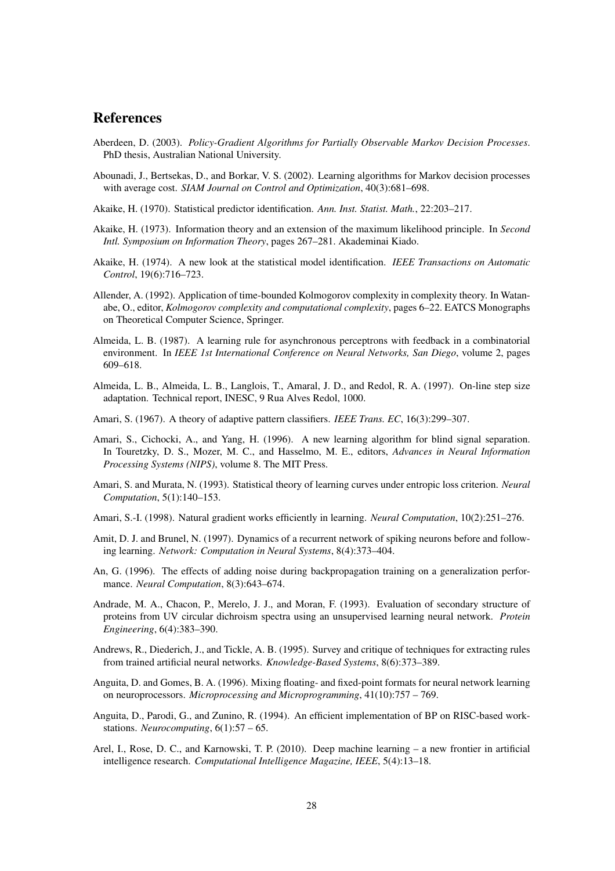## References

- Aberdeen, D. (2003). *Policy-Gradient Algorithms for Partially Observable Markov Decision Processes*. PhD thesis, Australian National University.
- Abounadi, J., Bertsekas, D., and Borkar, V. S. (2002). Learning algorithms for Markov decision processes with average cost. *SIAM Journal on Control and Optimization*, 40(3):681–698.
- Akaike, H. (1970). Statistical predictor identification. *Ann. Inst. Statist. Math.*, 22:203–217.
- Akaike, H. (1973). Information theory and an extension of the maximum likelihood principle. In *Second Intl. Symposium on Information Theory*, pages 267–281. Akademinai Kiado.
- Akaike, H. (1974). A new look at the statistical model identification. *IEEE Transactions on Automatic Control*, 19(6):716–723.
- Allender, A. (1992). Application of time-bounded Kolmogorov complexity in complexity theory. In Watanabe, O., editor, *Kolmogorov complexity and computational complexity*, pages 6–22. EATCS Monographs on Theoretical Computer Science, Springer.
- Almeida, L. B. (1987). A learning rule for asynchronous perceptrons with feedback in a combinatorial environment. In *IEEE 1st International Conference on Neural Networks, San Diego*, volume 2, pages 609–618.
- Almeida, L. B., Almeida, L. B., Langlois, T., Amaral, J. D., and Redol, R. A. (1997). On-line step size adaptation. Technical report, INESC, 9 Rua Alves Redol, 1000.
- Amari, S. (1967). A theory of adaptive pattern classifiers. *IEEE Trans. EC*, 16(3):299–307.
- Amari, S., Cichocki, A., and Yang, H. (1996). A new learning algorithm for blind signal separation. In Touretzky, D. S., Mozer, M. C., and Hasselmo, M. E., editors, *Advances in Neural Information Processing Systems (NIPS)*, volume 8. The MIT Press.
- Amari, S. and Murata, N. (1993). Statistical theory of learning curves under entropic loss criterion. *Neural Computation*, 5(1):140–153.
- Amari, S.-I. (1998). Natural gradient works efficiently in learning. *Neural Computation*, 10(2):251–276.
- Amit, D. J. and Brunel, N. (1997). Dynamics of a recurrent network of spiking neurons before and following learning. *Network: Computation in Neural Systems*, 8(4):373–404.
- An, G. (1996). The effects of adding noise during backpropagation training on a generalization performance. *Neural Computation*, 8(3):643–674.
- Andrade, M. A., Chacon, P., Merelo, J. J., and Moran, F. (1993). Evaluation of secondary structure of proteins from UV circular dichroism spectra using an unsupervised learning neural network. *Protein Engineering*, 6(4):383–390.
- Andrews, R., Diederich, J., and Tickle, A. B. (1995). Survey and critique of techniques for extracting rules from trained artificial neural networks. *Knowledge-Based Systems*, 8(6):373–389.
- Anguita, D. and Gomes, B. A. (1996). Mixing floating- and fixed-point formats for neural network learning on neuroprocessors. *Microprocessing and Microprogramming*, 41(10):757 – 769.
- Anguita, D., Parodi, G., and Zunino, R. (1994). An efficient implementation of BP on RISC-based workstations. *Neurocomputing*, 6(1):57 – 65.
- Arel, I., Rose, D. C., and Karnowski, T. P. (2010). Deep machine learning a new frontier in artificial intelligence research. *Computational Intelligence Magazine, IEEE*, 5(4):13–18.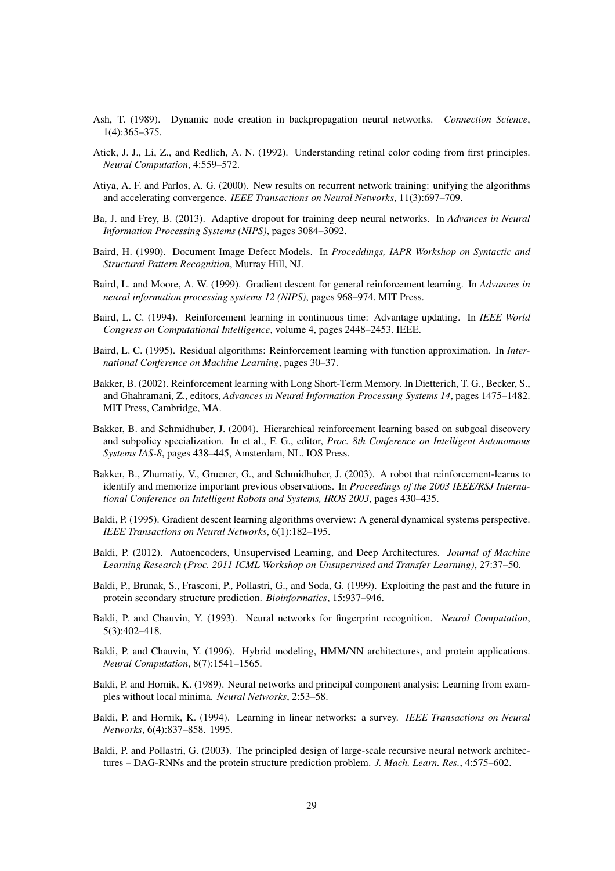- Ash, T. (1989). Dynamic node creation in backpropagation neural networks. *Connection Science*, 1(4):365–375.
- Atick, J. J., Li, Z., and Redlich, A. N. (1992). Understanding retinal color coding from first principles. *Neural Computation*, 4:559–572.
- Atiya, A. F. and Parlos, A. G. (2000). New results on recurrent network training: unifying the algorithms and accelerating convergence. *IEEE Transactions on Neural Networks*, 11(3):697–709.
- Ba, J. and Frey, B. (2013). Adaptive dropout for training deep neural networks. In *Advances in Neural Information Processing Systems (NIPS)*, pages 3084–3092.
- Baird, H. (1990). Document Image Defect Models. In *Proceddings, IAPR Workshop on Syntactic and Structural Pattern Recognition*, Murray Hill, NJ.
- Baird, L. and Moore, A. W. (1999). Gradient descent for general reinforcement learning. In *Advances in neural information processing systems 12 (NIPS)*, pages 968–974. MIT Press.
- Baird, L. C. (1994). Reinforcement learning in continuous time: Advantage updating. In *IEEE World Congress on Computational Intelligence*, volume 4, pages 2448–2453. IEEE.
- Baird, L. C. (1995). Residual algorithms: Reinforcement learning with function approximation. In *International Conference on Machine Learning*, pages 30–37.
- Bakker, B. (2002). Reinforcement learning with Long Short-Term Memory. In Dietterich, T. G., Becker, S., and Ghahramani, Z., editors, *Advances in Neural Information Processing Systems 14*, pages 1475–1482. MIT Press, Cambridge, MA.
- Bakker, B. and Schmidhuber, J. (2004). Hierarchical reinforcement learning based on subgoal discovery and subpolicy specialization. In et al., F. G., editor, *Proc. 8th Conference on Intelligent Autonomous Systems IAS-8*, pages 438–445, Amsterdam, NL. IOS Press.
- Bakker, B., Zhumatiy, V., Gruener, G., and Schmidhuber, J. (2003). A robot that reinforcement-learns to identify and memorize important previous observations. In *Proceedings of the 2003 IEEE/RSJ International Conference on Intelligent Robots and Systems, IROS 2003*, pages 430–435.
- Baldi, P. (1995). Gradient descent learning algorithms overview: A general dynamical systems perspective. *IEEE Transactions on Neural Networks*, 6(1):182–195.
- Baldi, P. (2012). Autoencoders, Unsupervised Learning, and Deep Architectures. *Journal of Machine Learning Research (Proc. 2011 ICML Workshop on Unsupervised and Transfer Learning)*, 27:37–50.
- Baldi, P., Brunak, S., Frasconi, P., Pollastri, G., and Soda, G. (1999). Exploiting the past and the future in protein secondary structure prediction. *Bioinformatics*, 15:937–946.
- Baldi, P. and Chauvin, Y. (1993). Neural networks for fingerprint recognition. *Neural Computation*, 5(3):402–418.
- Baldi, P. and Chauvin, Y. (1996). Hybrid modeling, HMM/NN architectures, and protein applications. *Neural Computation*, 8(7):1541–1565.
- Baldi, P. and Hornik, K. (1989). Neural networks and principal component analysis: Learning from examples without local minima. *Neural Networks*, 2:53–58.
- Baldi, P. and Hornik, K. (1994). Learning in linear networks: a survey. *IEEE Transactions on Neural Networks*, 6(4):837–858. 1995.
- Baldi, P. and Pollastri, G. (2003). The principled design of large-scale recursive neural network architectures – DAG-RNNs and the protein structure prediction problem. *J. Mach. Learn. Res.*, 4:575–602.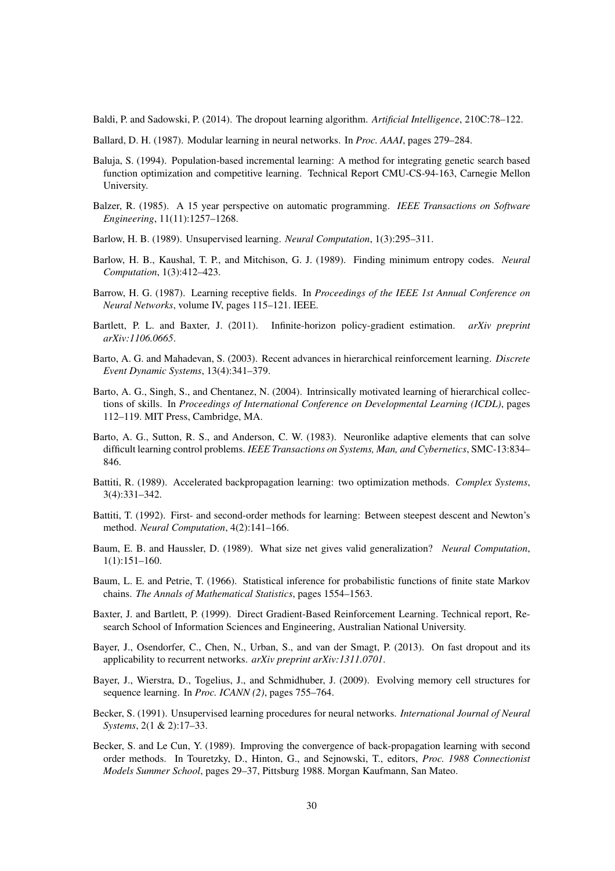Baldi, P. and Sadowski, P. (2014). The dropout learning algorithm. *Artificial Intelligence*, 210C:78–122.

- Ballard, D. H. (1987). Modular learning in neural networks. In *Proc. AAAI*, pages 279–284.
- Baluja, S. (1994). Population-based incremental learning: A method for integrating genetic search based function optimization and competitive learning. Technical Report CMU-CS-94-163, Carnegie Mellon University.
- Balzer, R. (1985). A 15 year perspective on automatic programming. *IEEE Transactions on Software Engineering*, 11(11):1257–1268.
- Barlow, H. B. (1989). Unsupervised learning. *Neural Computation*, 1(3):295–311.
- Barlow, H. B., Kaushal, T. P., and Mitchison, G. J. (1989). Finding minimum entropy codes. *Neural Computation*, 1(3):412–423.
- Barrow, H. G. (1987). Learning receptive fields. In *Proceedings of the IEEE 1st Annual Conference on Neural Networks*, volume IV, pages 115–121. IEEE.
- Bartlett, P. L. and Baxter, J. (2011). Infinite-horizon policy-gradient estimation. *arXiv preprint arXiv:1106.0665*.
- Barto, A. G. and Mahadevan, S. (2003). Recent advances in hierarchical reinforcement learning. *Discrete Event Dynamic Systems*, 13(4):341–379.
- Barto, A. G., Singh, S., and Chentanez, N. (2004). Intrinsically motivated learning of hierarchical collections of skills. In *Proceedings of International Conference on Developmental Learning (ICDL)*, pages 112–119. MIT Press, Cambridge, MA.
- Barto, A. G., Sutton, R. S., and Anderson, C. W. (1983). Neuronlike adaptive elements that can solve difficult learning control problems. *IEEE Transactions on Systems, Man, and Cybernetics*, SMC-13:834– 846.
- Battiti, R. (1989). Accelerated backpropagation learning: two optimization methods. *Complex Systems*, 3(4):331–342.
- Battiti, T. (1992). First- and second-order methods for learning: Between steepest descent and Newton's method. *Neural Computation*, 4(2):141–166.
- Baum, E. B. and Haussler, D. (1989). What size net gives valid generalization? *Neural Computation*, 1(1):151–160.
- Baum, L. E. and Petrie, T. (1966). Statistical inference for probabilistic functions of finite state Markov chains. *The Annals of Mathematical Statistics*, pages 1554–1563.
- Baxter, J. and Bartlett, P. (1999). Direct Gradient-Based Reinforcement Learning. Technical report, Research School of Information Sciences and Engineering, Australian National University.
- Bayer, J., Osendorfer, C., Chen, N., Urban, S., and van der Smagt, P. (2013). On fast dropout and its applicability to recurrent networks. *arXiv preprint arXiv:1311.0701*.
- Bayer, J., Wierstra, D., Togelius, J., and Schmidhuber, J. (2009). Evolving memory cell structures for sequence learning. In *Proc. ICANN (2)*, pages 755–764.
- Becker, S. (1991). Unsupervised learning procedures for neural networks. *International Journal of Neural Systems*, 2(1 & 2):17–33.
- Becker, S. and Le Cun, Y. (1989). Improving the convergence of back-propagation learning with second order methods. In Touretzky, D., Hinton, G., and Sejnowski, T., editors, *Proc. 1988 Connectionist Models Summer School*, pages 29–37, Pittsburg 1988. Morgan Kaufmann, San Mateo.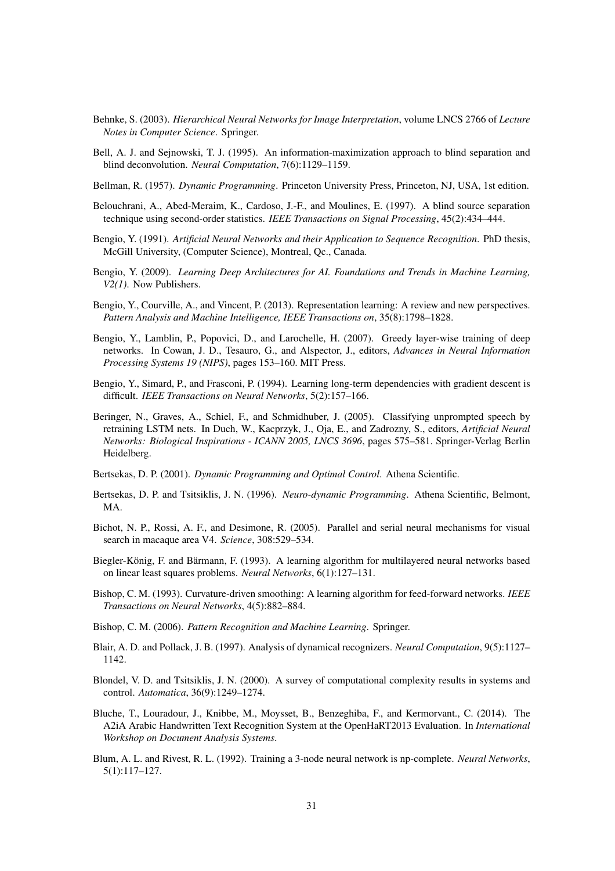- Behnke, S. (2003). *Hierarchical Neural Networks for Image Interpretation*, volume LNCS 2766 of *Lecture Notes in Computer Science*. Springer.
- Bell, A. J. and Sejnowski, T. J. (1995). An information-maximization approach to blind separation and blind deconvolution. *Neural Computation*, 7(6):1129–1159.
- Bellman, R. (1957). *Dynamic Programming*. Princeton University Press, Princeton, NJ, USA, 1st edition.
- Belouchrani, A., Abed-Meraim, K., Cardoso, J.-F., and Moulines, E. (1997). A blind source separation technique using second-order statistics. *IEEE Transactions on Signal Processing*, 45(2):434–444.
- Bengio, Y. (1991). *Artificial Neural Networks and their Application to Sequence Recognition*. PhD thesis, McGill University, (Computer Science), Montreal, Qc., Canada.
- Bengio, Y. (2009). *Learning Deep Architectures for AI. Foundations and Trends in Machine Learning, V2(1)*. Now Publishers.
- Bengio, Y., Courville, A., and Vincent, P. (2013). Representation learning: A review and new perspectives. *Pattern Analysis and Machine Intelligence, IEEE Transactions on*, 35(8):1798–1828.
- Bengio, Y., Lamblin, P., Popovici, D., and Larochelle, H. (2007). Greedy layer-wise training of deep networks. In Cowan, J. D., Tesauro, G., and Alspector, J., editors, *Advances in Neural Information Processing Systems 19 (NIPS)*, pages 153–160. MIT Press.
- Bengio, Y., Simard, P., and Frasconi, P. (1994). Learning long-term dependencies with gradient descent is difficult. *IEEE Transactions on Neural Networks*, 5(2):157–166.
- Beringer, N., Graves, A., Schiel, F., and Schmidhuber, J. (2005). Classifying unprompted speech by retraining LSTM nets. In Duch, W., Kacprzyk, J., Oja, E., and Zadrozny, S., editors, *Artificial Neural Networks: Biological Inspirations - ICANN 2005, LNCS 3696*, pages 575–581. Springer-Verlag Berlin Heidelberg.
- Bertsekas, D. P. (2001). *Dynamic Programming and Optimal Control*. Athena Scientific.
- Bertsekas, D. P. and Tsitsiklis, J. N. (1996). *Neuro-dynamic Programming*. Athena Scientific, Belmont, MA.
- Bichot, N. P., Rossi, A. F., and Desimone, R. (2005). Parallel and serial neural mechanisms for visual search in macaque area V4. *Science*, 308:529–534.
- Biegler-König, F. and Bärmann, F. (1993). A learning algorithm for multilayered neural networks based on linear least squares problems. *Neural Networks*, 6(1):127–131.
- Bishop, C. M. (1993). Curvature-driven smoothing: A learning algorithm for feed-forward networks. *IEEE Transactions on Neural Networks*, 4(5):882–884.
- Bishop, C. M. (2006). *Pattern Recognition and Machine Learning*. Springer.
- Blair, A. D. and Pollack, J. B. (1997). Analysis of dynamical recognizers. *Neural Computation*, 9(5):1127– 1142.
- Blondel, V. D. and Tsitsiklis, J. N. (2000). A survey of computational complexity results in systems and control. *Automatica*, 36(9):1249–1274.
- Bluche, T., Louradour, J., Knibbe, M., Moysset, B., Benzeghiba, F., and Kermorvant., C. (2014). The A2iA Arabic Handwritten Text Recognition System at the OpenHaRT2013 Evaluation. In *International Workshop on Document Analysis Systems*.
- Blum, A. L. and Rivest, R. L. (1992). Training a 3-node neural network is np-complete. *Neural Networks*, 5(1):117–127.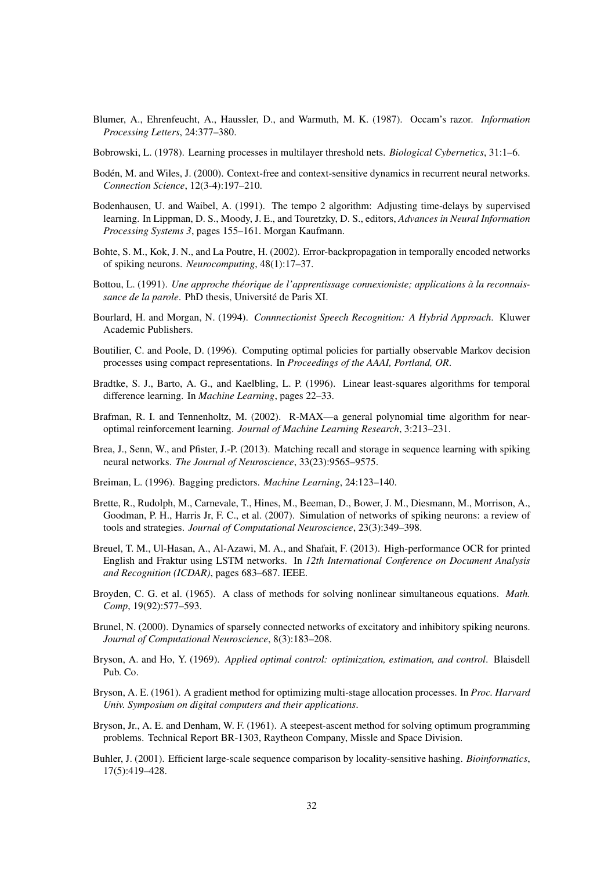- Blumer, A., Ehrenfeucht, A., Haussler, D., and Warmuth, M. K. (1987). Occam's razor. *Information Processing Letters*, 24:377–380.
- Bobrowski, L. (1978). Learning processes in multilayer threshold nets. *Biological Cybernetics*, 31:1–6.
- Bodén, M. and Wiles, J. (2000). Context-free and context-sensitive dynamics in recurrent neural networks. *Connection Science*, 12(3-4):197–210.
- Bodenhausen, U. and Waibel, A. (1991). The tempo 2 algorithm: Adjusting time-delays by supervised learning. In Lippman, D. S., Moody, J. E., and Touretzky, D. S., editors, *Advances in Neural Information Processing Systems 3*, pages 155–161. Morgan Kaufmann.
- Bohte, S. M., Kok, J. N., and La Poutre, H. (2002). Error-backpropagation in temporally encoded networks of spiking neurons. *Neurocomputing*, 48(1):17–37.
- Bottou, L. (1991). *Une approche théorique de l'apprentissage connexioniste; applications à la reconnaissance de la parole*. PhD thesis, Universite de Paris XI. ´
- Bourlard, H. and Morgan, N. (1994). *Connnectionist Speech Recognition: A Hybrid Approach*. Kluwer Academic Publishers.
- Boutilier, C. and Poole, D. (1996). Computing optimal policies for partially observable Markov decision processes using compact representations. In *Proceedings of the AAAI, Portland, OR*.
- Bradtke, S. J., Barto, A. G., and Kaelbling, L. P. (1996). Linear least-squares algorithms for temporal difference learning. In *Machine Learning*, pages 22–33.
- Brafman, R. I. and Tennenholtz, M. (2002). R-MAX—a general polynomial time algorithm for nearoptimal reinforcement learning. *Journal of Machine Learning Research*, 3:213–231.
- Brea, J., Senn, W., and Pfister, J.-P. (2013). Matching recall and storage in sequence learning with spiking neural networks. *The Journal of Neuroscience*, 33(23):9565–9575.
- Breiman, L. (1996). Bagging predictors. *Machine Learning*, 24:123–140.
- Brette, R., Rudolph, M., Carnevale, T., Hines, M., Beeman, D., Bower, J. M., Diesmann, M., Morrison, A., Goodman, P. H., Harris Jr, F. C., et al. (2007). Simulation of networks of spiking neurons: a review of tools and strategies. *Journal of Computational Neuroscience*, 23(3):349–398.
- Breuel, T. M., Ul-Hasan, A., Al-Azawi, M. A., and Shafait, F. (2013). High-performance OCR for printed English and Fraktur using LSTM networks. In *12th International Conference on Document Analysis and Recognition (ICDAR)*, pages 683–687. IEEE.
- Broyden, C. G. et al. (1965). A class of methods for solving nonlinear simultaneous equations. *Math. Comp*, 19(92):577–593.
- Brunel, N. (2000). Dynamics of sparsely connected networks of excitatory and inhibitory spiking neurons. *Journal of Computational Neuroscience*, 8(3):183–208.
- Bryson, A. and Ho, Y. (1969). *Applied optimal control: optimization, estimation, and control*. Blaisdell Pub. Co.
- Bryson, A. E. (1961). A gradient method for optimizing multi-stage allocation processes. In *Proc. Harvard Univ. Symposium on digital computers and their applications*.
- Bryson, Jr., A. E. and Denham, W. F. (1961). A steepest-ascent method for solving optimum programming problems. Technical Report BR-1303, Raytheon Company, Missle and Space Division.
- Buhler, J. (2001). Efficient large-scale sequence comparison by locality-sensitive hashing. *Bioinformatics*, 17(5):419–428.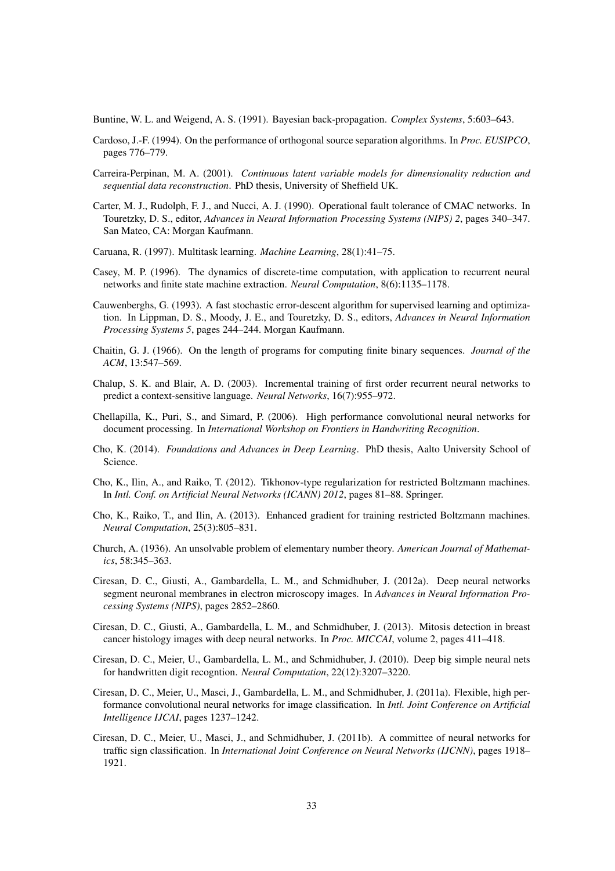Buntine, W. L. and Weigend, A. S. (1991). Bayesian back-propagation. *Complex Systems*, 5:603–643.

- Cardoso, J.-F. (1994). On the performance of orthogonal source separation algorithms. In *Proc. EUSIPCO*, pages 776–779.
- Carreira-Perpinan, M. A. (2001). *Continuous latent variable models for dimensionality reduction and sequential data reconstruction*. PhD thesis, University of Sheffield UK.
- Carter, M. J., Rudolph, F. J., and Nucci, A. J. (1990). Operational fault tolerance of CMAC networks. In Touretzky, D. S., editor, *Advances in Neural Information Processing Systems (NIPS) 2*, pages 340–347. San Mateo, CA: Morgan Kaufmann.
- Caruana, R. (1997). Multitask learning. *Machine Learning*, 28(1):41–75.
- Casey, M. P. (1996). The dynamics of discrete-time computation, with application to recurrent neural networks and finite state machine extraction. *Neural Computation*, 8(6):1135–1178.
- Cauwenberghs, G. (1993). A fast stochastic error-descent algorithm for supervised learning and optimization. In Lippman, D. S., Moody, J. E., and Touretzky, D. S., editors, *Advances in Neural Information Processing Systems 5*, pages 244–244. Morgan Kaufmann.
- Chaitin, G. J. (1966). On the length of programs for computing finite binary sequences. *Journal of the ACM*, 13:547–569.
- Chalup, S. K. and Blair, A. D. (2003). Incremental training of first order recurrent neural networks to predict a context-sensitive language. *Neural Networks*, 16(7):955–972.
- Chellapilla, K., Puri, S., and Simard, P. (2006). High performance convolutional neural networks for document processing. In *International Workshop on Frontiers in Handwriting Recognition*.
- Cho, K. (2014). *Foundations and Advances in Deep Learning*. PhD thesis, Aalto University School of Science.
- Cho, K., Ilin, A., and Raiko, T. (2012). Tikhonov-type regularization for restricted Boltzmann machines. In *Intl. Conf. on Artificial Neural Networks (ICANN) 2012*, pages 81–88. Springer.
- Cho, K., Raiko, T., and Ilin, A. (2013). Enhanced gradient for training restricted Boltzmann machines. *Neural Computation*, 25(3):805–831.
- Church, A. (1936). An unsolvable problem of elementary number theory. *American Journal of Mathematics*, 58:345–363.
- Ciresan, D. C., Giusti, A., Gambardella, L. M., and Schmidhuber, J. (2012a). Deep neural networks segment neuronal membranes in electron microscopy images. In *Advances in Neural Information Processing Systems (NIPS)*, pages 2852–2860.
- Ciresan, D. C., Giusti, A., Gambardella, L. M., and Schmidhuber, J. (2013). Mitosis detection in breast cancer histology images with deep neural networks. In *Proc. MICCAI*, volume 2, pages 411–418.
- Ciresan, D. C., Meier, U., Gambardella, L. M., and Schmidhuber, J. (2010). Deep big simple neural nets for handwritten digit recogntion. *Neural Computation*, 22(12):3207–3220.
- Ciresan, D. C., Meier, U., Masci, J., Gambardella, L. M., and Schmidhuber, J. (2011a). Flexible, high performance convolutional neural networks for image classification. In *Intl. Joint Conference on Artificial Intelligence IJCAI*, pages 1237–1242.
- Ciresan, D. C., Meier, U., Masci, J., and Schmidhuber, J. (2011b). A committee of neural networks for traffic sign classification. In *International Joint Conference on Neural Networks (IJCNN)*, pages 1918– 1921.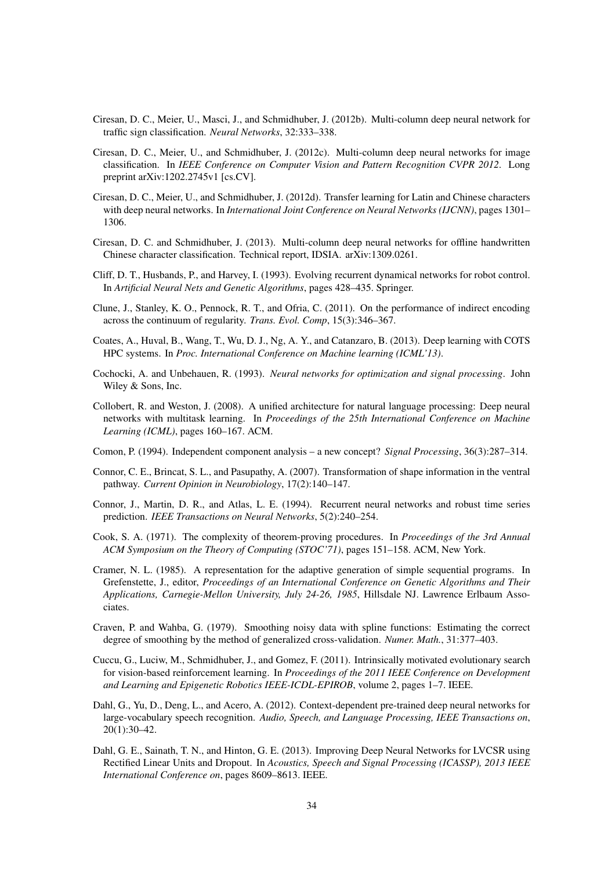- Ciresan, D. C., Meier, U., Masci, J., and Schmidhuber, J. (2012b). Multi-column deep neural network for traffic sign classification. *Neural Networks*, 32:333–338.
- Ciresan, D. C., Meier, U., and Schmidhuber, J. (2012c). Multi-column deep neural networks for image classification. In *IEEE Conference on Computer Vision and Pattern Recognition CVPR 2012*. Long preprint arXiv:1202.2745v1 [cs.CV].
- Ciresan, D. C., Meier, U., and Schmidhuber, J. (2012d). Transfer learning for Latin and Chinese characters with deep neural networks. In *International Joint Conference on Neural Networks (IJCNN)*, pages 1301– 1306.
- Ciresan, D. C. and Schmidhuber, J. (2013). Multi-column deep neural networks for offline handwritten Chinese character classification. Technical report, IDSIA. arXiv:1309.0261.
- Cliff, D. T., Husbands, P., and Harvey, I. (1993). Evolving recurrent dynamical networks for robot control. In *Artificial Neural Nets and Genetic Algorithms*, pages 428–435. Springer.
- Clune, J., Stanley, K. O., Pennock, R. T., and Ofria, C. (2011). On the performance of indirect encoding across the continuum of regularity. *Trans. Evol. Comp*, 15(3):346–367.
- Coates, A., Huval, B., Wang, T., Wu, D. J., Ng, A. Y., and Catanzaro, B. (2013). Deep learning with COTS HPC systems. In *Proc. International Conference on Machine learning (ICML'13)*.
- Cochocki, A. and Unbehauen, R. (1993). *Neural networks for optimization and signal processing*. John Wiley & Sons, Inc.
- Collobert, R. and Weston, J. (2008). A unified architecture for natural language processing: Deep neural networks with multitask learning. In *Proceedings of the 25th International Conference on Machine Learning (ICML)*, pages 160–167. ACM.
- Comon, P. (1994). Independent component analysis a new concept? *Signal Processing*, 36(3):287–314.
- Connor, C. E., Brincat, S. L., and Pasupathy, A. (2007). Transformation of shape information in the ventral pathway. *Current Opinion in Neurobiology*, 17(2):140–147.
- Connor, J., Martin, D. R., and Atlas, L. E. (1994). Recurrent neural networks and robust time series prediction. *IEEE Transactions on Neural Networks*, 5(2):240–254.
- Cook, S. A. (1971). The complexity of theorem-proving procedures. In *Proceedings of the 3rd Annual ACM Symposium on the Theory of Computing (STOC'71)*, pages 151–158. ACM, New York.
- Cramer, N. L. (1985). A representation for the adaptive generation of simple sequential programs. In Grefenstette, J., editor, *Proceedings of an International Conference on Genetic Algorithms and Their Applications, Carnegie-Mellon University, July 24-26, 1985*, Hillsdale NJ. Lawrence Erlbaum Associates.
- Craven, P. and Wahba, G. (1979). Smoothing noisy data with spline functions: Estimating the correct degree of smoothing by the method of generalized cross-validation. *Numer. Math.*, 31:377–403.
- Cuccu, G., Luciw, M., Schmidhuber, J., and Gomez, F. (2011). Intrinsically motivated evolutionary search for vision-based reinforcement learning. In *Proceedings of the 2011 IEEE Conference on Development and Learning and Epigenetic Robotics IEEE-ICDL-EPIROB*, volume 2, pages 1–7. IEEE.
- Dahl, G., Yu, D., Deng, L., and Acero, A. (2012). Context-dependent pre-trained deep neural networks for large-vocabulary speech recognition. *Audio, Speech, and Language Processing, IEEE Transactions on*, 20(1):30–42.
- Dahl, G. E., Sainath, T. N., and Hinton, G. E. (2013). Improving Deep Neural Networks for LVCSR using Rectified Linear Units and Dropout. In *Acoustics, Speech and Signal Processing (ICASSP), 2013 IEEE International Conference on*, pages 8609–8613. IEEE.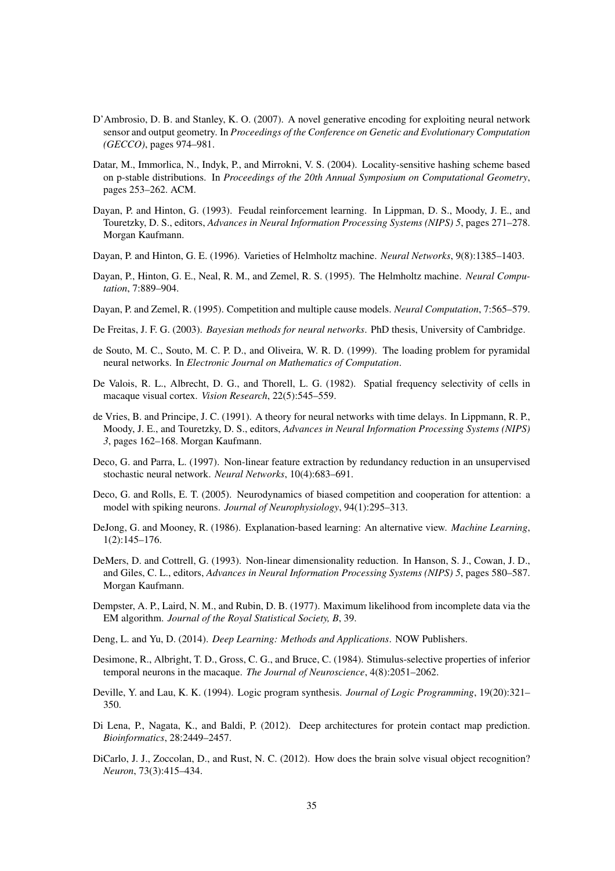- D'Ambrosio, D. B. and Stanley, K. O. (2007). A novel generative encoding for exploiting neural network sensor and output geometry. In *Proceedings of the Conference on Genetic and Evolutionary Computation (GECCO)*, pages 974–981.
- Datar, M., Immorlica, N., Indyk, P., and Mirrokni, V. S. (2004). Locality-sensitive hashing scheme based on p-stable distributions. In *Proceedings of the 20th Annual Symposium on Computational Geometry*, pages 253–262. ACM.
- Dayan, P. and Hinton, G. (1993). Feudal reinforcement learning. In Lippman, D. S., Moody, J. E., and Touretzky, D. S., editors, *Advances in Neural Information Processing Systems (NIPS) 5*, pages 271–278. Morgan Kaufmann.
- Dayan, P. and Hinton, G. E. (1996). Varieties of Helmholtz machine. *Neural Networks*, 9(8):1385–1403.
- Dayan, P., Hinton, G. E., Neal, R. M., and Zemel, R. S. (1995). The Helmholtz machine. *Neural Computation*, 7:889–904.
- Dayan, P. and Zemel, R. (1995). Competition and multiple cause models. *Neural Computation*, 7:565–579.
- De Freitas, J. F. G. (2003). *Bayesian methods for neural networks*. PhD thesis, University of Cambridge.
- de Souto, M. C., Souto, M. C. P. D., and Oliveira, W. R. D. (1999). The loading problem for pyramidal neural networks. In *Electronic Journal on Mathematics of Computation*.
- De Valois, R. L., Albrecht, D. G., and Thorell, L. G. (1982). Spatial frequency selectivity of cells in macaque visual cortex. *Vision Research*, 22(5):545–559.
- de Vries, B. and Principe, J. C. (1991). A theory for neural networks with time delays. In Lippmann, R. P., Moody, J. E., and Touretzky, D. S., editors, *Advances in Neural Information Processing Systems (NIPS) 3*, pages 162–168. Morgan Kaufmann.
- Deco, G. and Parra, L. (1997). Non-linear feature extraction by redundancy reduction in an unsupervised stochastic neural network. *Neural Networks*, 10(4):683–691.
- Deco, G. and Rolls, E. T. (2005). Neurodynamics of biased competition and cooperation for attention: a model with spiking neurons. *Journal of Neurophysiology*, 94(1):295–313.
- DeJong, G. and Mooney, R. (1986). Explanation-based learning: An alternative view. *Machine Learning*, 1(2):145–176.
- DeMers, D. and Cottrell, G. (1993). Non-linear dimensionality reduction. In Hanson, S. J., Cowan, J. D., and Giles, C. L., editors, *Advances in Neural Information Processing Systems (NIPS) 5*, pages 580–587. Morgan Kaufmann.
- Dempster, A. P., Laird, N. M., and Rubin, D. B. (1977). Maximum likelihood from incomplete data via the EM algorithm. *Journal of the Royal Statistical Society, B*, 39.
- Deng, L. and Yu, D. (2014). *Deep Learning: Methods and Applications*. NOW Publishers.
- Desimone, R., Albright, T. D., Gross, C. G., and Bruce, C. (1984). Stimulus-selective properties of inferior temporal neurons in the macaque. *The Journal of Neuroscience*, 4(8):2051–2062.
- Deville, Y. and Lau, K. K. (1994). Logic program synthesis. *Journal of Logic Programming*, 19(20):321– 350.
- Di Lena, P., Nagata, K., and Baldi, P. (2012). Deep architectures for protein contact map prediction. *Bioinformatics*, 28:2449–2457.
- DiCarlo, J. J., Zoccolan, D., and Rust, N. C. (2012). How does the brain solve visual object recognition? *Neuron*, 73(3):415–434.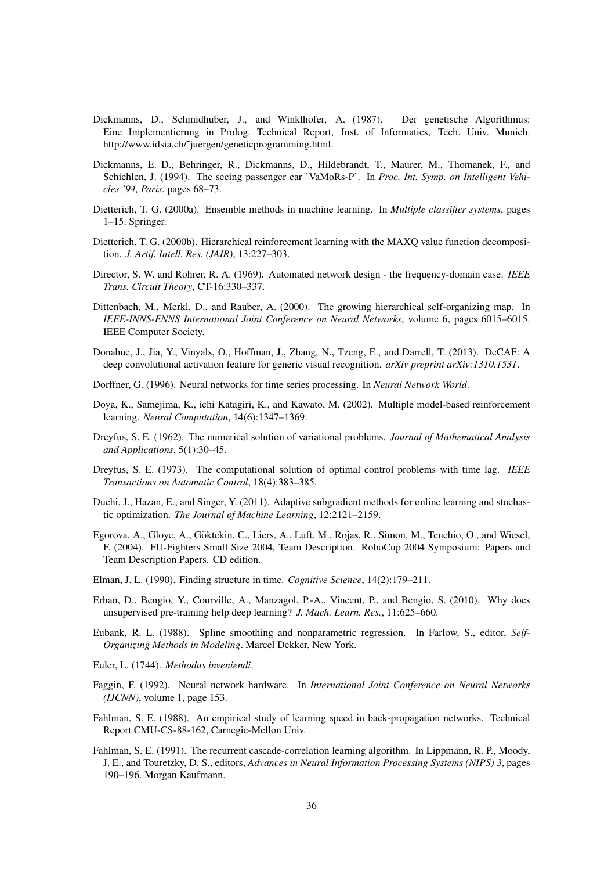- Dickmanns, D., Schmidhuber, J., and Winklhofer, A. (1987). Der genetische Algorithmus: Eine Implementierung in Prolog. Technical Report, Inst. of Informatics, Tech. Univ. Munich. http://www.idsia.ch/˜juergen/geneticprogramming.html.
- Dickmanns, E. D., Behringer, R., Dickmanns, D., Hildebrandt, T., Maurer, M., Thomanek, F., and Schiehlen, J. (1994). The seeing passenger car 'VaMoRs-P'. In *Proc. Int. Symp. on Intelligent Vehicles '94, Paris*, pages 68–73.
- Dietterich, T. G. (2000a). Ensemble methods in machine learning. In *Multiple classifier systems*, pages 1–15. Springer.
- Dietterich, T. G. (2000b). Hierarchical reinforcement learning with the MAXQ value function decomposition. *J. Artif. Intell. Res. (JAIR)*, 13:227–303.
- Director, S. W. and Rohrer, R. A. (1969). Automated network design the frequency-domain case. *IEEE Trans. Circuit Theory*, CT-16:330–337.
- Dittenbach, M., Merkl, D., and Rauber, A. (2000). The growing hierarchical self-organizing map. In *IEEE-INNS-ENNS International Joint Conference on Neural Networks*, volume 6, pages 6015–6015. IEEE Computer Society.
- Donahue, J., Jia, Y., Vinyals, O., Hoffman, J., Zhang, N., Tzeng, E., and Darrell, T. (2013). DeCAF: A deep convolutional activation feature for generic visual recognition. *arXiv preprint arXiv:1310.1531*.
- Dorffner, G. (1996). Neural networks for time series processing. In *Neural Network World*.
- Doya, K., Samejima, K., ichi Katagiri, K., and Kawato, M. (2002). Multiple model-based reinforcement learning. *Neural Computation*, 14(6):1347–1369.
- Dreyfus, S. E. (1962). The numerical solution of variational problems. *Journal of Mathematical Analysis and Applications*, 5(1):30–45.
- Dreyfus, S. E. (1973). The computational solution of optimal control problems with time lag. *IEEE Transactions on Automatic Control*, 18(4):383–385.
- Duchi, J., Hazan, E., and Singer, Y. (2011). Adaptive subgradient methods for online learning and stochastic optimization. *The Journal of Machine Learning*, 12:2121–2159.
- Egorova, A., Gloye, A., Göktekin, C., Liers, A., Luft, M., Rojas, R., Simon, M., Tenchio, O., and Wiesel, F. (2004). FU-Fighters Small Size 2004, Team Description. RoboCup 2004 Symposium: Papers and Team Description Papers. CD edition.
- Elman, J. L. (1990). Finding structure in time. *Cognitive Science*, 14(2):179–211.
- Erhan, D., Bengio, Y., Courville, A., Manzagol, P.-A., Vincent, P., and Bengio, S. (2010). Why does unsupervised pre-training help deep learning? *J. Mach. Learn. Res.*, 11:625–660.
- Eubank, R. L. (1988). Spline smoothing and nonparametric regression. In Farlow, S., editor, *Self-Organizing Methods in Modeling*. Marcel Dekker, New York.
- Euler, L. (1744). *Methodus inveniendi*.
- Faggin, F. (1992). Neural network hardware. In *International Joint Conference on Neural Networks (IJCNN)*, volume 1, page 153.
- Fahlman, S. E. (1988). An empirical study of learning speed in back-propagation networks. Technical Report CMU-CS-88-162, Carnegie-Mellon Univ.
- Fahlman, S. E. (1991). The recurrent cascade-correlation learning algorithm. In Lippmann, R. P., Moody, J. E., and Touretzky, D. S., editors, *Advances in Neural Information Processing Systems (NIPS) 3*, pages 190–196. Morgan Kaufmann.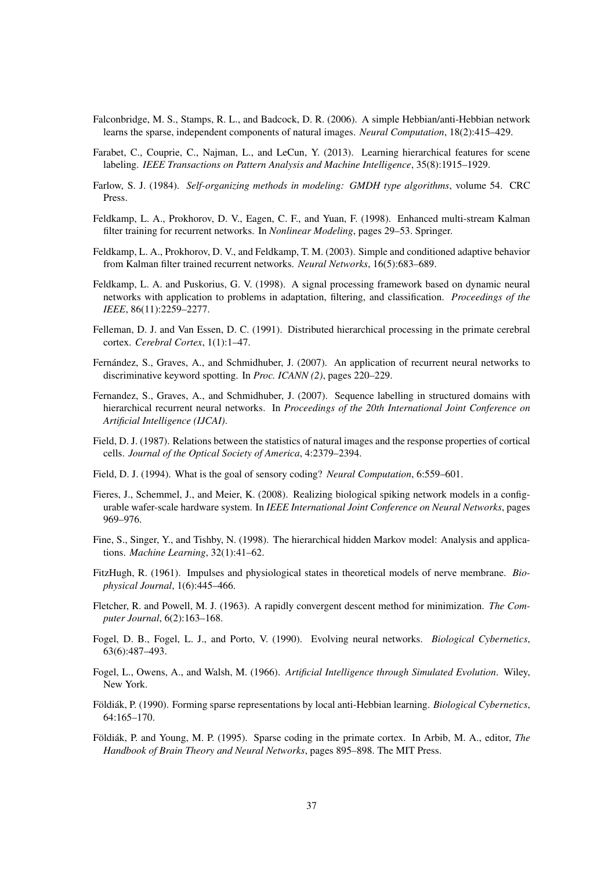- Falconbridge, M. S., Stamps, R. L., and Badcock, D. R. (2006). A simple Hebbian/anti-Hebbian network learns the sparse, independent components of natural images. *Neural Computation*, 18(2):415–429.
- Farabet, C., Couprie, C., Najman, L., and LeCun, Y. (2013). Learning hierarchical features for scene labeling. *IEEE Transactions on Pattern Analysis and Machine Intelligence*, 35(8):1915–1929.
- Farlow, S. J. (1984). *Self-organizing methods in modeling: GMDH type algorithms*, volume 54. CRC Press.
- Feldkamp, L. A., Prokhorov, D. V., Eagen, C. F., and Yuan, F. (1998). Enhanced multi-stream Kalman filter training for recurrent networks. In *Nonlinear Modeling*, pages 29–53. Springer.
- Feldkamp, L. A., Prokhorov, D. V., and Feldkamp, T. M. (2003). Simple and conditioned adaptive behavior from Kalman filter trained recurrent networks. *Neural Networks*, 16(5):683–689.
- Feldkamp, L. A. and Puskorius, G. V. (1998). A signal processing framework based on dynamic neural networks with application to problems in adaptation, filtering, and classification. *Proceedings of the IEEE*, 86(11):2259–2277.
- Felleman, D. J. and Van Essen, D. C. (1991). Distributed hierarchical processing in the primate cerebral cortex. *Cerebral Cortex*, 1(1):1–47.
- Fernández, S., Graves, A., and Schmidhuber, J. (2007). An application of recurrent neural networks to discriminative keyword spotting. In *Proc. ICANN (2)*, pages 220–229.
- Fernandez, S., Graves, A., and Schmidhuber, J. (2007). Sequence labelling in structured domains with hierarchical recurrent neural networks. In *Proceedings of the 20th International Joint Conference on Artificial Intelligence (IJCAI)*.
- Field, D. J. (1987). Relations between the statistics of natural images and the response properties of cortical cells. *Journal of the Optical Society of America*, 4:2379–2394.
- Field, D. J. (1994). What is the goal of sensory coding? *Neural Computation*, 6:559–601.
- Fieres, J., Schemmel, J., and Meier, K. (2008). Realizing biological spiking network models in a configurable wafer-scale hardware system. In *IEEE International Joint Conference on Neural Networks*, pages 969–976.
- Fine, S., Singer, Y., and Tishby, N. (1998). The hierarchical hidden Markov model: Analysis and applications. *Machine Learning*, 32(1):41–62.
- FitzHugh, R. (1961). Impulses and physiological states in theoretical models of nerve membrane. *Biophysical Journal*, 1(6):445–466.
- Fletcher, R. and Powell, M. J. (1963). A rapidly convergent descent method for minimization. *The Computer Journal*, 6(2):163–168.
- Fogel, D. B., Fogel, L. J., and Porto, V. (1990). Evolving neural networks. *Biological Cybernetics*, 63(6):487–493.
- Fogel, L., Owens, A., and Walsh, M. (1966). *Artificial Intelligence through Simulated Evolution*. Wiley, New York.
- Földiák, P. (1990). Forming sparse representations by local anti-Hebbian learning. *Biological Cybernetics*, 64:165–170.
- Földiák, P. and Young, M. P. (1995). Sparse coding in the primate cortex. In Arbib, M. A., editor, *The Handbook of Brain Theory and Neural Networks*, pages 895–898. The MIT Press.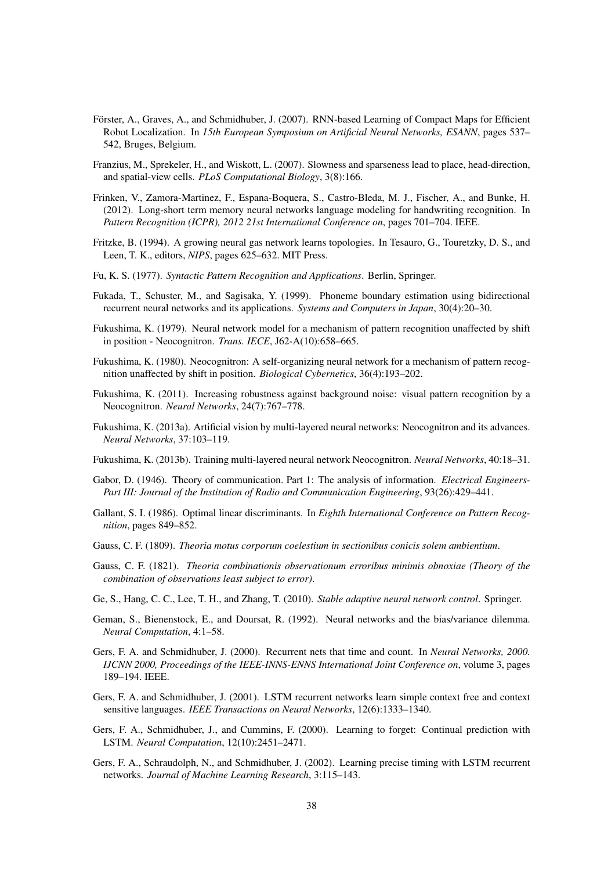- Förster, A., Graves, A., and Schmidhuber, J. (2007). RNN-based Learning of Compact Maps for Efficient Robot Localization. In *15th European Symposium on Artificial Neural Networks, ESANN*, pages 537– 542, Bruges, Belgium.
- Franzius, M., Sprekeler, H., and Wiskott, L. (2007). Slowness and sparseness lead to place, head-direction, and spatial-view cells. *PLoS Computational Biology*, 3(8):166.
- Frinken, V., Zamora-Martinez, F., Espana-Boquera, S., Castro-Bleda, M. J., Fischer, A., and Bunke, H. (2012). Long-short term memory neural networks language modeling for handwriting recognition. In *Pattern Recognition (ICPR), 2012 21st International Conference on*, pages 701–704. IEEE.
- Fritzke, B. (1994). A growing neural gas network learns topologies. In Tesauro, G., Touretzky, D. S., and Leen, T. K., editors, *NIPS*, pages 625–632. MIT Press.
- Fu, K. S. (1977). *Syntactic Pattern Recognition and Applications*. Berlin, Springer.
- Fukada, T., Schuster, M., and Sagisaka, Y. (1999). Phoneme boundary estimation using bidirectional recurrent neural networks and its applications. *Systems and Computers in Japan*, 30(4):20–30.
- Fukushima, K. (1979). Neural network model for a mechanism of pattern recognition unaffected by shift in position - Neocognitron. *Trans. IECE*, J62-A(10):658–665.
- Fukushima, K. (1980). Neocognitron: A self-organizing neural network for a mechanism of pattern recognition unaffected by shift in position. *Biological Cybernetics*, 36(4):193–202.
- Fukushima, K. (2011). Increasing robustness against background noise: visual pattern recognition by a Neocognitron. *Neural Networks*, 24(7):767–778.
- Fukushima, K. (2013a). Artificial vision by multi-layered neural networks: Neocognitron and its advances. *Neural Networks*, 37:103–119.
- Fukushima, K. (2013b). Training multi-layered neural network Neocognitron. *Neural Networks*, 40:18–31.
- Gabor, D. (1946). Theory of communication. Part 1: The analysis of information. *Electrical Engineers-Part III: Journal of the Institution of Radio and Communication Engineering*, 93(26):429–441.
- Gallant, S. I. (1986). Optimal linear discriminants. In *Eighth International Conference on Pattern Recognition*, pages 849–852.
- Gauss, C. F. (1809). *Theoria motus corporum coelestium in sectionibus conicis solem ambientium*.
- Gauss, C. F. (1821). *Theoria combinationis observationum erroribus minimis obnoxiae (Theory of the combination of observations least subject to error)*.
- Ge, S., Hang, C. C., Lee, T. H., and Zhang, T. (2010). *Stable adaptive neural network control*. Springer.
- Geman, S., Bienenstock, E., and Doursat, R. (1992). Neural networks and the bias/variance dilemma. *Neural Computation*, 4:1–58.
- Gers, F. A. and Schmidhuber, J. (2000). Recurrent nets that time and count. In *Neural Networks, 2000. IJCNN 2000, Proceedings of the IEEE-INNS-ENNS International Joint Conference on*, volume 3, pages 189–194. IEEE.
- Gers, F. A. and Schmidhuber, J. (2001). LSTM recurrent networks learn simple context free and context sensitive languages. *IEEE Transactions on Neural Networks*, 12(6):1333–1340.
- Gers, F. A., Schmidhuber, J., and Cummins, F. (2000). Learning to forget: Continual prediction with LSTM. *Neural Computation*, 12(10):2451–2471.
- Gers, F. A., Schraudolph, N., and Schmidhuber, J. (2002). Learning precise timing with LSTM recurrent networks. *Journal of Machine Learning Research*, 3:115–143.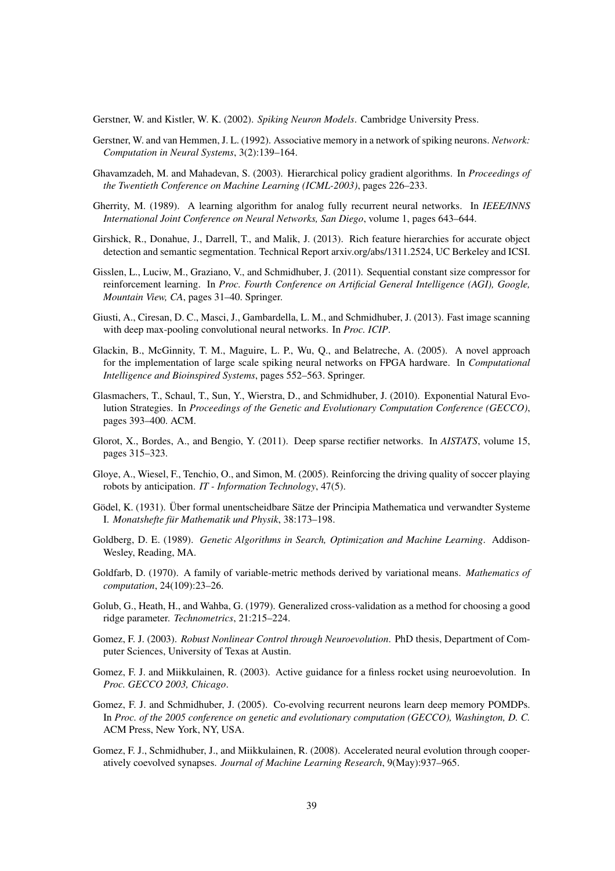Gerstner, W. and Kistler, W. K. (2002). *Spiking Neuron Models*. Cambridge University Press.

- Gerstner, W. and van Hemmen, J. L. (1992). Associative memory in a network of spiking neurons. *Network: Computation in Neural Systems*, 3(2):139–164.
- Ghavamzadeh, M. and Mahadevan, S. (2003). Hierarchical policy gradient algorithms. In *Proceedings of the Twentieth Conference on Machine Learning (ICML-2003)*, pages 226–233.
- Gherrity, M. (1989). A learning algorithm for analog fully recurrent neural networks. In *IEEE/INNS International Joint Conference on Neural Networks, San Diego*, volume 1, pages 643–644.
- Girshick, R., Donahue, J., Darrell, T., and Malik, J. (2013). Rich feature hierarchies for accurate object detection and semantic segmentation. Technical Report arxiv.org/abs/1311.2524, UC Berkeley and ICSI.
- Gisslen, L., Luciw, M., Graziano, V., and Schmidhuber, J. (2011). Sequential constant size compressor for reinforcement learning. In *Proc. Fourth Conference on Artificial General Intelligence (AGI), Google, Mountain View, CA*, pages 31–40. Springer.
- Giusti, A., Ciresan, D. C., Masci, J., Gambardella, L. M., and Schmidhuber, J. (2013). Fast image scanning with deep max-pooling convolutional neural networks. In *Proc. ICIP*.
- Glackin, B., McGinnity, T. M., Maguire, L. P., Wu, Q., and Belatreche, A. (2005). A novel approach for the implementation of large scale spiking neural networks on FPGA hardware. In *Computational Intelligence and Bioinspired Systems*, pages 552–563. Springer.
- Glasmachers, T., Schaul, T., Sun, Y., Wierstra, D., and Schmidhuber, J. (2010). Exponential Natural Evolution Strategies. In *Proceedings of the Genetic and Evolutionary Computation Conference (GECCO)*, pages 393–400. ACM.
- Glorot, X., Bordes, A., and Bengio, Y. (2011). Deep sparse rectifier networks. In *AISTATS*, volume 15, pages 315–323.
- Gloye, A., Wiesel, F., Tenchio, O., and Simon, M. (2005). Reinforcing the driving quality of soccer playing robots by anticipation. *IT - Information Technology*, 47(5).
- Gödel, K. (1931). Über formal unentscheidbare Sätze der Principia Mathematica und verwandter Systeme I. *Monatshefte für Mathematik und Physik*, 38:173–198.
- Goldberg, D. E. (1989). *Genetic Algorithms in Search, Optimization and Machine Learning*. Addison-Wesley, Reading, MA.
- Goldfarb, D. (1970). A family of variable-metric methods derived by variational means. *Mathematics of computation*, 24(109):23–26.
- Golub, G., Heath, H., and Wahba, G. (1979). Generalized cross-validation as a method for choosing a good ridge parameter. *Technometrics*, 21:215–224.
- Gomez, F. J. (2003). *Robust Nonlinear Control through Neuroevolution*. PhD thesis, Department of Computer Sciences, University of Texas at Austin.
- Gomez, F. J. and Miikkulainen, R. (2003). Active guidance for a finless rocket using neuroevolution. In *Proc. GECCO 2003, Chicago*.
- Gomez, F. J. and Schmidhuber, J. (2005). Co-evolving recurrent neurons learn deep memory POMDPs. In *Proc. of the 2005 conference on genetic and evolutionary computation (GECCO), Washington, D. C.* ACM Press, New York, NY, USA.
- Gomez, F. J., Schmidhuber, J., and Miikkulainen, R. (2008). Accelerated neural evolution through cooperatively coevolved synapses. *Journal of Machine Learning Research*, 9(May):937–965.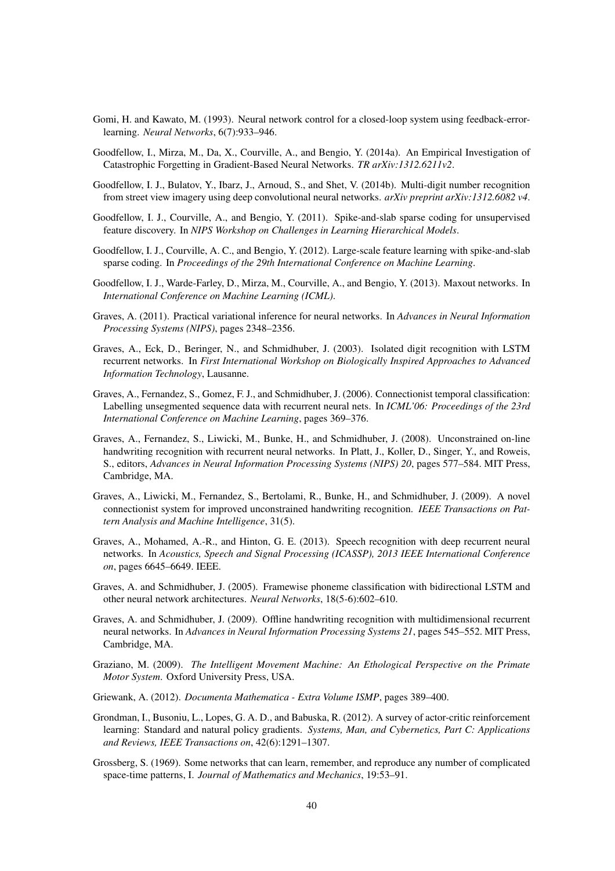- Gomi, H. and Kawato, M. (1993). Neural network control for a closed-loop system using feedback-errorlearning. *Neural Networks*, 6(7):933–946.
- Goodfellow, I., Mirza, M., Da, X., Courville, A., and Bengio, Y. (2014a). An Empirical Investigation of Catastrophic Forgetting in Gradient-Based Neural Networks. *TR arXiv:1312.6211v2*.
- Goodfellow, I. J., Bulatov, Y., Ibarz, J., Arnoud, S., and Shet, V. (2014b). Multi-digit number recognition from street view imagery using deep convolutional neural networks. *arXiv preprint arXiv:1312.6082 v4*.
- Goodfellow, I. J., Courville, A., and Bengio, Y. (2011). Spike-and-slab sparse coding for unsupervised feature discovery. In *NIPS Workshop on Challenges in Learning Hierarchical Models*.
- Goodfellow, I. J., Courville, A. C., and Bengio, Y. (2012). Large-scale feature learning with spike-and-slab sparse coding. In *Proceedings of the 29th International Conference on Machine Learning*.
- Goodfellow, I. J., Warde-Farley, D., Mirza, M., Courville, A., and Bengio, Y. (2013). Maxout networks. In *International Conference on Machine Learning (ICML)*.
- Graves, A. (2011). Practical variational inference for neural networks. In *Advances in Neural Information Processing Systems (NIPS)*, pages 2348–2356.
- Graves, A., Eck, D., Beringer, N., and Schmidhuber, J. (2003). Isolated digit recognition with LSTM recurrent networks. In *First International Workshop on Biologically Inspired Approaches to Advanced Information Technology*, Lausanne.
- Graves, A., Fernandez, S., Gomez, F. J., and Schmidhuber, J. (2006). Connectionist temporal classification: Labelling unsegmented sequence data with recurrent neural nets. In *ICML'06: Proceedings of the 23rd International Conference on Machine Learning*, pages 369–376.
- Graves, A., Fernandez, S., Liwicki, M., Bunke, H., and Schmidhuber, J. (2008). Unconstrained on-line handwriting recognition with recurrent neural networks. In Platt, J., Koller, D., Singer, Y., and Roweis, S., editors, *Advances in Neural Information Processing Systems (NIPS) 20*, pages 577–584. MIT Press, Cambridge, MA.
- Graves, A., Liwicki, M., Fernandez, S., Bertolami, R., Bunke, H., and Schmidhuber, J. (2009). A novel connectionist system for improved unconstrained handwriting recognition. *IEEE Transactions on Pattern Analysis and Machine Intelligence*, 31(5).
- Graves, A., Mohamed, A.-R., and Hinton, G. E. (2013). Speech recognition with deep recurrent neural networks. In *Acoustics, Speech and Signal Processing (ICASSP), 2013 IEEE International Conference on*, pages 6645–6649. IEEE.
- Graves, A. and Schmidhuber, J. (2005). Framewise phoneme classification with bidirectional LSTM and other neural network architectures. *Neural Networks*, 18(5-6):602–610.
- Graves, A. and Schmidhuber, J. (2009). Offline handwriting recognition with multidimensional recurrent neural networks. In *Advances in Neural Information Processing Systems 21*, pages 545–552. MIT Press, Cambridge, MA.
- Graziano, M. (2009). *The Intelligent Movement Machine: An Ethological Perspective on the Primate Motor System*. Oxford University Press, USA.
- Griewank, A. (2012). *Documenta Mathematica Extra Volume ISMP*, pages 389–400.
- Grondman, I., Busoniu, L., Lopes, G. A. D., and Babuska, R. (2012). A survey of actor-critic reinforcement learning: Standard and natural policy gradients. *Systems, Man, and Cybernetics, Part C: Applications and Reviews, IEEE Transactions on*, 42(6):1291–1307.
- Grossberg, S. (1969). Some networks that can learn, remember, and reproduce any number of complicated space-time patterns, I. *Journal of Mathematics and Mechanics*, 19:53–91.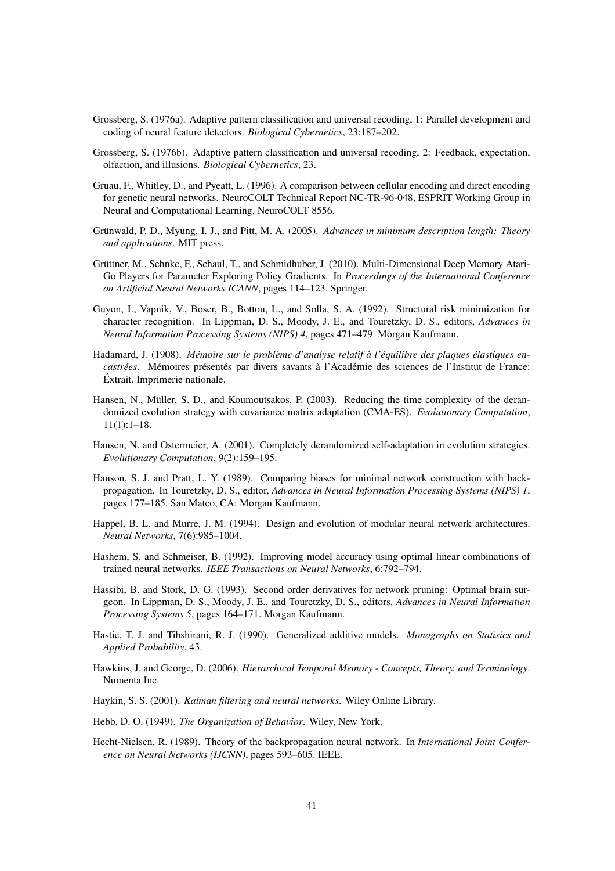- Grossberg, S. (1976a). Adaptive pattern classification and universal recoding, 1: Parallel development and coding of neural feature detectors. *Biological Cybernetics*, 23:187–202.
- Grossberg, S. (1976b). Adaptive pattern classification and universal recoding, 2: Feedback, expectation, olfaction, and illusions. *Biological Cybernetics*, 23.
- Gruau, F., Whitley, D., and Pyeatt, L. (1996). A comparison between cellular encoding and direct encoding for genetic neural networks. NeuroCOLT Technical Report NC-TR-96-048, ESPRIT Working Group in Neural and Computational Learning, NeuroCOLT 8556.
- Grünwald, P. D., Myung, I. J., and Pitt, M. A. (2005). Advances in minimum description length: Theory *and applications*. MIT press.
- Grüttner, M., Sehnke, F., Schaul, T., and Schmidhuber, J. (2010). Multi-Dimensional Deep Memory Atari-Go Players for Parameter Exploring Policy Gradients. In *Proceedings of the International Conference on Artificial Neural Networks ICANN*, pages 114–123. Springer.
- Guyon, I., Vapnik, V., Boser, B., Bottou, L., and Solla, S. A. (1992). Structural risk minimization for character recognition. In Lippman, D. S., Moody, J. E., and Touretzky, D. S., editors, *Advances in Neural Information Processing Systems (NIPS) 4*, pages 471–479. Morgan Kaufmann.
- Hadamard, J. (1908). *Memoire sur le probl ´ eme d'analyse relatif ` a l' ` equilibre des plaques ´ elastiques en- ´ castrées*. Mémoires présentés par divers savants à l'Académie des sciences de l'Institut de France: Extrait. Imprimerie nationale. ´
- Hansen, N., Müller, S. D., and Koumoutsakos, P. (2003). Reducing the time complexity of the derandomized evolution strategy with covariance matrix adaptation (CMA-ES). *Evolutionary Computation*, 11(1):1–18.
- Hansen, N. and Ostermeier, A. (2001). Completely derandomized self-adaptation in evolution strategies. *Evolutionary Computation*, 9(2):159–195.
- Hanson, S. J. and Pratt, L. Y. (1989). Comparing biases for minimal network construction with backpropagation. In Touretzky, D. S., editor, *Advances in Neural Information Processing Systems (NIPS) 1*, pages 177–185. San Mateo, CA: Morgan Kaufmann.
- Happel, B. L. and Murre, J. M. (1994). Design and evolution of modular neural network architectures. *Neural Networks*, 7(6):985–1004.
- Hashem, S. and Schmeiser, B. (1992). Improving model accuracy using optimal linear combinations of trained neural networks. *IEEE Transactions on Neural Networks*, 6:792–794.
- Hassibi, B. and Stork, D. G. (1993). Second order derivatives for network pruning: Optimal brain surgeon. In Lippman, D. S., Moody, J. E., and Touretzky, D. S., editors, *Advances in Neural Information Processing Systems 5*, pages 164–171. Morgan Kaufmann.
- Hastie, T. J. and Tibshirani, R. J. (1990). Generalized additive models. *Monographs on Statisics and Applied Probability*, 43.
- Hawkins, J. and George, D. (2006). *Hierarchical Temporal Memory Concepts, Theory, and Terminology*. Numenta Inc.
- Haykin, S. S. (2001). *Kalman filtering and neural networks*. Wiley Online Library.
- Hebb, D. O. (1949). *The Organization of Behavior*. Wiley, New York.
- Hecht-Nielsen, R. (1989). Theory of the backpropagation neural network. In *International Joint Conference on Neural Networks (IJCNN)*, pages 593–605. IEEE.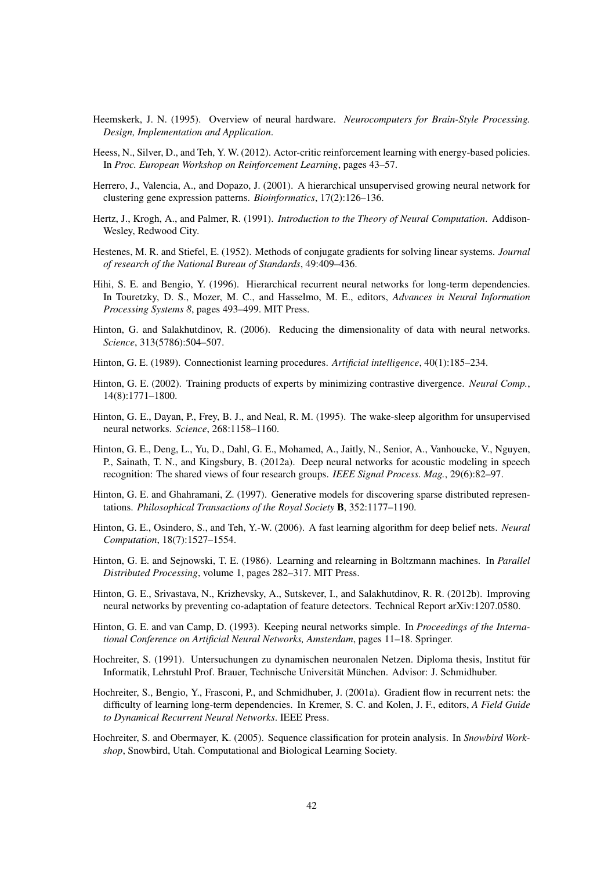- Heemskerk, J. N. (1995). Overview of neural hardware. *Neurocomputers for Brain-Style Processing. Design, Implementation and Application*.
- Heess, N., Silver, D., and Teh, Y. W. (2012). Actor-critic reinforcement learning with energy-based policies. In *Proc. European Workshop on Reinforcement Learning*, pages 43–57.
- Herrero, J., Valencia, A., and Dopazo, J. (2001). A hierarchical unsupervised growing neural network for clustering gene expression patterns. *Bioinformatics*, 17(2):126–136.
- Hertz, J., Krogh, A., and Palmer, R. (1991). *Introduction to the Theory of Neural Computation*. Addison-Wesley, Redwood City.
- Hestenes, M. R. and Stiefel, E. (1952). Methods of conjugate gradients for solving linear systems. *Journal of research of the National Bureau of Standards*, 49:409–436.
- Hihi, S. E. and Bengio, Y. (1996). Hierarchical recurrent neural networks for long-term dependencies. In Touretzky, D. S., Mozer, M. C., and Hasselmo, M. E., editors, *Advances in Neural Information Processing Systems 8*, pages 493–499. MIT Press.
- Hinton, G. and Salakhutdinov, R. (2006). Reducing the dimensionality of data with neural networks. *Science*, 313(5786):504–507.
- Hinton, G. E. (1989). Connectionist learning procedures. *Artificial intelligence*, 40(1):185–234.
- Hinton, G. E. (2002). Training products of experts by minimizing contrastive divergence. *Neural Comp.*, 14(8):1771–1800.
- Hinton, G. E., Dayan, P., Frey, B. J., and Neal, R. M. (1995). The wake-sleep algorithm for unsupervised neural networks. *Science*, 268:1158–1160.
- Hinton, G. E., Deng, L., Yu, D., Dahl, G. E., Mohamed, A., Jaitly, N., Senior, A., Vanhoucke, V., Nguyen, P., Sainath, T. N., and Kingsbury, B. (2012a). Deep neural networks for acoustic modeling in speech recognition: The shared views of four research groups. *IEEE Signal Process. Mag.*, 29(6):82–97.
- Hinton, G. E. and Ghahramani, Z. (1997). Generative models for discovering sparse distributed representations. *Philosophical Transactions of the Royal Society* B, 352:1177–1190.
- Hinton, G. E., Osindero, S., and Teh, Y.-W. (2006). A fast learning algorithm for deep belief nets. *Neural Computation*, 18(7):1527–1554.
- Hinton, G. E. and Sejnowski, T. E. (1986). Learning and relearning in Boltzmann machines. In *Parallel Distributed Processing*, volume 1, pages 282–317. MIT Press.
- Hinton, G. E., Srivastava, N., Krizhevsky, A., Sutskever, I., and Salakhutdinov, R. R. (2012b). Improving neural networks by preventing co-adaptation of feature detectors. Technical Report arXiv:1207.0580.
- Hinton, G. E. and van Camp, D. (1993). Keeping neural networks simple. In *Proceedings of the International Conference on Artificial Neural Networks, Amsterdam*, pages 11–18. Springer.
- Hochreiter, S. (1991). Untersuchungen zu dynamischen neuronalen Netzen. Diploma thesis, Institut für Informatik, Lehrstuhl Prof. Brauer, Technische Universität München. Advisor: J. Schmidhuber.
- Hochreiter, S., Bengio, Y., Frasconi, P., and Schmidhuber, J. (2001a). Gradient flow in recurrent nets: the difficulty of learning long-term dependencies. In Kremer, S. C. and Kolen, J. F., editors, *A Field Guide to Dynamical Recurrent Neural Networks*. IEEE Press.
- Hochreiter, S. and Obermayer, K. (2005). Sequence classification for protein analysis. In *Snowbird Workshop*, Snowbird, Utah. Computational and Biological Learning Society.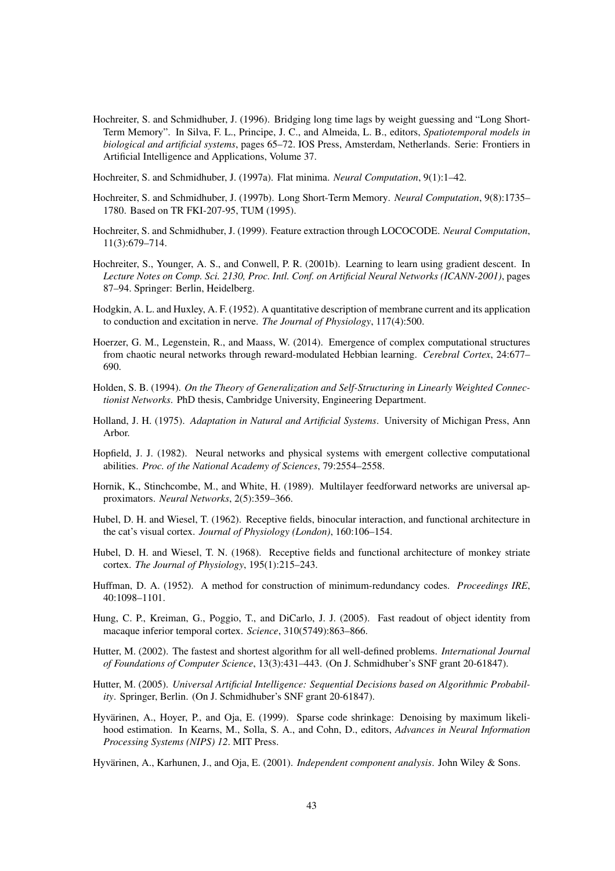Hochreiter, S. and Schmidhuber, J. (1996). Bridging long time lags by weight guessing and "Long Short-Term Memory". In Silva, F. L., Principe, J. C., and Almeida, L. B., editors, *Spatiotemporal models in biological and artificial systems*, pages 65–72. IOS Press, Amsterdam, Netherlands. Serie: Frontiers in Artificial Intelligence and Applications, Volume 37.

Hochreiter, S. and Schmidhuber, J. (1997a). Flat minima. *Neural Computation*, 9(1):1–42.

- Hochreiter, S. and Schmidhuber, J. (1997b). Long Short-Term Memory. *Neural Computation*, 9(8):1735– 1780. Based on TR FKI-207-95, TUM (1995).
- Hochreiter, S. and Schmidhuber, J. (1999). Feature extraction through LOCOCODE. *Neural Computation*, 11(3):679–714.
- Hochreiter, S., Younger, A. S., and Conwell, P. R. (2001b). Learning to learn using gradient descent. In *Lecture Notes on Comp. Sci. 2130, Proc. Intl. Conf. on Artificial Neural Networks (ICANN-2001)*, pages 87–94. Springer: Berlin, Heidelberg.
- Hodgkin, A. L. and Huxley, A. F. (1952). A quantitative description of membrane current and its application to conduction and excitation in nerve. *The Journal of Physiology*, 117(4):500.
- Hoerzer, G. M., Legenstein, R., and Maass, W. (2014). Emergence of complex computational structures from chaotic neural networks through reward-modulated Hebbian learning. *Cerebral Cortex*, 24:677– 690.
- Holden, S. B. (1994). *On the Theory of Generalization and Self-Structuring in Linearly Weighted Connectionist Networks*. PhD thesis, Cambridge University, Engineering Department.
- Holland, J. H. (1975). *Adaptation in Natural and Artificial Systems*. University of Michigan Press, Ann Arbor.
- Hopfield, J. J. (1982). Neural networks and physical systems with emergent collective computational abilities. *Proc. of the National Academy of Sciences*, 79:2554–2558.
- Hornik, K., Stinchcombe, M., and White, H. (1989). Multilayer feedforward networks are universal approximators. *Neural Networks*, 2(5):359–366.
- Hubel, D. H. and Wiesel, T. (1962). Receptive fields, binocular interaction, and functional architecture in the cat's visual cortex. *Journal of Physiology (London)*, 160:106–154.
- Hubel, D. H. and Wiesel, T. N. (1968). Receptive fields and functional architecture of monkey striate cortex. *The Journal of Physiology*, 195(1):215–243.
- Huffman, D. A. (1952). A method for construction of minimum-redundancy codes. *Proceedings IRE*, 40:1098–1101.
- Hung, C. P., Kreiman, G., Poggio, T., and DiCarlo, J. J. (2005). Fast readout of object identity from macaque inferior temporal cortex. *Science*, 310(5749):863–866.
- Hutter, M. (2002). The fastest and shortest algorithm for all well-defined problems. *International Journal of Foundations of Computer Science*, 13(3):431–443. (On J. Schmidhuber's SNF grant 20-61847).
- Hutter, M. (2005). *Universal Artificial Intelligence: Sequential Decisions based on Algorithmic Probability*. Springer, Berlin. (On J. Schmidhuber's SNF grant 20-61847).
- Hyvärinen, A., Hoyer, P., and Oja, E. (1999). Sparse code shrinkage: Denoising by maximum likelihood estimation. In Kearns, M., Solla, S. A., and Cohn, D., editors, *Advances in Neural Information Processing Systems (NIPS) 12*. MIT Press.

Hyvärinen, A., Karhunen, J., and Oja, E. (2001). *Independent component analysis*. John Wiley & Sons.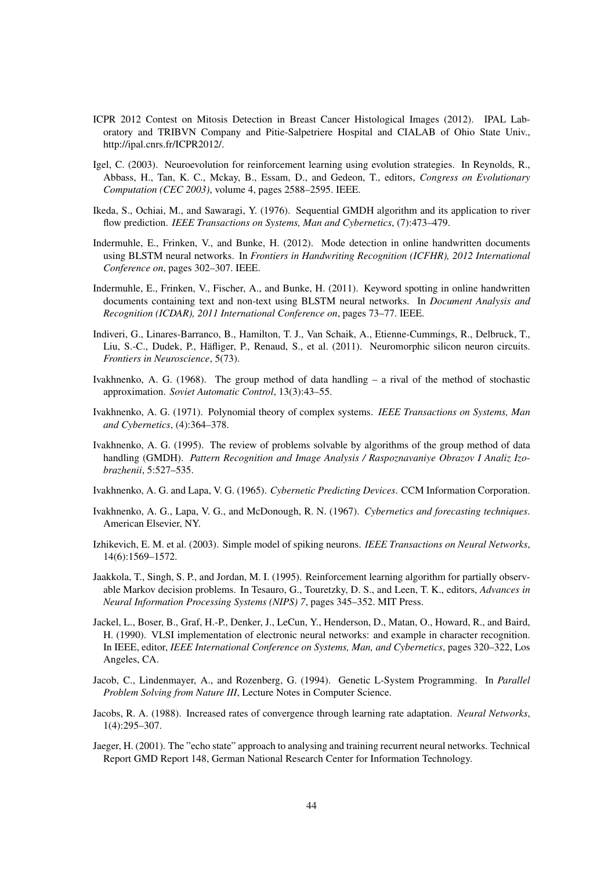- ICPR 2012 Contest on Mitosis Detection in Breast Cancer Histological Images (2012). IPAL Laboratory and TRIBVN Company and Pitie-Salpetriere Hospital and CIALAB of Ohio State Univ., http://ipal.cnrs.fr/ICPR2012/.
- Igel, C. (2003). Neuroevolution for reinforcement learning using evolution strategies. In Reynolds, R., Abbass, H., Tan, K. C., Mckay, B., Essam, D., and Gedeon, T., editors, *Congress on Evolutionary Computation (CEC 2003)*, volume 4, pages 2588–2595. IEEE.
- Ikeda, S., Ochiai, M., and Sawaragi, Y. (1976). Sequential GMDH algorithm and its application to river flow prediction. *IEEE Transactions on Systems, Man and Cybernetics*, (7):473–479.
- Indermuhle, E., Frinken, V., and Bunke, H. (2012). Mode detection in online handwritten documents using BLSTM neural networks. In *Frontiers in Handwriting Recognition (ICFHR), 2012 International Conference on*, pages 302–307. IEEE.
- Indermuhle, E., Frinken, V., Fischer, A., and Bunke, H. (2011). Keyword spotting in online handwritten documents containing text and non-text using BLSTM neural networks. In *Document Analysis and Recognition (ICDAR), 2011 International Conference on*, pages 73–77. IEEE.
- Indiveri, G., Linares-Barranco, B., Hamilton, T. J., Van Schaik, A., Etienne-Cummings, R., Delbruck, T., Liu, S.-C., Dudek, P., Häfliger, P., Renaud, S., et al. (2011). Neuromorphic silicon neuron circuits. *Frontiers in Neuroscience*, 5(73).
- Ivakhnenko, A. G. (1968). The group method of data handling a rival of the method of stochastic approximation. *Soviet Automatic Control*, 13(3):43–55.
- Ivakhnenko, A. G. (1971). Polynomial theory of complex systems. *IEEE Transactions on Systems, Man and Cybernetics*, (4):364–378.
- Ivakhnenko, A. G. (1995). The review of problems solvable by algorithms of the group method of data handling (GMDH). *Pattern Recognition and Image Analysis / Raspoznavaniye Obrazov I Analiz Izobrazhenii*, 5:527–535.

Ivakhnenko, A. G. and Lapa, V. G. (1965). *Cybernetic Predicting Devices*. CCM Information Corporation.

- Ivakhnenko, A. G., Lapa, V. G., and McDonough, R. N. (1967). *Cybernetics and forecasting techniques*. American Elsevier, NY.
- Izhikevich, E. M. et al. (2003). Simple model of spiking neurons. *IEEE Transactions on Neural Networks*, 14(6):1569–1572.
- Jaakkola, T., Singh, S. P., and Jordan, M. I. (1995). Reinforcement learning algorithm for partially observable Markov decision problems. In Tesauro, G., Touretzky, D. S., and Leen, T. K., editors, *Advances in Neural Information Processing Systems (NIPS) 7*, pages 345–352. MIT Press.
- Jackel, L., Boser, B., Graf, H.-P., Denker, J., LeCun, Y., Henderson, D., Matan, O., Howard, R., and Baird, H. (1990). VLSI implementation of electronic neural networks: and example in character recognition. In IEEE, editor, *IEEE International Conference on Systems, Man, and Cybernetics*, pages 320–322, Los Angeles, CA.
- Jacob, C., Lindenmayer, A., and Rozenberg, G. (1994). Genetic L-System Programming. In *Parallel Problem Solving from Nature III*, Lecture Notes in Computer Science.
- Jacobs, R. A. (1988). Increased rates of convergence through learning rate adaptation. *Neural Networks*, 1(4):295–307.
- Jaeger, H. (2001). The "echo state" approach to analysing and training recurrent neural networks. Technical Report GMD Report 148, German National Research Center for Information Technology.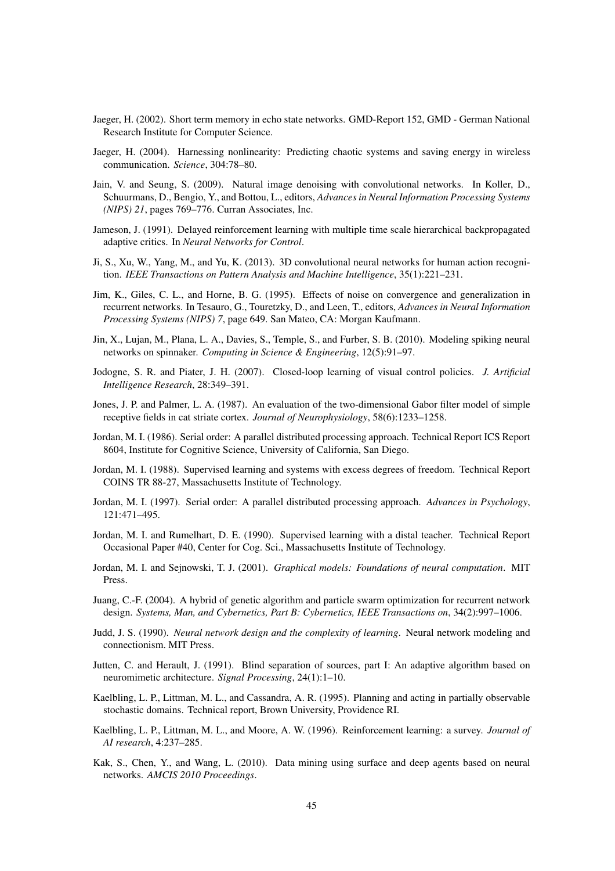- Jaeger, H. (2002). Short term memory in echo state networks. GMD-Report 152, GMD German National Research Institute for Computer Science.
- Jaeger, H. (2004). Harnessing nonlinearity: Predicting chaotic systems and saving energy in wireless communication. *Science*, 304:78–80.
- Jain, V. and Seung, S. (2009). Natural image denoising with convolutional networks. In Koller, D., Schuurmans, D., Bengio, Y., and Bottou, L., editors, *Advances in Neural Information Processing Systems (NIPS) 21*, pages 769–776. Curran Associates, Inc.
- Jameson, J. (1991). Delayed reinforcement learning with multiple time scale hierarchical backpropagated adaptive critics. In *Neural Networks for Control*.
- Ji, S., Xu, W., Yang, M., and Yu, K. (2013). 3D convolutional neural networks for human action recognition. *IEEE Transactions on Pattern Analysis and Machine Intelligence*, 35(1):221–231.
- Jim, K., Giles, C. L., and Horne, B. G. (1995). Effects of noise on convergence and generalization in recurrent networks. In Tesauro, G., Touretzky, D., and Leen, T., editors, *Advances in Neural Information Processing Systems (NIPS) 7*, page 649. San Mateo, CA: Morgan Kaufmann.
- Jin, X., Lujan, M., Plana, L. A., Davies, S., Temple, S., and Furber, S. B. (2010). Modeling spiking neural networks on spinnaker. *Computing in Science & Engineering*, 12(5):91–97.
- Jodogne, S. R. and Piater, J. H. (2007). Closed-loop learning of visual control policies. *J. Artificial Intelligence Research*, 28:349–391.
- Jones, J. P. and Palmer, L. A. (1987). An evaluation of the two-dimensional Gabor filter model of simple receptive fields in cat striate cortex. *Journal of Neurophysiology*, 58(6):1233–1258.
- Jordan, M. I. (1986). Serial order: A parallel distributed processing approach. Technical Report ICS Report 8604, Institute for Cognitive Science, University of California, San Diego.
- Jordan, M. I. (1988). Supervised learning and systems with excess degrees of freedom. Technical Report COINS TR 88-27, Massachusetts Institute of Technology.
- Jordan, M. I. (1997). Serial order: A parallel distributed processing approach. *Advances in Psychology*, 121:471–495.
- Jordan, M. I. and Rumelhart, D. E. (1990). Supervised learning with a distal teacher. Technical Report Occasional Paper #40, Center for Cog. Sci., Massachusetts Institute of Technology.
- Jordan, M. I. and Sejnowski, T. J. (2001). *Graphical models: Foundations of neural computation*. MIT Press.
- Juang, C.-F. (2004). A hybrid of genetic algorithm and particle swarm optimization for recurrent network design. *Systems, Man, and Cybernetics, Part B: Cybernetics, IEEE Transactions on*, 34(2):997–1006.
- Judd, J. S. (1990). *Neural network design and the complexity of learning*. Neural network modeling and connectionism. MIT Press.
- Jutten, C. and Herault, J. (1991). Blind separation of sources, part I: An adaptive algorithm based on neuromimetic architecture. *Signal Processing*, 24(1):1–10.
- Kaelbling, L. P., Littman, M. L., and Cassandra, A. R. (1995). Planning and acting in partially observable stochastic domains. Technical report, Brown University, Providence RI.
- Kaelbling, L. P., Littman, M. L., and Moore, A. W. (1996). Reinforcement learning: a survey. *Journal of AI research*, 4:237–285.
- Kak, S., Chen, Y., and Wang, L. (2010). Data mining using surface and deep agents based on neural networks. *AMCIS 2010 Proceedings*.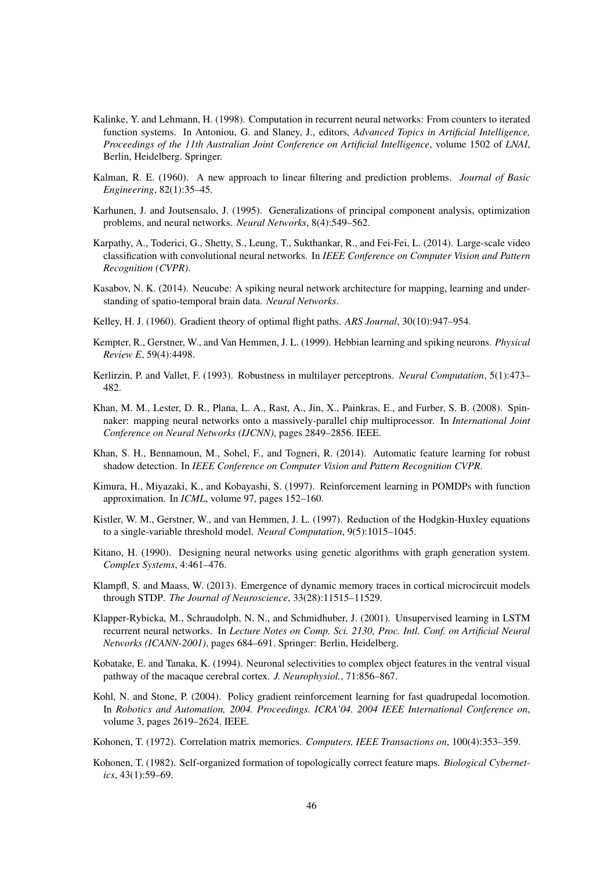- Kalinke, Y. and Lehmann, H. (1998). Computation in recurrent neural networks: From counters to iterated function systems. In Antoniou, G. and Slaney, J., editors, *Advanced Topics in Artificial Intelligence, Proceedings of the 11th Australian Joint Conference on Artificial Intelligence*, volume 1502 of *LNAI*, Berlin, Heidelberg. Springer.
- Kalman, R. E. (1960). A new approach to linear filtering and prediction problems. *Journal of Basic Engineering*, 82(1):35–45.
- Karhunen, J. and Joutsensalo, J. (1995). Generalizations of principal component analysis, optimization problems, and neural networks. *Neural Networks*, 8(4):549–562.
- Karpathy, A., Toderici, G., Shetty, S., Leung, T., Sukthankar, R., and Fei-Fei, L. (2014). Large-scale video classification with convolutional neural networks. In *IEEE Conference on Computer Vision and Pattern Recognition (CVPR)*.
- Kasabov, N. K. (2014). Neucube: A spiking neural network architecture for mapping, learning and understanding of spatio-temporal brain data. *Neural Networks*.
- Kelley, H. J. (1960). Gradient theory of optimal flight paths. *ARS Journal*, 30(10):947–954.
- Kempter, R., Gerstner, W., and Van Hemmen, J. L. (1999). Hebbian learning and spiking neurons. *Physical Review E*, 59(4):4498.
- Kerlirzin, P. and Vallet, F. (1993). Robustness in multilayer perceptrons. *Neural Computation*, 5(1):473– 482.
- Khan, M. M., Lester, D. R., Plana, L. A., Rast, A., Jin, X., Painkras, E., and Furber, S. B. (2008). Spinnaker: mapping neural networks onto a massively-parallel chip multiprocessor. In *International Joint Conference on Neural Networks (IJCNN)*, pages 2849–2856. IEEE.
- Khan, S. H., Bennamoun, M., Sohel, F., and Togneri, R. (2014). Automatic feature learning for robust shadow detection. In *IEEE Conference on Computer Vision and Pattern Recognition CVPR*.
- Kimura, H., Miyazaki, K., and Kobayashi, S. (1997). Reinforcement learning in POMDPs with function approximation. In *ICML*, volume 97, pages 152–160.
- Kistler, W. M., Gerstner, W., and van Hemmen, J. L. (1997). Reduction of the Hodgkin-Huxley equations to a single-variable threshold model. *Neural Computation*, 9(5):1015–1045.
- Kitano, H. (1990). Designing neural networks using genetic algorithms with graph generation system. *Complex Systems*, 4:461–476.
- Klampfl, S. and Maass, W. (2013). Emergence of dynamic memory traces in cortical microcircuit models through STDP. *The Journal of Neuroscience*, 33(28):11515–11529.
- Klapper-Rybicka, M., Schraudolph, N. N., and Schmidhuber, J. (2001). Unsupervised learning in LSTM recurrent neural networks. In *Lecture Notes on Comp. Sci. 2130, Proc. Intl. Conf. on Artificial Neural Networks (ICANN-2001)*, pages 684–691. Springer: Berlin, Heidelberg.
- Kobatake, E. and Tanaka, K. (1994). Neuronal selectivities to complex object features in the ventral visual pathway of the macaque cerebral cortex. *J. Neurophysiol.*, 71:856–867.
- Kohl, N. and Stone, P. (2004). Policy gradient reinforcement learning for fast quadrupedal locomotion. In *Robotics and Automation, 2004. Proceedings. ICRA'04. 2004 IEEE International Conference on*, volume 3, pages 2619–2624. IEEE.
- Kohonen, T. (1972). Correlation matrix memories. *Computers, IEEE Transactions on*, 100(4):353–359.
- Kohonen, T. (1982). Self-organized formation of topologically correct feature maps. *Biological Cybernetics*, 43(1):59–69.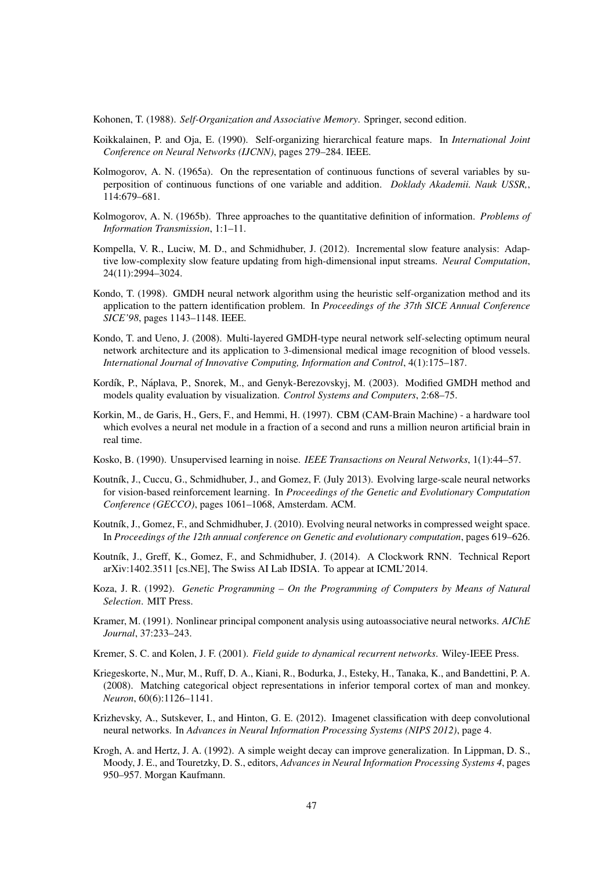Kohonen, T. (1988). *Self-Organization and Associative Memory*. Springer, second edition.

- Koikkalainen, P. and Oja, E. (1990). Self-organizing hierarchical feature maps. In *International Joint Conference on Neural Networks (IJCNN)*, pages 279–284. IEEE.
- Kolmogorov, A. N. (1965a). On the representation of continuous functions of several variables by superposition of continuous functions of one variable and addition. *Doklady Akademii. Nauk USSR,*, 114:679–681.
- Kolmogorov, A. N. (1965b). Three approaches to the quantitative definition of information. *Problems of Information Transmission*, 1:1–11.
- Kompella, V. R., Luciw, M. D., and Schmidhuber, J. (2012). Incremental slow feature analysis: Adaptive low-complexity slow feature updating from high-dimensional input streams. *Neural Computation*, 24(11):2994–3024.
- Kondo, T. (1998). GMDH neural network algorithm using the heuristic self-organization method and its application to the pattern identification problem. In *Proceedings of the 37th SICE Annual Conference SICE'98*, pages 1143–1148. IEEE.
- Kondo, T. and Ueno, J. (2008). Multi-layered GMDH-type neural network self-selecting optimum neural network architecture and its application to 3-dimensional medical image recognition of blood vessels. *International Journal of Innovative Computing, Information and Control*, 4(1):175–187.
- Kordík, P., Náplava, P., Snorek, M., and Genyk-Berezovskyj, M. (2003). Modified GMDH method and models quality evaluation by visualization. *Control Systems and Computers*, 2:68–75.
- Korkin, M., de Garis, H., Gers, F., and Hemmi, H. (1997). CBM (CAM-Brain Machine) a hardware tool which evolves a neural net module in a fraction of a second and runs a million neuron artificial brain in real time.
- Kosko, B. (1990). Unsupervised learning in noise. *IEEE Transactions on Neural Networks*, 1(1):44–57.
- Koutník, J., Cuccu, G., Schmidhuber, J., and Gomez, F. (July 2013). Evolving large-scale neural networks for vision-based reinforcement learning. In *Proceedings of the Genetic and Evolutionary Computation Conference (GECCO)*, pages 1061–1068, Amsterdam. ACM.
- Koutník, J., Gomez, F., and Schmidhuber, J. (2010). Evolving neural networks in compressed weight space. In *Proceedings of the 12th annual conference on Genetic and evolutionary computation*, pages 619–626.
- Koutník, J., Greff, K., Gomez, F., and Schmidhuber, J. (2014). A Clockwork RNN. Technical Report arXiv:1402.3511 [cs.NE], The Swiss AI Lab IDSIA. To appear at ICML'2014.
- Koza, J. R. (1992). *Genetic Programming On the Programming of Computers by Means of Natural Selection*. MIT Press.
- Kramer, M. (1991). Nonlinear principal component analysis using autoassociative neural networks. *AIChE Journal*, 37:233–243.

Kremer, S. C. and Kolen, J. F. (2001). *Field guide to dynamical recurrent networks*. Wiley-IEEE Press.

- Kriegeskorte, N., Mur, M., Ruff, D. A., Kiani, R., Bodurka, J., Esteky, H., Tanaka, K., and Bandettini, P. A. (2008). Matching categorical object representations in inferior temporal cortex of man and monkey. *Neuron*, 60(6):1126–1141.
- Krizhevsky, A., Sutskever, I., and Hinton, G. E. (2012). Imagenet classification with deep convolutional neural networks. In *Advances in Neural Information Processing Systems (NIPS 2012)*, page 4.
- Krogh, A. and Hertz, J. A. (1992). A simple weight decay can improve generalization. In Lippman, D. S., Moody, J. E., and Touretzky, D. S., editors, *Advances in Neural Information Processing Systems 4*, pages 950–957. Morgan Kaufmann.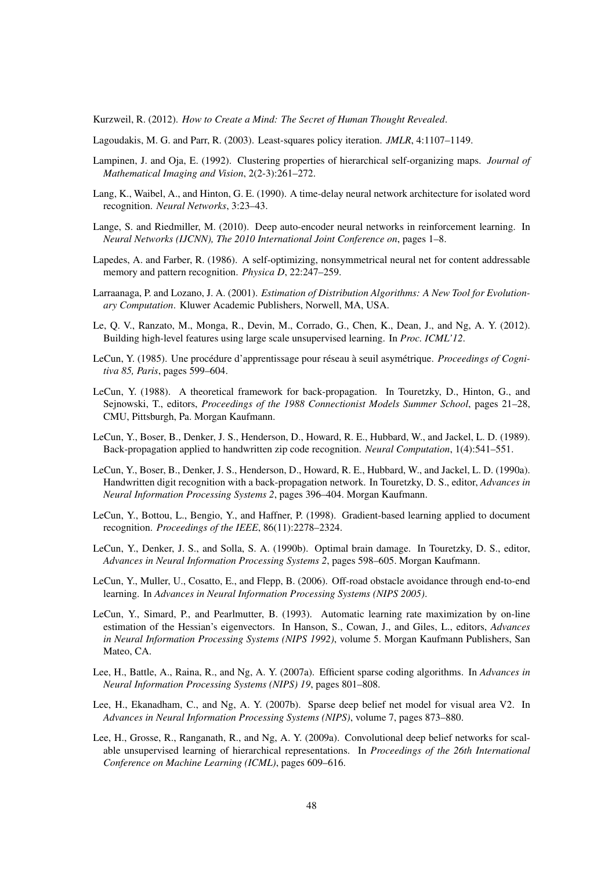Kurzweil, R. (2012). *How to Create a Mind: The Secret of Human Thought Revealed*.

Lagoudakis, M. G. and Parr, R. (2003). Least-squares policy iteration. *JMLR*, 4:1107–1149.

- Lampinen, J. and Oja, E. (1992). Clustering properties of hierarchical self-organizing maps. *Journal of Mathematical Imaging and Vision*, 2(2-3):261–272.
- Lang, K., Waibel, A., and Hinton, G. E. (1990). A time-delay neural network architecture for isolated word recognition. *Neural Networks*, 3:23–43.
- Lange, S. and Riedmiller, M. (2010). Deep auto-encoder neural networks in reinforcement learning. In *Neural Networks (IJCNN), The 2010 International Joint Conference on*, pages 1–8.
- Lapedes, A. and Farber, R. (1986). A self-optimizing, nonsymmetrical neural net for content addressable memory and pattern recognition. *Physica D*, 22:247–259.
- Larraanaga, P. and Lozano, J. A. (2001). *Estimation of Distribution Algorithms: A New Tool for Evolutionary Computation*. Kluwer Academic Publishers, Norwell, MA, USA.
- Le, Q. V., Ranzato, M., Monga, R., Devin, M., Corrado, G., Chen, K., Dean, J., and Ng, A. Y. (2012). Building high-level features using large scale unsupervised learning. In *Proc. ICML'12*.
- LeCun, Y. (1985). Une procédure d'apprentissage pour réseau à seuil asymétrique. Proceedings of Cogni*tiva 85, Paris*, pages 599–604.
- LeCun, Y. (1988). A theoretical framework for back-propagation. In Touretzky, D., Hinton, G., and Sejnowski, T., editors, *Proceedings of the 1988 Connectionist Models Summer School*, pages 21–28, CMU, Pittsburgh, Pa. Morgan Kaufmann.
- LeCun, Y., Boser, B., Denker, J. S., Henderson, D., Howard, R. E., Hubbard, W., and Jackel, L. D. (1989). Back-propagation applied to handwritten zip code recognition. *Neural Computation*, 1(4):541–551.
- LeCun, Y., Boser, B., Denker, J. S., Henderson, D., Howard, R. E., Hubbard, W., and Jackel, L. D. (1990a). Handwritten digit recognition with a back-propagation network. In Touretzky, D. S., editor, *Advances in Neural Information Processing Systems 2*, pages 396–404. Morgan Kaufmann.
- LeCun, Y., Bottou, L., Bengio, Y., and Haffner, P. (1998). Gradient-based learning applied to document recognition. *Proceedings of the IEEE*, 86(11):2278–2324.
- LeCun, Y., Denker, J. S., and Solla, S. A. (1990b). Optimal brain damage. In Touretzky, D. S., editor, *Advances in Neural Information Processing Systems 2*, pages 598–605. Morgan Kaufmann.
- LeCun, Y., Muller, U., Cosatto, E., and Flepp, B. (2006). Off-road obstacle avoidance through end-to-end learning. In *Advances in Neural Information Processing Systems (NIPS 2005)*.
- LeCun, Y., Simard, P., and Pearlmutter, B. (1993). Automatic learning rate maximization by on-line estimation of the Hessian's eigenvectors. In Hanson, S., Cowan, J., and Giles, L., editors, *Advances in Neural Information Processing Systems (NIPS 1992)*, volume 5. Morgan Kaufmann Publishers, San Mateo, CA.
- Lee, H., Battle, A., Raina, R., and Ng, A. Y. (2007a). Efficient sparse coding algorithms. In *Advances in Neural Information Processing Systems (NIPS) 19*, pages 801–808.
- Lee, H., Ekanadham, C., and Ng, A. Y. (2007b). Sparse deep belief net model for visual area V2. In *Advances in Neural Information Processing Systems (NIPS)*, volume 7, pages 873–880.
- Lee, H., Grosse, R., Ranganath, R., and Ng, A. Y. (2009a). Convolutional deep belief networks for scalable unsupervised learning of hierarchical representations. In *Proceedings of the 26th International Conference on Machine Learning (ICML)*, pages 609–616.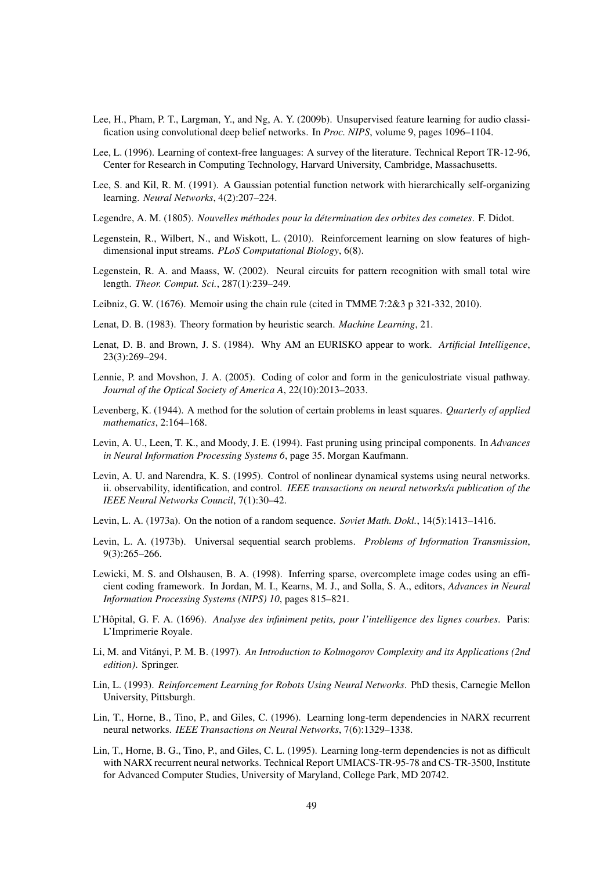- Lee, H., Pham, P. T., Largman, Y., and Ng, A. Y. (2009b). Unsupervised feature learning for audio classification using convolutional deep belief networks. In *Proc. NIPS*, volume 9, pages 1096–1104.
- Lee, L. (1996). Learning of context-free languages: A survey of the literature. Technical Report TR-12-96, Center for Research in Computing Technology, Harvard University, Cambridge, Massachusetts.
- Lee, S. and Kil, R. M. (1991). A Gaussian potential function network with hierarchically self-organizing learning. *Neural Networks*, 4(2):207–224.
- Legendre, A. M. (1805). *Nouvelles méthodes pour la détermination des orbites des cometes*. F. Didot.
- Legenstein, R., Wilbert, N., and Wiskott, L. (2010). Reinforcement learning on slow features of highdimensional input streams. *PLoS Computational Biology*, 6(8).
- Legenstein, R. A. and Maass, W. (2002). Neural circuits for pattern recognition with small total wire length. *Theor. Comput. Sci.*, 287(1):239–249.
- Leibniz, G. W. (1676). Memoir using the chain rule (cited in TMME 7:2&3 p 321-332, 2010).
- Lenat, D. B. (1983). Theory formation by heuristic search. *Machine Learning*, 21.
- Lenat, D. B. and Brown, J. S. (1984). Why AM an EURISKO appear to work. *Artificial Intelligence*, 23(3):269–294.
- Lennie, P. and Movshon, J. A. (2005). Coding of color and form in the geniculostriate visual pathway. *Journal of the Optical Society of America A*, 22(10):2013–2033.
- Levenberg, K. (1944). A method for the solution of certain problems in least squares. *Quarterly of applied mathematics*, 2:164–168.
- Levin, A. U., Leen, T. K., and Moody, J. E. (1994). Fast pruning using principal components. In *Advances in Neural Information Processing Systems 6*, page 35. Morgan Kaufmann.
- Levin, A. U. and Narendra, K. S. (1995). Control of nonlinear dynamical systems using neural networks. ii. observability, identification, and control. *IEEE transactions on neural networks/a publication of the IEEE Neural Networks Council*, 7(1):30–42.
- Levin, L. A. (1973a). On the notion of a random sequence. *Soviet Math. Dokl.*, 14(5):1413–1416.
- Levin, L. A. (1973b). Universal sequential search problems. *Problems of Information Transmission*, 9(3):265–266.
- Lewicki, M. S. and Olshausen, B. A. (1998). Inferring sparse, overcomplete image codes using an efficient coding framework. In Jordan, M. I., Kearns, M. J., and Solla, S. A., editors, *Advances in Neural Information Processing Systems (NIPS) 10*, pages 815–821.
- L'Hôpital, G. F. A. (1696). *Analyse des infiniment petits, pour l'intelligence des lignes courbes*. Paris: L'Imprimerie Royale.
- Li, M. and Vitányi, P. M. B. (1997). An Introduction to Kolmogorov Complexity and its Applications (2nd *edition)*. Springer.
- Lin, L. (1993). *Reinforcement Learning for Robots Using Neural Networks*. PhD thesis, Carnegie Mellon University, Pittsburgh.
- Lin, T., Horne, B., Tino, P., and Giles, C. (1996). Learning long-term dependencies in NARX recurrent neural networks. *IEEE Transactions on Neural Networks*, 7(6):1329–1338.
- Lin, T., Horne, B. G., Tino, P., and Giles, C. L. (1995). Learning long-term dependencies is not as difficult with NARX recurrent neural networks. Technical Report UMIACS-TR-95-78 and CS-TR-3500, Institute for Advanced Computer Studies, University of Maryland, College Park, MD 20742.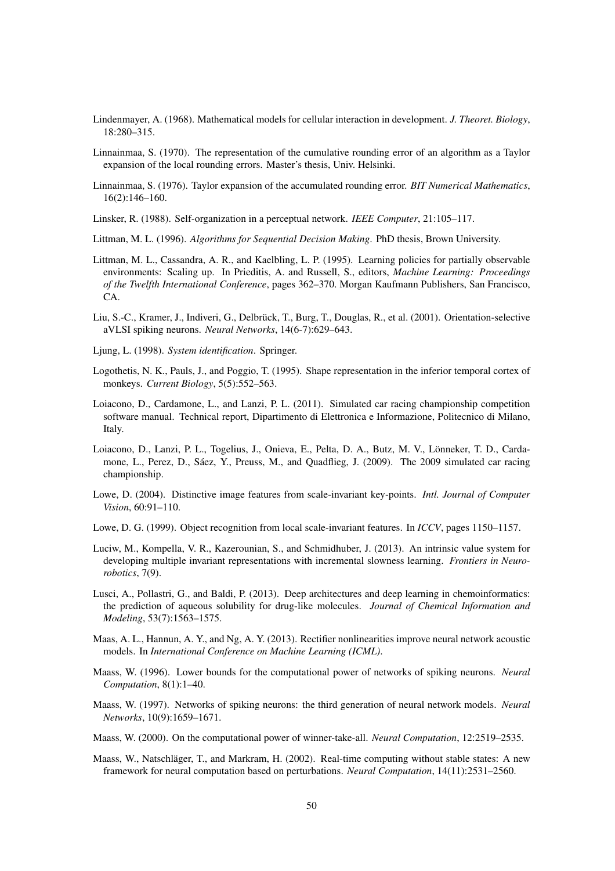- Lindenmayer, A. (1968). Mathematical models for cellular interaction in development. *J. Theoret. Biology*, 18:280–315.
- Linnainmaa, S. (1970). The representation of the cumulative rounding error of an algorithm as a Taylor expansion of the local rounding errors. Master's thesis, Univ. Helsinki.
- Linnainmaa, S. (1976). Taylor expansion of the accumulated rounding error. *BIT Numerical Mathematics*, 16(2):146–160.
- Linsker, R. (1988). Self-organization in a perceptual network. *IEEE Computer*, 21:105–117.
- Littman, M. L. (1996). *Algorithms for Sequential Decision Making*. PhD thesis, Brown University.
- Littman, M. L., Cassandra, A. R., and Kaelbling, L. P. (1995). Learning policies for partially observable environments: Scaling up. In Prieditis, A. and Russell, S., editors, *Machine Learning: Proceedings of the Twelfth International Conference*, pages 362–370. Morgan Kaufmann Publishers, San Francisco, CA.
- Liu, S.-C., Kramer, J., Indiveri, G., Delbrück, T., Burg, T., Douglas, R., et al. (2001). Orientation-selective aVLSI spiking neurons. *Neural Networks*, 14(6-7):629–643.
- Ljung, L. (1998). *System identification*. Springer.
- Logothetis, N. K., Pauls, J., and Poggio, T. (1995). Shape representation in the inferior temporal cortex of monkeys. *Current Biology*, 5(5):552–563.
- Loiacono, D., Cardamone, L., and Lanzi, P. L. (2011). Simulated car racing championship competition software manual. Technical report, Dipartimento di Elettronica e Informazione, Politecnico di Milano, Italy.
- Loiacono, D., Lanzi, P. L., Togelius, J., Onieva, E., Pelta, D. A., Butz, M. V., Lonneker, T. D., Carda- ¨ mone, L., Perez, D., Sáez, Y., Preuss, M., and Quadflieg, J. (2009). The 2009 simulated car racing championship.
- Lowe, D. (2004). Distinctive image features from scale-invariant key-points. *Intl. Journal of Computer Vision*, 60:91–110.
- Lowe, D. G. (1999). Object recognition from local scale-invariant features. In *ICCV*, pages 1150–1157.
- Luciw, M., Kompella, V. R., Kazerounian, S., and Schmidhuber, J. (2013). An intrinsic value system for developing multiple invariant representations with incremental slowness learning. *Frontiers in Neurorobotics*, 7(9).
- Lusci, A., Pollastri, G., and Baldi, P. (2013). Deep architectures and deep learning in chemoinformatics: the prediction of aqueous solubility for drug-like molecules. *Journal of Chemical Information and Modeling*, 53(7):1563–1575.
- Maas, A. L., Hannun, A. Y., and Ng, A. Y. (2013). Rectifier nonlinearities improve neural network acoustic models. In *International Conference on Machine Learning (ICML)*.
- Maass, W. (1996). Lower bounds for the computational power of networks of spiking neurons. *Neural Computation*, 8(1):1–40.
- Maass, W. (1997). Networks of spiking neurons: the third generation of neural network models. *Neural Networks*, 10(9):1659–1671.
- Maass, W. (2000). On the computational power of winner-take-all. *Neural Computation*, 12:2519–2535.
- Maass, W., Natschläger, T., and Markram, H. (2002). Real-time computing without stable states: A new framework for neural computation based on perturbations. *Neural Computation*, 14(11):2531–2560.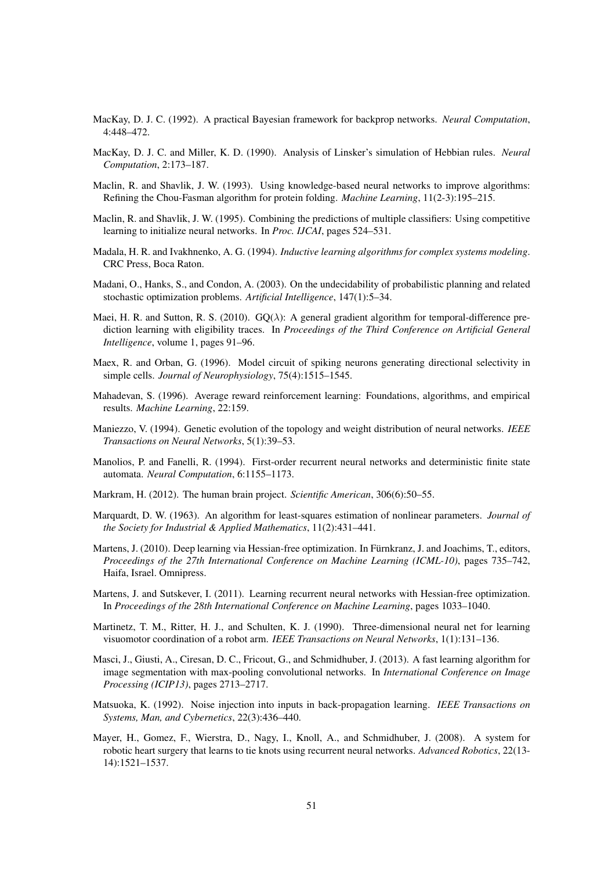- MacKay, D. J. C. (1992). A practical Bayesian framework for backprop networks. *Neural Computation*, 4:448–472.
- MacKay, D. J. C. and Miller, K. D. (1990). Analysis of Linsker's simulation of Hebbian rules. *Neural Computation*, 2:173–187.
- Maclin, R. and Shavlik, J. W. (1993). Using knowledge-based neural networks to improve algorithms: Refining the Chou-Fasman algorithm for protein folding. *Machine Learning*, 11(2-3):195–215.
- Maclin, R. and Shavlik, J. W. (1995). Combining the predictions of multiple classifiers: Using competitive learning to initialize neural networks. In *Proc. IJCAI*, pages 524–531.
- Madala, H. R. and Ivakhnenko, A. G. (1994). *Inductive learning algorithms for complex systems modeling*. CRC Press, Boca Raton.
- Madani, O., Hanks, S., and Condon, A. (2003). On the undecidability of probabilistic planning and related stochastic optimization problems. *Artificial Intelligence*, 147(1):5–34.
- Maei, H. R. and Sutton, R. S. (2010).  $GQ(\lambda)$ : A general gradient algorithm for temporal-difference prediction learning with eligibility traces. In *Proceedings of the Third Conference on Artificial General Intelligence*, volume 1, pages 91–96.
- Maex, R. and Orban, G. (1996). Model circuit of spiking neurons generating directional selectivity in simple cells. *Journal of Neurophysiology*, 75(4):1515–1545.
- Mahadevan, S. (1996). Average reward reinforcement learning: Foundations, algorithms, and empirical results. *Machine Learning*, 22:159.
- Maniezzo, V. (1994). Genetic evolution of the topology and weight distribution of neural networks. *IEEE Transactions on Neural Networks*, 5(1):39–53.
- Manolios, P. and Fanelli, R. (1994). First-order recurrent neural networks and deterministic finite state automata. *Neural Computation*, 6:1155–1173.
- Markram, H. (2012). The human brain project. *Scientific American*, 306(6):50–55.
- Marquardt, D. W. (1963). An algorithm for least-squares estimation of nonlinear parameters. *Journal of the Society for Industrial & Applied Mathematics*, 11(2):431–441.
- Martens, J. (2010). Deep learning via Hessian-free optimization. In Fürnkranz, J. and Joachims, T., editors, *Proceedings of the 27th International Conference on Machine Learning (ICML-10)*, pages 735–742, Haifa, Israel. Omnipress.
- Martens, J. and Sutskever, I. (2011). Learning recurrent neural networks with Hessian-free optimization. In *Proceedings of the 28th International Conference on Machine Learning*, pages 1033–1040.
- Martinetz, T. M., Ritter, H. J., and Schulten, K. J. (1990). Three-dimensional neural net for learning visuomotor coordination of a robot arm. *IEEE Transactions on Neural Networks*, 1(1):131–136.
- Masci, J., Giusti, A., Ciresan, D. C., Fricout, G., and Schmidhuber, J. (2013). A fast learning algorithm for image segmentation with max-pooling convolutional networks. In *International Conference on Image Processing (ICIP13)*, pages 2713–2717.
- Matsuoka, K. (1992). Noise injection into inputs in back-propagation learning. *IEEE Transactions on Systems, Man, and Cybernetics*, 22(3):436–440.
- Mayer, H., Gomez, F., Wierstra, D., Nagy, I., Knoll, A., and Schmidhuber, J. (2008). A system for robotic heart surgery that learns to tie knots using recurrent neural networks. *Advanced Robotics*, 22(13- 14):1521–1537.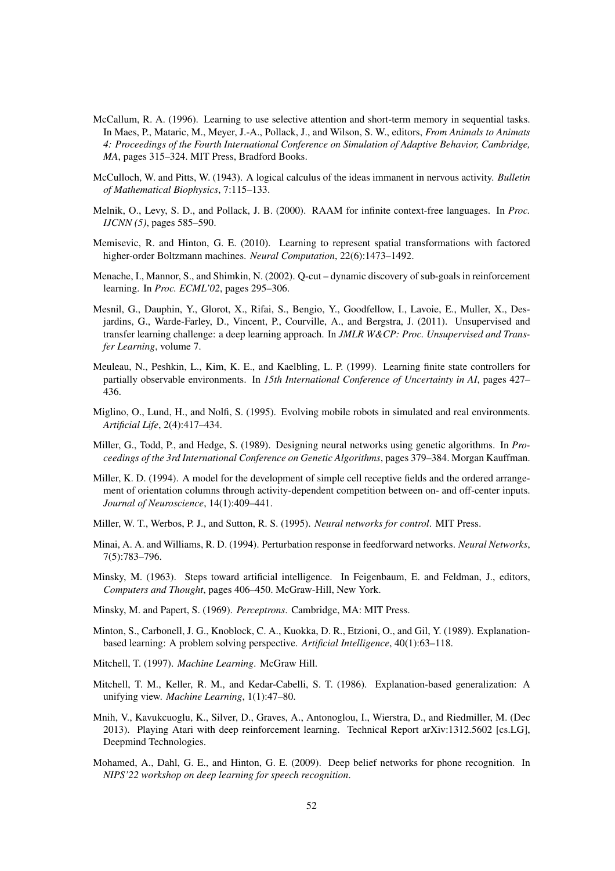- McCallum, R. A. (1996). Learning to use selective attention and short-term memory in sequential tasks. In Maes, P., Mataric, M., Meyer, J.-A., Pollack, J., and Wilson, S. W., editors, *From Animals to Animats 4: Proceedings of the Fourth International Conference on Simulation of Adaptive Behavior, Cambridge, MA*, pages 315–324. MIT Press, Bradford Books.
- McCulloch, W. and Pitts, W. (1943). A logical calculus of the ideas immanent in nervous activity. *Bulletin of Mathematical Biophysics*, 7:115–133.
- Melnik, O., Levy, S. D., and Pollack, J. B. (2000). RAAM for infinite context-free languages. In *Proc. IJCNN (5)*, pages 585–590.
- Memisevic, R. and Hinton, G. E. (2010). Learning to represent spatial transformations with factored higher-order Boltzmann machines. *Neural Computation*, 22(6):1473–1492.
- Menache, I., Mannor, S., and Shimkin, N. (2002). Q-cut dynamic discovery of sub-goals in reinforcement learning. In *Proc. ECML'02*, pages 295–306.
- Mesnil, G., Dauphin, Y., Glorot, X., Rifai, S., Bengio, Y., Goodfellow, I., Lavoie, E., Muller, X., Desjardins, G., Warde-Farley, D., Vincent, P., Courville, A., and Bergstra, J. (2011). Unsupervised and transfer learning challenge: a deep learning approach. In *JMLR W&CP: Proc. Unsupervised and Transfer Learning*, volume 7.
- Meuleau, N., Peshkin, L., Kim, K. E., and Kaelbling, L. P. (1999). Learning finite state controllers for partially observable environments. In *15th International Conference of Uncertainty in AI*, pages 427– 436.
- Miglino, O., Lund, H., and Nolfi, S. (1995). Evolving mobile robots in simulated and real environments. *Artificial Life*, 2(4):417–434.
- Miller, G., Todd, P., and Hedge, S. (1989). Designing neural networks using genetic algorithms. In *Proceedings of the 3rd International Conference on Genetic Algorithms*, pages 379–384. Morgan Kauffman.
- Miller, K. D. (1994). A model for the development of simple cell receptive fields and the ordered arrangement of orientation columns through activity-dependent competition between on- and off-center inputs. *Journal of Neuroscience*, 14(1):409–441.
- Miller, W. T., Werbos, P. J., and Sutton, R. S. (1995). *Neural networks for control*. MIT Press.
- Minai, A. A. and Williams, R. D. (1994). Perturbation response in feedforward networks. *Neural Networks*, 7(5):783–796.
- Minsky, M. (1963). Steps toward artificial intelligence. In Feigenbaum, E. and Feldman, J., editors, *Computers and Thought*, pages 406–450. McGraw-Hill, New York.
- Minsky, M. and Papert, S. (1969). *Perceptrons*. Cambridge, MA: MIT Press.
- Minton, S., Carbonell, J. G., Knoblock, C. A., Kuokka, D. R., Etzioni, O., and Gil, Y. (1989). Explanationbased learning: A problem solving perspective. *Artificial Intelligence*, 40(1):63–118.
- Mitchell, T. (1997). *Machine Learning*. McGraw Hill.
- Mitchell, T. M., Keller, R. M., and Kedar-Cabelli, S. T. (1986). Explanation-based generalization: A unifying view. *Machine Learning*, 1(1):47–80.
- Mnih, V., Kavukcuoglu, K., Silver, D., Graves, A., Antonoglou, I., Wierstra, D., and Riedmiller, M. (Dec 2013). Playing Atari with deep reinforcement learning. Technical Report arXiv:1312.5602 [cs.LG], Deepmind Technologies.
- Mohamed, A., Dahl, G. E., and Hinton, G. E. (2009). Deep belief networks for phone recognition. In *NIPS'22 workshop on deep learning for speech recognition*.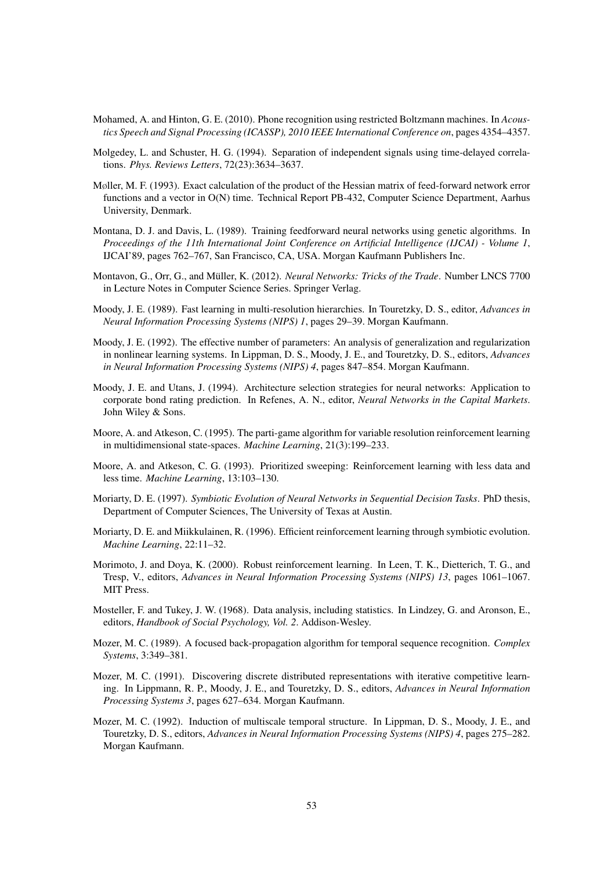- Mohamed, A. and Hinton, G. E. (2010). Phone recognition using restricted Boltzmann machines. In *Acoustics Speech and Signal Processing (ICASSP), 2010 IEEE International Conference on*, pages 4354–4357.
- Molgedey, L. and Schuster, H. G. (1994). Separation of independent signals using time-delayed correlations. *Phys. Reviews Letters*, 72(23):3634–3637.
- Møller, M. F. (1993). Exact calculation of the product of the Hessian matrix of feed-forward network error functions and a vector in O(N) time. Technical Report PB-432, Computer Science Department, Aarhus University, Denmark.
- Montana, D. J. and Davis, L. (1989). Training feedforward neural networks using genetic algorithms. In *Proceedings of the 11th International Joint Conference on Artificial Intelligence (IJCAI) - Volume 1*, IJCAI'89, pages 762–767, San Francisco, CA, USA. Morgan Kaufmann Publishers Inc.
- Montavon, G., Orr, G., and Müller, K. (2012). Neural Networks: Tricks of the Trade. Number LNCS 7700 in Lecture Notes in Computer Science Series. Springer Verlag.
- Moody, J. E. (1989). Fast learning in multi-resolution hierarchies. In Touretzky, D. S., editor, *Advances in Neural Information Processing Systems (NIPS) 1*, pages 29–39. Morgan Kaufmann.
- Moody, J. E. (1992). The effective number of parameters: An analysis of generalization and regularization in nonlinear learning systems. In Lippman, D. S., Moody, J. E., and Touretzky, D. S., editors, *Advances in Neural Information Processing Systems (NIPS) 4*, pages 847–854. Morgan Kaufmann.
- Moody, J. E. and Utans, J. (1994). Architecture selection strategies for neural networks: Application to corporate bond rating prediction. In Refenes, A. N., editor, *Neural Networks in the Capital Markets*. John Wiley & Sons.
- Moore, A. and Atkeson, C. (1995). The parti-game algorithm for variable resolution reinforcement learning in multidimensional state-spaces. *Machine Learning*, 21(3):199–233.
- Moore, A. and Atkeson, C. G. (1993). Prioritized sweeping: Reinforcement learning with less data and less time. *Machine Learning*, 13:103–130.
- Moriarty, D. E. (1997). *Symbiotic Evolution of Neural Networks in Sequential Decision Tasks*. PhD thesis, Department of Computer Sciences, The University of Texas at Austin.
- Moriarty, D. E. and Miikkulainen, R. (1996). Efficient reinforcement learning through symbiotic evolution. *Machine Learning*, 22:11–32.
- Morimoto, J. and Doya, K. (2000). Robust reinforcement learning. In Leen, T. K., Dietterich, T. G., and Tresp, V., editors, *Advances in Neural Information Processing Systems (NIPS) 13*, pages 1061–1067. MIT Press.
- Mosteller, F. and Tukey, J. W. (1968). Data analysis, including statistics. In Lindzey, G. and Aronson, E., editors, *Handbook of Social Psychology, Vol. 2*. Addison-Wesley.
- Mozer, M. C. (1989). A focused back-propagation algorithm for temporal sequence recognition. *Complex Systems*, 3:349–381.
- Mozer, M. C. (1991). Discovering discrete distributed representations with iterative competitive learning. In Lippmann, R. P., Moody, J. E., and Touretzky, D. S., editors, *Advances in Neural Information Processing Systems 3*, pages 627–634. Morgan Kaufmann.
- Mozer, M. C. (1992). Induction of multiscale temporal structure. In Lippman, D. S., Moody, J. E., and Touretzky, D. S., editors, *Advances in Neural Information Processing Systems (NIPS) 4*, pages 275–282. Morgan Kaufmann.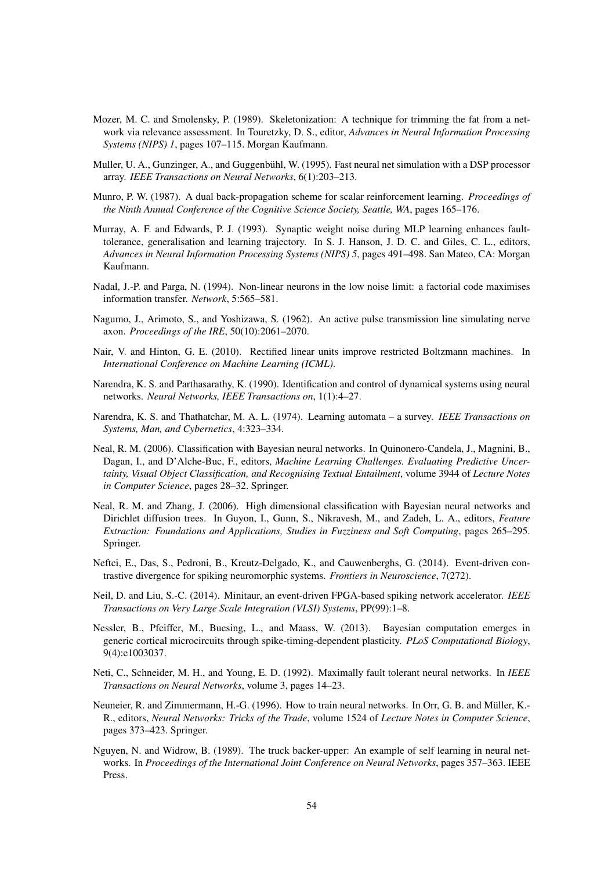- Mozer, M. C. and Smolensky, P. (1989). Skeletonization: A technique for trimming the fat from a network via relevance assessment. In Touretzky, D. S., editor, *Advances in Neural Information Processing Systems (NIPS) 1*, pages 107–115. Morgan Kaufmann.
- Muller, U. A., Gunzinger, A., and Guggenbühl, W. (1995). Fast neural net simulation with a DSP processor array. *IEEE Transactions on Neural Networks*, 6(1):203–213.
- Munro, P. W. (1987). A dual back-propagation scheme for scalar reinforcement learning. *Proceedings of the Ninth Annual Conference of the Cognitive Science Society, Seattle, WA*, pages 165–176.
- Murray, A. F. and Edwards, P. J. (1993). Synaptic weight noise during MLP learning enhances faulttolerance, generalisation and learning trajectory. In S. J. Hanson, J. D. C. and Giles, C. L., editors, *Advances in Neural Information Processing Systems (NIPS) 5*, pages 491–498. San Mateo, CA: Morgan Kaufmann.
- Nadal, J.-P. and Parga, N. (1994). Non-linear neurons in the low noise limit: a factorial code maximises information transfer. *Network*, 5:565–581.
- Nagumo, J., Arimoto, S., and Yoshizawa, S. (1962). An active pulse transmission line simulating nerve axon. *Proceedings of the IRE*, 50(10):2061–2070.
- Nair, V. and Hinton, G. E. (2010). Rectified linear units improve restricted Boltzmann machines. In *International Conference on Machine Learning (ICML)*.
- Narendra, K. S. and Parthasarathy, K. (1990). Identification and control of dynamical systems using neural networks. *Neural Networks, IEEE Transactions on*, 1(1):4–27.
- Narendra, K. S. and Thathatchar, M. A. L. (1974). Learning automata a survey. *IEEE Transactions on Systems, Man, and Cybernetics*, 4:323–334.
- Neal, R. M. (2006). Classification with Bayesian neural networks. In Quinonero-Candela, J., Magnini, B., Dagan, I., and D'Alche-Buc, F., editors, *Machine Learning Challenges. Evaluating Predictive Uncertainty, Visual Object Classification, and Recognising Textual Entailment*, volume 3944 of *Lecture Notes in Computer Science*, pages 28–32. Springer.
- Neal, R. M. and Zhang, J. (2006). High dimensional classification with Bayesian neural networks and Dirichlet diffusion trees. In Guyon, I., Gunn, S., Nikravesh, M., and Zadeh, L. A., editors, *Feature Extraction: Foundations and Applications, Studies in Fuzziness and Soft Computing*, pages 265–295. Springer.
- Neftci, E., Das, S., Pedroni, B., Kreutz-Delgado, K., and Cauwenberghs, G. (2014). Event-driven contrastive divergence for spiking neuromorphic systems. *Frontiers in Neuroscience*, 7(272).
- Neil, D. and Liu, S.-C. (2014). Minitaur, an event-driven FPGA-based spiking network accelerator. *IEEE Transactions on Very Large Scale Integration (VLSI) Systems*, PP(99):1–8.
- Nessler, B., Pfeiffer, M., Buesing, L., and Maass, W. (2013). Bayesian computation emerges in generic cortical microcircuits through spike-timing-dependent plasticity. *PLoS Computational Biology*, 9(4):e1003037.
- Neti, C., Schneider, M. H., and Young, E. D. (1992). Maximally fault tolerant neural networks. In *IEEE Transactions on Neural Networks*, volume 3, pages 14–23.
- Neuneier, R. and Zimmermann, H.-G. (1996). How to train neural networks. In Orr, G. B. and Muller, K.- ¨ R., editors, *Neural Networks: Tricks of the Trade*, volume 1524 of *Lecture Notes in Computer Science*, pages 373–423. Springer.
- Nguyen, N. and Widrow, B. (1989). The truck backer-upper: An example of self learning in neural networks. In *Proceedings of the International Joint Conference on Neural Networks*, pages 357–363. IEEE Press.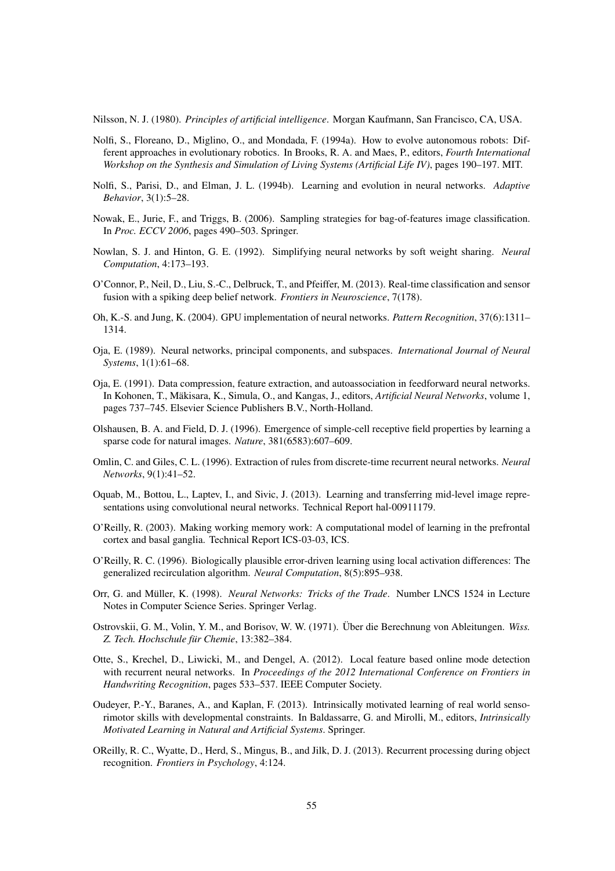Nilsson, N. J. (1980). *Principles of artificial intelligence*. Morgan Kaufmann, San Francisco, CA, USA.

- Nolfi, S., Floreano, D., Miglino, O., and Mondada, F. (1994a). How to evolve autonomous robots: Different approaches in evolutionary robotics. In Brooks, R. A. and Maes, P., editors, *Fourth International Workshop on the Synthesis and Simulation of Living Systems (Artificial Life IV)*, pages 190–197. MIT.
- Nolfi, S., Parisi, D., and Elman, J. L. (1994b). Learning and evolution in neural networks. *Adaptive Behavior*, 3(1):5–28.
- Nowak, E., Jurie, F., and Triggs, B. (2006). Sampling strategies for bag-of-features image classification. In *Proc. ECCV 2006*, pages 490–503. Springer.
- Nowlan, S. J. and Hinton, G. E. (1992). Simplifying neural networks by soft weight sharing. *Neural Computation*, 4:173–193.
- O'Connor, P., Neil, D., Liu, S.-C., Delbruck, T., and Pfeiffer, M. (2013). Real-time classification and sensor fusion with a spiking deep belief network. *Frontiers in Neuroscience*, 7(178).
- Oh, K.-S. and Jung, K. (2004). GPU implementation of neural networks. *Pattern Recognition*, 37(6):1311– 1314.
- Oja, E. (1989). Neural networks, principal components, and subspaces. *International Journal of Neural Systems*, 1(1):61–68.
- Oja, E. (1991). Data compression, feature extraction, and autoassociation in feedforward neural networks. In Kohonen, T., Mäkisara, K., Simula, O., and Kangas, J., editors, *Artificial Neural Networks*, volume 1, pages 737–745. Elsevier Science Publishers B.V., North-Holland.
- Olshausen, B. A. and Field, D. J. (1996). Emergence of simple-cell receptive field properties by learning a sparse code for natural images. *Nature*, 381(6583):607–609.
- Omlin, C. and Giles, C. L. (1996). Extraction of rules from discrete-time recurrent neural networks. *Neural Networks*, 9(1):41–52.
- Oquab, M., Bottou, L., Laptev, I., and Sivic, J. (2013). Learning and transferring mid-level image representations using convolutional neural networks. Technical Report hal-00911179.
- O'Reilly, R. (2003). Making working memory work: A computational model of learning in the prefrontal cortex and basal ganglia. Technical Report ICS-03-03, ICS.
- O'Reilly, R. C. (1996). Biologically plausible error-driven learning using local activation differences: The generalized recirculation algorithm. *Neural Computation*, 8(5):895–938.
- Orr, G. and Müller, K. (1998). Neural Networks: Tricks of the Trade. Number LNCS 1524 in Lecture Notes in Computer Science Series. Springer Verlag.
- Ostrovskii, G. M., Volin, Y. M., and Borisov, W. W. (1971). Uber die Berechnung von Ableitungen. ¨ *Wiss.* Z. Tech. Hochschule für Chemie, 13:382-384.
- Otte, S., Krechel, D., Liwicki, M., and Dengel, A. (2012). Local feature based online mode detection with recurrent neural networks. In *Proceedings of the 2012 International Conference on Frontiers in Handwriting Recognition*, pages 533–537. IEEE Computer Society.
- Oudeyer, P.-Y., Baranes, A., and Kaplan, F. (2013). Intrinsically motivated learning of real world sensorimotor skills with developmental constraints. In Baldassarre, G. and Mirolli, M., editors, *Intrinsically Motivated Learning in Natural and Artificial Systems*. Springer.
- OReilly, R. C., Wyatte, D., Herd, S., Mingus, B., and Jilk, D. J. (2013). Recurrent processing during object recognition. *Frontiers in Psychology*, 4:124.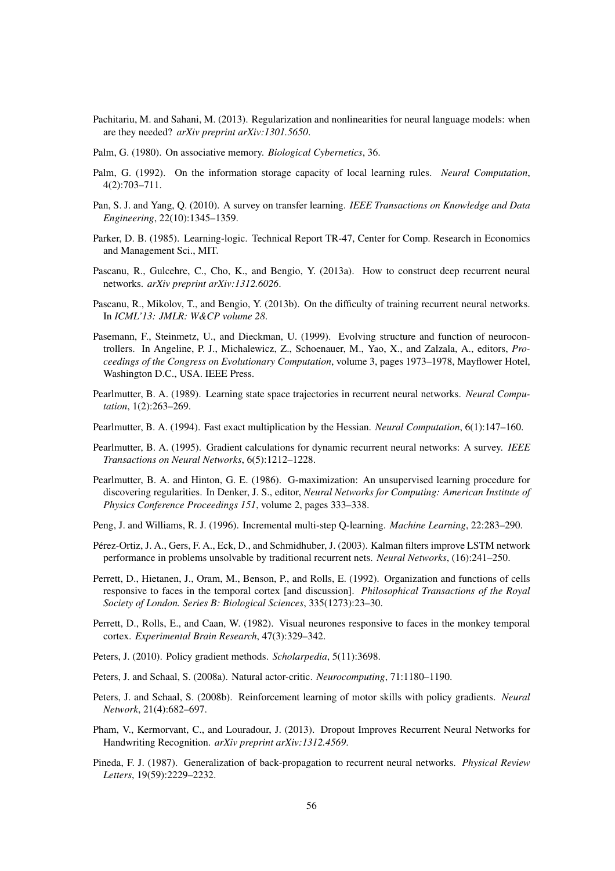- Pachitariu, M. and Sahani, M. (2013). Regularization and nonlinearities for neural language models: when are they needed? *arXiv preprint arXiv:1301.5650*.
- Palm, G. (1980). On associative memory. *Biological Cybernetics*, 36.
- Palm, G. (1992). On the information storage capacity of local learning rules. *Neural Computation*, 4(2):703–711.
- Pan, S. J. and Yang, Q. (2010). A survey on transfer learning. *IEEE Transactions on Knowledge and Data Engineering*, 22(10):1345–1359.
- Parker, D. B. (1985). Learning-logic. Technical Report TR-47, Center for Comp. Research in Economics and Management Sci., MIT.
- Pascanu, R., Gulcehre, C., Cho, K., and Bengio, Y. (2013a). How to construct deep recurrent neural networks. *arXiv preprint arXiv:1312.6026*.
- Pascanu, R., Mikolov, T., and Bengio, Y. (2013b). On the difficulty of training recurrent neural networks. In *ICML'13: JMLR: W&CP volume 28*.
- Pasemann, F., Steinmetz, U., and Dieckman, U. (1999). Evolving structure and function of neurocontrollers. In Angeline, P. J., Michalewicz, Z., Schoenauer, M., Yao, X., and Zalzala, A., editors, *Proceedings of the Congress on Evolutionary Computation*, volume 3, pages 1973–1978, Mayflower Hotel, Washington D.C., USA. IEEE Press.
- Pearlmutter, B. A. (1989). Learning state space trajectories in recurrent neural networks. *Neural Computation*, 1(2):263–269.
- Pearlmutter, B. A. (1994). Fast exact multiplication by the Hessian. *Neural Computation*, 6(1):147–160.
- Pearlmutter, B. A. (1995). Gradient calculations for dynamic recurrent neural networks: A survey. *IEEE Transactions on Neural Networks*, 6(5):1212–1228.
- Pearlmutter, B. A. and Hinton, G. E. (1986). G-maximization: An unsupervised learning procedure for discovering regularities. In Denker, J. S., editor, *Neural Networks for Computing: American Institute of Physics Conference Proceedings 151*, volume 2, pages 333–338.
- Peng, J. and Williams, R. J. (1996). Incremental multi-step Q-learning. *Machine Learning*, 22:283–290.
- Pérez-Ortiz, J. A., Gers, F. A., Eck, D., and Schmidhuber, J. (2003). Kalman filters improve LSTM network performance in problems unsolvable by traditional recurrent nets. *Neural Networks*, (16):241–250.
- Perrett, D., Hietanen, J., Oram, M., Benson, P., and Rolls, E. (1992). Organization and functions of cells responsive to faces in the temporal cortex [and discussion]. *Philosophical Transactions of the Royal Society of London. Series B: Biological Sciences*, 335(1273):23–30.
- Perrett, D., Rolls, E., and Caan, W. (1982). Visual neurones responsive to faces in the monkey temporal cortex. *Experimental Brain Research*, 47(3):329–342.
- Peters, J. (2010). Policy gradient methods. *Scholarpedia*, 5(11):3698.
- Peters, J. and Schaal, S. (2008a). Natural actor-critic. *Neurocomputing*, 71:1180–1190.
- Peters, J. and Schaal, S. (2008b). Reinforcement learning of motor skills with policy gradients. *Neural Network*, 21(4):682–697.
- Pham, V., Kermorvant, C., and Louradour, J. (2013). Dropout Improves Recurrent Neural Networks for Handwriting Recognition. *arXiv preprint arXiv:1312.4569*.
- Pineda, F. J. (1987). Generalization of back-propagation to recurrent neural networks. *Physical Review Letters*, 19(59):2229–2232.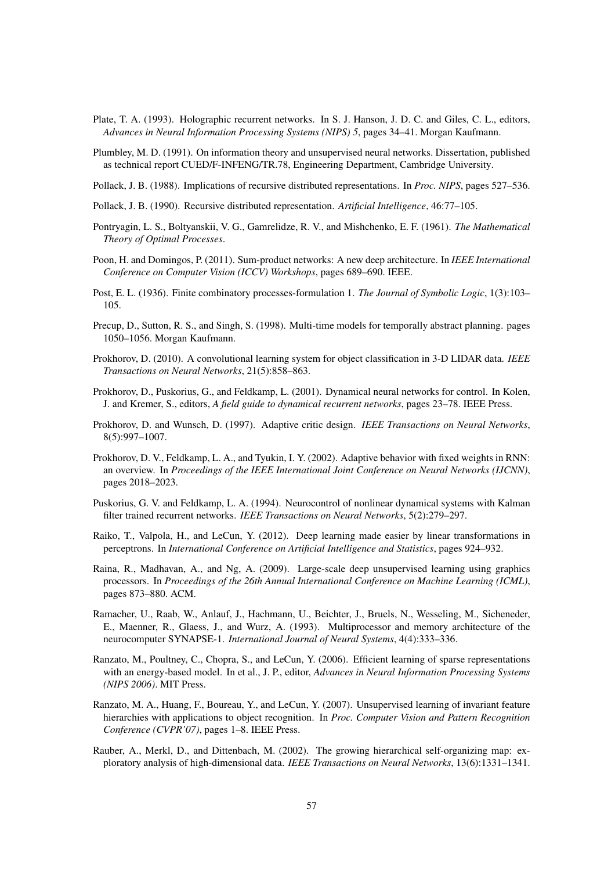- Plate, T. A. (1993). Holographic recurrent networks. In S. J. Hanson, J. D. C. and Giles, C. L., editors, *Advances in Neural Information Processing Systems (NIPS) 5*, pages 34–41. Morgan Kaufmann.
- Plumbley, M. D. (1991). On information theory and unsupervised neural networks. Dissertation, published as technical report CUED/F-INFENG/TR.78, Engineering Department, Cambridge University.
- Pollack, J. B. (1988). Implications of recursive distributed representations. In *Proc. NIPS*, pages 527–536.
- Pollack, J. B. (1990). Recursive distributed representation. *Artificial Intelligence*, 46:77–105.
- Pontryagin, L. S., Boltyanskii, V. G., Gamrelidze, R. V., and Mishchenko, E. F. (1961). *The Mathematical Theory of Optimal Processes*.
- Poon, H. and Domingos, P. (2011). Sum-product networks: A new deep architecture. In *IEEE International Conference on Computer Vision (ICCV) Workshops*, pages 689–690. IEEE.
- Post, E. L. (1936). Finite combinatory processes-formulation 1. *The Journal of Symbolic Logic*, 1(3):103– 105.
- Precup, D., Sutton, R. S., and Singh, S. (1998). Multi-time models for temporally abstract planning. pages 1050–1056. Morgan Kaufmann.
- Prokhorov, D. (2010). A convolutional learning system for object classification in 3-D LIDAR data. *IEEE Transactions on Neural Networks*, 21(5):858–863.
- Prokhorov, D., Puskorius, G., and Feldkamp, L. (2001). Dynamical neural networks for control. In Kolen, J. and Kremer, S., editors, *A field guide to dynamical recurrent networks*, pages 23–78. IEEE Press.
- Prokhorov, D. and Wunsch, D. (1997). Adaptive critic design. *IEEE Transactions on Neural Networks*, 8(5):997–1007.
- Prokhorov, D. V., Feldkamp, L. A., and Tyukin, I. Y. (2002). Adaptive behavior with fixed weights in RNN: an overview. In *Proceedings of the IEEE International Joint Conference on Neural Networks (IJCNN)*, pages 2018–2023.
- Puskorius, G. V. and Feldkamp, L. A. (1994). Neurocontrol of nonlinear dynamical systems with Kalman filter trained recurrent networks. *IEEE Transactions on Neural Networks*, 5(2):279–297.
- Raiko, T., Valpola, H., and LeCun, Y. (2012). Deep learning made easier by linear transformations in perceptrons. In *International Conference on Artificial Intelligence and Statistics*, pages 924–932.
- Raina, R., Madhavan, A., and Ng, A. (2009). Large-scale deep unsupervised learning using graphics processors. In *Proceedings of the 26th Annual International Conference on Machine Learning (ICML)*, pages 873–880. ACM.
- Ramacher, U., Raab, W., Anlauf, J., Hachmann, U., Beichter, J., Bruels, N., Wesseling, M., Sicheneder, E., Maenner, R., Glaess, J., and Wurz, A. (1993). Multiprocessor and memory architecture of the neurocomputer SYNAPSE-1. *International Journal of Neural Systems*, 4(4):333–336.
- Ranzato, M., Poultney, C., Chopra, S., and LeCun, Y. (2006). Efficient learning of sparse representations with an energy-based model. In et al., J. P., editor, *Advances in Neural Information Processing Systems (NIPS 2006)*. MIT Press.
- Ranzato, M. A., Huang, F., Boureau, Y., and LeCun, Y. (2007). Unsupervised learning of invariant feature hierarchies with applications to object recognition. In *Proc. Computer Vision and Pattern Recognition Conference (CVPR'07)*, pages 1–8. IEEE Press.
- Rauber, A., Merkl, D., and Dittenbach, M. (2002). The growing hierarchical self-organizing map: exploratory analysis of high-dimensional data. *IEEE Transactions on Neural Networks*, 13(6):1331–1341.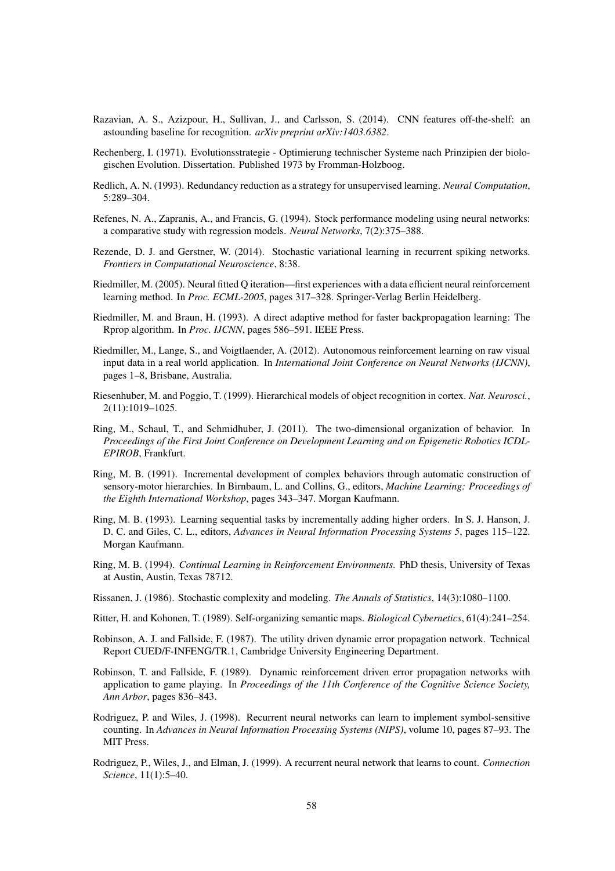- Razavian, A. S., Azizpour, H., Sullivan, J., and Carlsson, S. (2014). CNN features off-the-shelf: an astounding baseline for recognition. *arXiv preprint arXiv:1403.6382*.
- Rechenberg, I. (1971). Evolutionsstrategie Optimierung technischer Systeme nach Prinzipien der biologischen Evolution. Dissertation. Published 1973 by Fromman-Holzboog.
- Redlich, A. N. (1993). Redundancy reduction as a strategy for unsupervised learning. *Neural Computation*, 5:289–304.
- Refenes, N. A., Zapranis, A., and Francis, G. (1994). Stock performance modeling using neural networks: a comparative study with regression models. *Neural Networks*, 7(2):375–388.
- Rezende, D. J. and Gerstner, W. (2014). Stochastic variational learning in recurrent spiking networks. *Frontiers in Computational Neuroscience*, 8:38.
- Riedmiller, M. (2005). Neural fitted Q iteration—first experiences with a data efficient neural reinforcement learning method. In *Proc. ECML-2005*, pages 317–328. Springer-Verlag Berlin Heidelberg.
- Riedmiller, M. and Braun, H. (1993). A direct adaptive method for faster backpropagation learning: The Rprop algorithm. In *Proc. IJCNN*, pages 586–591. IEEE Press.
- Riedmiller, M., Lange, S., and Voigtlaender, A. (2012). Autonomous reinforcement learning on raw visual input data in a real world application. In *International Joint Conference on Neural Networks (IJCNN)*, pages 1–8, Brisbane, Australia.
- Riesenhuber, M. and Poggio, T. (1999). Hierarchical models of object recognition in cortex. *Nat. Neurosci.*, 2(11):1019–1025.
- Ring, M., Schaul, T., and Schmidhuber, J. (2011). The two-dimensional organization of behavior. In *Proceedings of the First Joint Conference on Development Learning and on Epigenetic Robotics ICDL-EPIROB*, Frankfurt.
- Ring, M. B. (1991). Incremental development of complex behaviors through automatic construction of sensory-motor hierarchies. In Birnbaum, L. and Collins, G., editors, *Machine Learning: Proceedings of the Eighth International Workshop*, pages 343–347. Morgan Kaufmann.
- Ring, M. B. (1993). Learning sequential tasks by incrementally adding higher orders. In S. J. Hanson, J. D. C. and Giles, C. L., editors, *Advances in Neural Information Processing Systems 5*, pages 115–122. Morgan Kaufmann.
- Ring, M. B. (1994). *Continual Learning in Reinforcement Environments*. PhD thesis, University of Texas at Austin, Austin, Texas 78712.
- Rissanen, J. (1986). Stochastic complexity and modeling. *The Annals of Statistics*, 14(3):1080–1100.
- Ritter, H. and Kohonen, T. (1989). Self-organizing semantic maps. *Biological Cybernetics*, 61(4):241–254.
- Robinson, A. J. and Fallside, F. (1987). The utility driven dynamic error propagation network. Technical Report CUED/F-INFENG/TR.1, Cambridge University Engineering Department.
- Robinson, T. and Fallside, F. (1989). Dynamic reinforcement driven error propagation networks with application to game playing. In *Proceedings of the 11th Conference of the Cognitive Science Society, Ann Arbor*, pages 836–843.
- Rodriguez, P. and Wiles, J. (1998). Recurrent neural networks can learn to implement symbol-sensitive counting. In *Advances in Neural Information Processing Systems (NIPS)*, volume 10, pages 87–93. The MIT Press.
- Rodriguez, P., Wiles, J., and Elman, J. (1999). A recurrent neural network that learns to count. *Connection Science*, 11(1):5–40.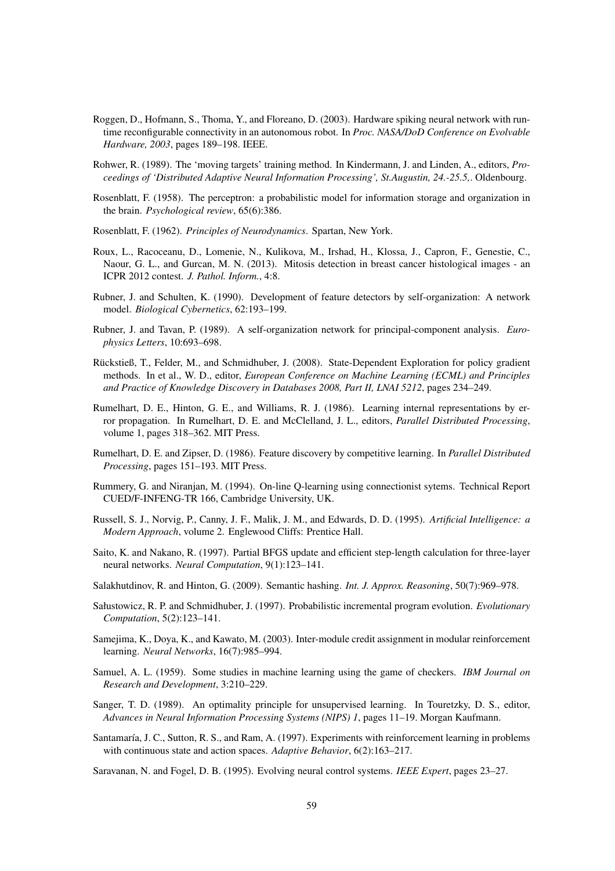- Roggen, D., Hofmann, S., Thoma, Y., and Floreano, D. (2003). Hardware spiking neural network with runtime reconfigurable connectivity in an autonomous robot. In *Proc. NASA/DoD Conference on Evolvable Hardware, 2003*, pages 189–198. IEEE.
- Rohwer, R. (1989). The 'moving targets' training method. In Kindermann, J. and Linden, A., editors, *Proceedings of 'Distributed Adaptive Neural Information Processing', St.Augustin, 24.-25.5,*. Oldenbourg.
- Rosenblatt, F. (1958). The perceptron: a probabilistic model for information storage and organization in the brain. *Psychological review*, 65(6):386.
- Rosenblatt, F. (1962). *Principles of Neurodynamics*. Spartan, New York.
- Roux, L., Racoceanu, D., Lomenie, N., Kulikova, M., Irshad, H., Klossa, J., Capron, F., Genestie, C., Naour, G. L., and Gurcan, M. N. (2013). Mitosis detection in breast cancer histological images - an ICPR 2012 contest. *J. Pathol. Inform.*, 4:8.
- Rubner, J. and Schulten, K. (1990). Development of feature detectors by self-organization: A network model. *Biological Cybernetics*, 62:193–199.
- Rubner, J. and Tavan, P. (1989). A self-organization network for principal-component analysis. *Europhysics Letters*, 10:693–698.
- Rückstieß, T., Felder, M., and Schmidhuber, J. (2008). State-Dependent Exploration for policy gradient methods. In et al., W. D., editor, *European Conference on Machine Learning (ECML) and Principles and Practice of Knowledge Discovery in Databases 2008, Part II, LNAI 5212*, pages 234–249.
- Rumelhart, D. E., Hinton, G. E., and Williams, R. J. (1986). Learning internal representations by error propagation. In Rumelhart, D. E. and McClelland, J. L., editors, *Parallel Distributed Processing*, volume 1, pages 318–362. MIT Press.
- Rumelhart, D. E. and Zipser, D. (1986). Feature discovery by competitive learning. In *Parallel Distributed Processing*, pages 151–193. MIT Press.
- Rummery, G. and Niranjan, M. (1994). On-line Q-learning using connectionist sytems. Technical Report CUED/F-INFENG-TR 166, Cambridge University, UK.
- Russell, S. J., Norvig, P., Canny, J. F., Malik, J. M., and Edwards, D. D. (1995). *Artificial Intelligence: a Modern Approach*, volume 2. Englewood Cliffs: Prentice Hall.
- Saito, K. and Nakano, R. (1997). Partial BFGS update and efficient step-length calculation for three-layer neural networks. *Neural Computation*, 9(1):123–141.
- Salakhutdinov, R. and Hinton, G. (2009). Semantic hashing. *Int. J. Approx. Reasoning*, 50(7):969–978.
- Sałustowicz, R. P. and Schmidhuber, J. (1997). Probabilistic incremental program evolution. *Evolutionary Computation*, 5(2):123–141.
- Samejima, K., Doya, K., and Kawato, M. (2003). Inter-module credit assignment in modular reinforcement learning. *Neural Networks*, 16(7):985–994.
- Samuel, A. L. (1959). Some studies in machine learning using the game of checkers. *IBM Journal on Research and Development*, 3:210–229.
- Sanger, T. D. (1989). An optimality principle for unsupervised learning. In Touretzky, D. S., editor, *Advances in Neural Information Processing Systems (NIPS) 1*, pages 11–19. Morgan Kaufmann.
- Santamaría, J. C., Sutton, R. S., and Ram, A. (1997). Experiments with reinforcement learning in problems with continuous state and action spaces. *Adaptive Behavior*, 6(2):163–217.
- Saravanan, N. and Fogel, D. B. (1995). Evolving neural control systems. *IEEE Expert*, pages 23–27.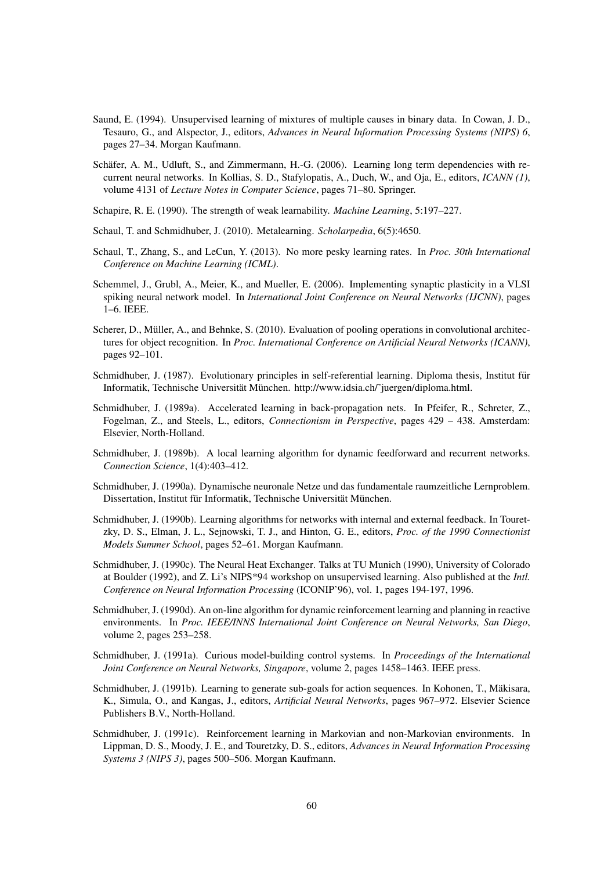- Saund, E. (1994). Unsupervised learning of mixtures of multiple causes in binary data. In Cowan, J. D., Tesauro, G., and Alspector, J., editors, *Advances in Neural Information Processing Systems (NIPS) 6*, pages 27–34. Morgan Kaufmann.
- Schäfer, A. M., Udluft, S., and Zimmermann, H.-G. (2006). Learning long term dependencies with recurrent neural networks. In Kollias, S. D., Stafylopatis, A., Duch, W., and Oja, E., editors, *ICANN (1)*, volume 4131 of *Lecture Notes in Computer Science*, pages 71–80. Springer.
- Schapire, R. E. (1990). The strength of weak learnability. *Machine Learning*, 5:197–227.
- Schaul, T. and Schmidhuber, J. (2010). Metalearning. *Scholarpedia*, 6(5):4650.
- Schaul, T., Zhang, S., and LeCun, Y. (2013). No more pesky learning rates. In *Proc. 30th International Conference on Machine Learning (ICML)*.
- Schemmel, J., Grubl, A., Meier, K., and Mueller, E. (2006). Implementing synaptic plasticity in a VLSI spiking neural network model. In *International Joint Conference on Neural Networks (IJCNN)*, pages 1–6. IEEE.
- Scherer, D., Müller, A., and Behnke, S. (2010). Evaluation of pooling operations in convolutional architectures for object recognition. In *Proc. International Conference on Artificial Neural Networks (ICANN)*, pages 92–101.
- Schmidhuber, J. (1987). Evolutionary principles in self-referential learning. Diploma thesis, Institut für Informatik, Technische Universität München. http://www.idsia.ch/~juergen/diploma.html.
- Schmidhuber, J. (1989a). Accelerated learning in back-propagation nets. In Pfeifer, R., Schreter, Z., Fogelman, Z., and Steels, L., editors, *Connectionism in Perspective*, pages 429 – 438. Amsterdam: Elsevier, North-Holland.
- Schmidhuber, J. (1989b). A local learning algorithm for dynamic feedforward and recurrent networks. *Connection Science*, 1(4):403–412.
- Schmidhuber, J. (1990a). Dynamische neuronale Netze und das fundamentale raumzeitliche Lernproblem. Dissertation, Institut für Informatik, Technische Universität München.
- Schmidhuber, J. (1990b). Learning algorithms for networks with internal and external feedback. In Touretzky, D. S., Elman, J. L., Sejnowski, T. J., and Hinton, G. E., editors, *Proc. of the 1990 Connectionist Models Summer School*, pages 52–61. Morgan Kaufmann.
- Schmidhuber, J. (1990c). The Neural Heat Exchanger. Talks at TU Munich (1990), University of Colorado at Boulder (1992), and Z. Li's NIPS\*94 workshop on unsupervised learning. Also published at the *Intl. Conference on Neural Information Processing* (ICONIP'96), vol. 1, pages 194-197, 1996.
- Schmidhuber, J. (1990d). An on-line algorithm for dynamic reinforcement learning and planning in reactive environments. In *Proc. IEEE/INNS International Joint Conference on Neural Networks, San Diego*, volume 2, pages 253–258.
- Schmidhuber, J. (1991a). Curious model-building control systems. In *Proceedings of the International Joint Conference on Neural Networks, Singapore*, volume 2, pages 1458–1463. IEEE press.
- Schmidhuber, J. (1991b). Learning to generate sub-goals for action sequences. In Kohonen, T., Mäkisara, K., Simula, O., and Kangas, J., editors, *Artificial Neural Networks*, pages 967–972. Elsevier Science Publishers B.V., North-Holland.
- Schmidhuber, J. (1991c). Reinforcement learning in Markovian and non-Markovian environments. In Lippman, D. S., Moody, J. E., and Touretzky, D. S., editors, *Advances in Neural Information Processing Systems 3 (NIPS 3)*, pages 500–506. Morgan Kaufmann.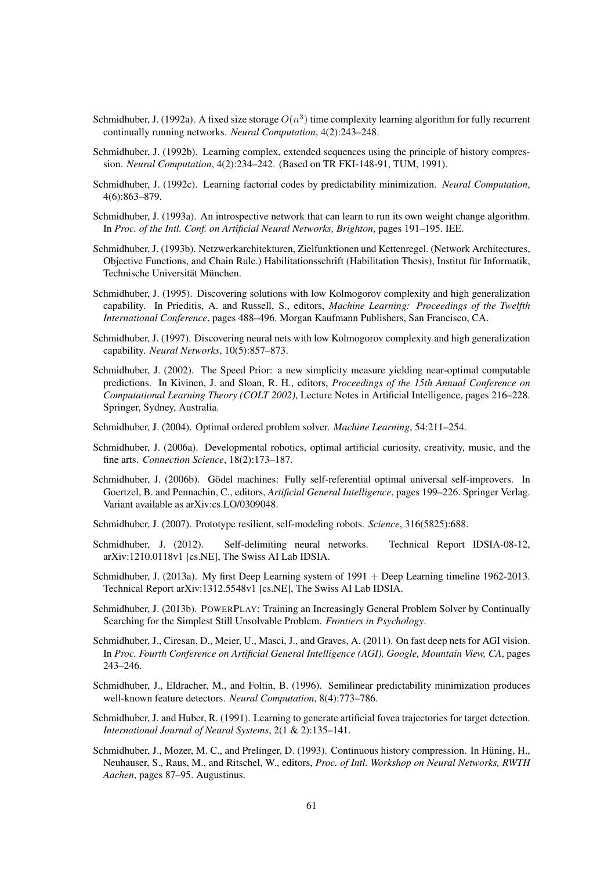- Schmidhuber, J. (1992a). A fixed size storage  $O(n^3)$  time complexity learning algorithm for fully recurrent continually running networks. *Neural Computation*, 4(2):243–248.
- Schmidhuber, J. (1992b). Learning complex, extended sequences using the principle of history compression. *Neural Computation*, 4(2):234–242. (Based on TR FKI-148-91, TUM, 1991).
- Schmidhuber, J. (1992c). Learning factorial codes by predictability minimization. *Neural Computation*, 4(6):863–879.
- Schmidhuber, J. (1993a). An introspective network that can learn to run its own weight change algorithm. In *Proc. of the Intl. Conf. on Artificial Neural Networks, Brighton*, pages 191–195. IEE.
- Schmidhuber, J. (1993b). Netzwerkarchitekturen, Zielfunktionen und Kettenregel. (Network Architectures, Objective Functions, and Chain Rule.) Habilitationsschrift (Habilitation Thesis), Institut fur Informatik, ¨ Technische Universität München.
- Schmidhuber, J. (1995). Discovering solutions with low Kolmogorov complexity and high generalization capability. In Prieditis, A. and Russell, S., editors, *Machine Learning: Proceedings of the Twelfth International Conference*, pages 488–496. Morgan Kaufmann Publishers, San Francisco, CA.
- Schmidhuber, J. (1997). Discovering neural nets with low Kolmogorov complexity and high generalization capability. *Neural Networks*, 10(5):857–873.
- Schmidhuber, J. (2002). The Speed Prior: a new simplicity measure yielding near-optimal computable predictions. In Kivinen, J. and Sloan, R. H., editors, *Proceedings of the 15th Annual Conference on Computational Learning Theory (COLT 2002)*, Lecture Notes in Artificial Intelligence, pages 216–228. Springer, Sydney, Australia.
- Schmidhuber, J. (2004). Optimal ordered problem solver. *Machine Learning*, 54:211–254.
- Schmidhuber, J. (2006a). Developmental robotics, optimal artificial curiosity, creativity, music, and the fine arts. *Connection Science*, 18(2):173–187.
- Schmidhuber, J. (2006b). Gödel machines: Fully self-referential optimal universal self-improvers. In Goertzel, B. and Pennachin, C., editors, *Artificial General Intelligence*, pages 199–226. Springer Verlag. Variant available as arXiv:cs.LO/0309048.
- Schmidhuber, J. (2007). Prototype resilient, self-modeling robots. *Science*, 316(5825):688.
- Schmidhuber, J. (2012). Self-delimiting neural networks. Technical Report IDSIA-08-12, arXiv:1210.0118v1 [cs.NE], The Swiss AI Lab IDSIA.
- Schmidhuber, J. (2013a). My first Deep Learning system of 1991 + Deep Learning timeline 1962-2013. Technical Report arXiv:1312.5548v1 [cs.NE], The Swiss AI Lab IDSIA.
- Schmidhuber, J. (2013b). POWERPLAY: Training an Increasingly General Problem Solver by Continually Searching for the Simplest Still Unsolvable Problem. *Frontiers in Psychology*.
- Schmidhuber, J., Ciresan, D., Meier, U., Masci, J., and Graves, A. (2011). On fast deep nets for AGI vision. In *Proc. Fourth Conference on Artificial General Intelligence (AGI), Google, Mountain View, CA*, pages 243–246.
- Schmidhuber, J., Eldracher, M., and Foltin, B. (1996). Semilinear predictability minimization produces well-known feature detectors. *Neural Computation*, 8(4):773–786.
- Schmidhuber, J. and Huber, R. (1991). Learning to generate artificial fovea trajectories for target detection. *International Journal of Neural Systems*, 2(1 & 2):135–141.
- Schmidhuber, J., Mozer, M. C., and Prelinger, D. (1993). Continuous history compression. In Hüning, H., Neuhauser, S., Raus, M., and Ritschel, W., editors, *Proc. of Intl. Workshop on Neural Networks, RWTH Aachen*, pages 87–95. Augustinus.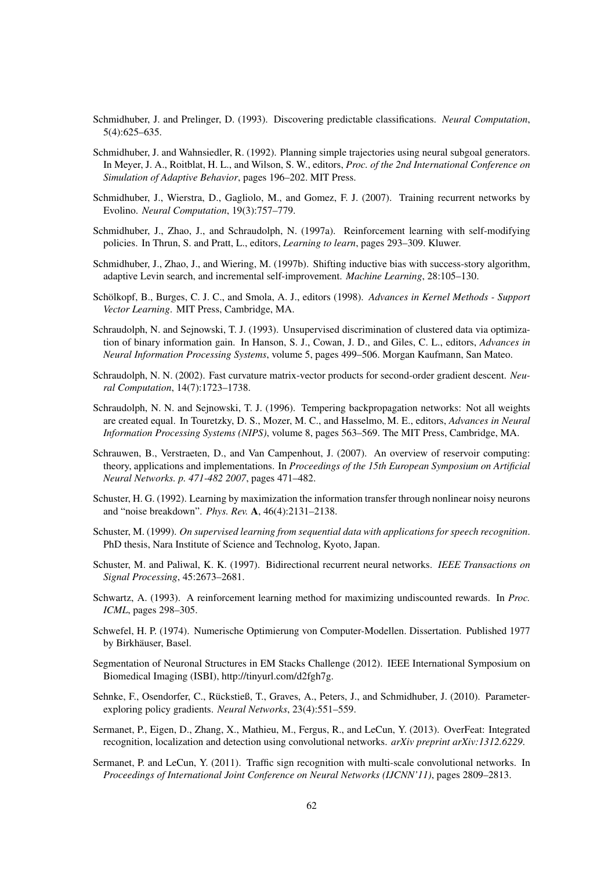- Schmidhuber, J. and Prelinger, D. (1993). Discovering predictable classifications. *Neural Computation*, 5(4):625–635.
- Schmidhuber, J. and Wahnsiedler, R. (1992). Planning simple trajectories using neural subgoal generators. In Meyer, J. A., Roitblat, H. L., and Wilson, S. W., editors, *Proc. of the 2nd International Conference on Simulation of Adaptive Behavior*, pages 196–202. MIT Press.
- Schmidhuber, J., Wierstra, D., Gagliolo, M., and Gomez, F. J. (2007). Training recurrent networks by Evolino. *Neural Computation*, 19(3):757–779.
- Schmidhuber, J., Zhao, J., and Schraudolph, N. (1997a). Reinforcement learning with self-modifying policies. In Thrun, S. and Pratt, L., editors, *Learning to learn*, pages 293–309. Kluwer.
- Schmidhuber, J., Zhao, J., and Wiering, M. (1997b). Shifting inductive bias with success-story algorithm, adaptive Levin search, and incremental self-improvement. *Machine Learning*, 28:105–130.
- Schölkopf, B., Burges, C. J. C., and Smola, A. J., editors (1998). Advances in Kernel Methods Support *Vector Learning*. MIT Press, Cambridge, MA.
- Schraudolph, N. and Sejnowski, T. J. (1993). Unsupervised discrimination of clustered data via optimization of binary information gain. In Hanson, S. J., Cowan, J. D., and Giles, C. L., editors, *Advances in Neural Information Processing Systems*, volume 5, pages 499–506. Morgan Kaufmann, San Mateo.
- Schraudolph, N. N. (2002). Fast curvature matrix-vector products for second-order gradient descent. *Neural Computation*, 14(7):1723–1738.
- Schraudolph, N. N. and Sejnowski, T. J. (1996). Tempering backpropagation networks: Not all weights are created equal. In Touretzky, D. S., Mozer, M. C., and Hasselmo, M. E., editors, *Advances in Neural Information Processing Systems (NIPS)*, volume 8, pages 563–569. The MIT Press, Cambridge, MA.
- Schrauwen, B., Verstraeten, D., and Van Campenhout, J. (2007). An overview of reservoir computing: theory, applications and implementations. In *Proceedings of the 15th European Symposium on Artificial Neural Networks. p. 471-482 2007*, pages 471–482.
- Schuster, H. G. (1992). Learning by maximization the information transfer through nonlinear noisy neurons and "noise breakdown". *Phys. Rev.* A, 46(4):2131–2138.
- Schuster, M. (1999). *On supervised learning from sequential data with applications for speech recognition*. PhD thesis, Nara Institute of Science and Technolog, Kyoto, Japan.
- Schuster, M. and Paliwal, K. K. (1997). Bidirectional recurrent neural networks. *IEEE Transactions on Signal Processing*, 45:2673–2681.
- Schwartz, A. (1993). A reinforcement learning method for maximizing undiscounted rewards. In *Proc. ICML*, pages 298–305.
- Schwefel, H. P. (1974). Numerische Optimierung von Computer-Modellen. Dissertation. Published 1977 by Birkhäuser, Basel.
- Segmentation of Neuronal Structures in EM Stacks Challenge (2012). IEEE International Symposium on Biomedical Imaging (ISBI), http://tinyurl.com/d2fgh7g.
- Sehnke, F., Osendorfer, C., Rückstieß, T., Graves, A., Peters, J., and Schmidhuber, J. (2010). Parameterexploring policy gradients. *Neural Networks*, 23(4):551–559.
- Sermanet, P., Eigen, D., Zhang, X., Mathieu, M., Fergus, R., and LeCun, Y. (2013). OverFeat: Integrated recognition, localization and detection using convolutional networks. *arXiv preprint arXiv:1312.6229*.
- Sermanet, P. and LeCun, Y. (2011). Traffic sign recognition with multi-scale convolutional networks. In *Proceedings of International Joint Conference on Neural Networks (IJCNN'11)*, pages 2809–2813.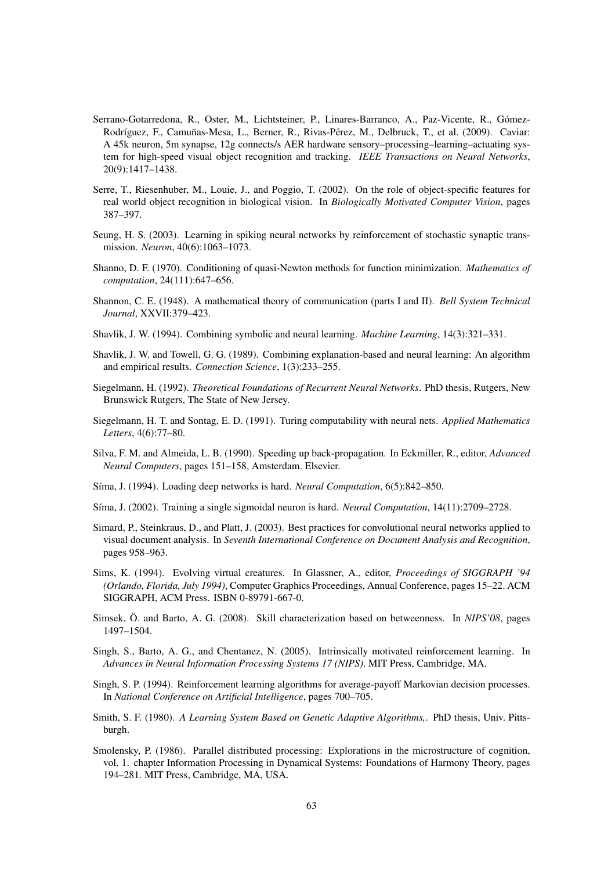- Serrano-Gotarredona, R., Oster, M., Lichtsteiner, P., Linares-Barranco, A., Paz-Vicente, R., Gomez- ´ Rodríguez, F., Camuñas-Mesa, L., Berner, R., Rivas-Pérez, M., Delbruck, T., et al. (2009). Caviar: A 45k neuron, 5m synapse, 12g connects/s AER hardware sensory–processing–learning–actuating system for high-speed visual object recognition and tracking. *IEEE Transactions on Neural Networks*, 20(9):1417–1438.
- Serre, T., Riesenhuber, M., Louie, J., and Poggio, T. (2002). On the role of object-specific features for real world object recognition in biological vision. In *Biologically Motivated Computer Vision*, pages 387–397.
- Seung, H. S. (2003). Learning in spiking neural networks by reinforcement of stochastic synaptic transmission. *Neuron*, 40(6):1063–1073.
- Shanno, D. F. (1970). Conditioning of quasi-Newton methods for function minimization. *Mathematics of computation*, 24(111):647–656.
- Shannon, C. E. (1948). A mathematical theory of communication (parts I and II). *Bell System Technical Journal*, XXVII:379–423.
- Shavlik, J. W. (1994). Combining symbolic and neural learning. *Machine Learning*, 14(3):321–331.
- Shavlik, J. W. and Towell, G. G. (1989). Combining explanation-based and neural learning: An algorithm and empirical results. *Connection Science*, 1(3):233–255.
- Siegelmann, H. (1992). *Theoretical Foundations of Recurrent Neural Networks*. PhD thesis, Rutgers, New Brunswick Rutgers, The State of New Jersey.
- Siegelmann, H. T. and Sontag, E. D. (1991). Turing computability with neural nets. *Applied Mathematics Letters*, 4(6):77–80.
- Silva, F. M. and Almeida, L. B. (1990). Speeding up back-propagation. In Eckmiller, R., editor, *Advanced Neural Computers*, pages 151–158, Amsterdam. Elsevier.
- S´ıma, J. (1994). Loading deep networks is hard. *Neural Computation*, 6(5):842–850.
- S´ıma, J. (2002). Training a single sigmoidal neuron is hard. *Neural Computation*, 14(11):2709–2728.
- Simard, P., Steinkraus, D., and Platt, J. (2003). Best practices for convolutional neural networks applied to visual document analysis. In *Seventh International Conference on Document Analysis and Recognition*, pages 958–963.
- Sims, K. (1994). Evolving virtual creatures. In Glassner, A., editor, *Proceedings of SIGGRAPH '94 (Orlando, Florida, July 1994)*, Computer Graphics Proceedings, Annual Conference, pages 15–22. ACM SIGGRAPH, ACM Press. ISBN 0-89791-667-0.
- Simsek, Ö. and Barto, A. G. (2008). Skill characterization based on betweenness. In *NIPS'08*, pages 1497–1504.
- Singh, S., Barto, A. G., and Chentanez, N. (2005). Intrinsically motivated reinforcement learning. In *Advances in Neural Information Processing Systems 17 (NIPS)*. MIT Press, Cambridge, MA.
- Singh, S. P. (1994). Reinforcement learning algorithms for average-payoff Markovian decision processes. In *National Conference on Artificial Intelligence*, pages 700–705.
- Smith, S. F. (1980). *A Learning System Based on Genetic Adaptive Algorithms,*. PhD thesis, Univ. Pittsburgh.
- Smolensky, P. (1986). Parallel distributed processing: Explorations in the microstructure of cognition, vol. 1. chapter Information Processing in Dynamical Systems: Foundations of Harmony Theory, pages 194–281. MIT Press, Cambridge, MA, USA.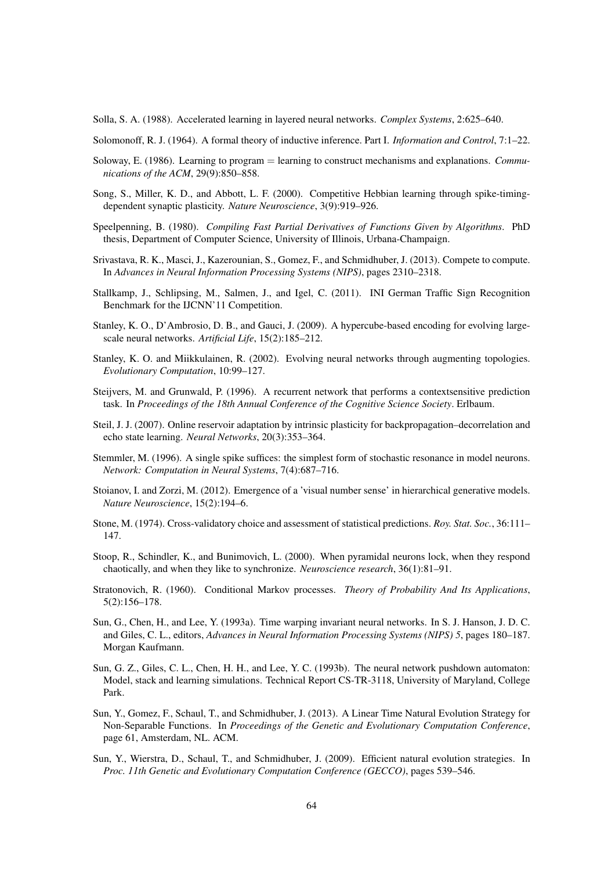Solla, S. A. (1988). Accelerated learning in layered neural networks. *Complex Systems*, 2:625–640.

Solomonoff, R. J. (1964). A formal theory of inductive inference. Part I. *Information and Control*, 7:1–22.

- Soloway, E. (1986). Learning to program = learning to construct mechanisms and explanations. *Communications of the ACM*, 29(9):850–858.
- Song, S., Miller, K. D., and Abbott, L. F. (2000). Competitive Hebbian learning through spike-timingdependent synaptic plasticity. *Nature Neuroscience*, 3(9):919–926.
- Speelpenning, B. (1980). *Compiling Fast Partial Derivatives of Functions Given by Algorithms*. PhD thesis, Department of Computer Science, University of Illinois, Urbana-Champaign.
- Srivastava, R. K., Masci, J., Kazerounian, S., Gomez, F., and Schmidhuber, J. (2013). Compete to compute. In *Advances in Neural Information Processing Systems (NIPS)*, pages 2310–2318.
- Stallkamp, J., Schlipsing, M., Salmen, J., and Igel, C. (2011). INI German Traffic Sign Recognition Benchmark for the IJCNN'11 Competition.
- Stanley, K. O., D'Ambrosio, D. B., and Gauci, J. (2009). A hypercube-based encoding for evolving largescale neural networks. *Artificial Life*, 15(2):185–212.
- Stanley, K. O. and Miikkulainen, R. (2002). Evolving neural networks through augmenting topologies. *Evolutionary Computation*, 10:99–127.
- Steijvers, M. and Grunwald, P. (1996). A recurrent network that performs a contextsensitive prediction task. In *Proceedings of the 18th Annual Conference of the Cognitive Science Society*. Erlbaum.
- Steil, J. J. (2007). Online reservoir adaptation by intrinsic plasticity for backpropagation–decorrelation and echo state learning. *Neural Networks*, 20(3):353–364.
- Stemmler, M. (1996). A single spike suffices: the simplest form of stochastic resonance in model neurons. *Network: Computation in Neural Systems*, 7(4):687–716.
- Stoianov, I. and Zorzi, M. (2012). Emergence of a 'visual number sense' in hierarchical generative models. *Nature Neuroscience*, 15(2):194–6.
- Stone, M. (1974). Cross-validatory choice and assessment of statistical predictions. *Roy. Stat. Soc.*, 36:111– 147.
- Stoop, R., Schindler, K., and Bunimovich, L. (2000). When pyramidal neurons lock, when they respond chaotically, and when they like to synchronize. *Neuroscience research*, 36(1):81–91.
- Stratonovich, R. (1960). Conditional Markov processes. *Theory of Probability And Its Applications*, 5(2):156–178.
- Sun, G., Chen, H., and Lee, Y. (1993a). Time warping invariant neural networks. In S. J. Hanson, J. D. C. and Giles, C. L., editors, *Advances in Neural Information Processing Systems (NIPS) 5*, pages 180–187. Morgan Kaufmann.
- Sun, G. Z., Giles, C. L., Chen, H. H., and Lee, Y. C. (1993b). The neural network pushdown automaton: Model, stack and learning simulations. Technical Report CS-TR-3118, University of Maryland, College Park.
- Sun, Y., Gomez, F., Schaul, T., and Schmidhuber, J. (2013). A Linear Time Natural Evolution Strategy for Non-Separable Functions. In *Proceedings of the Genetic and Evolutionary Computation Conference*, page 61, Amsterdam, NL. ACM.
- Sun, Y., Wierstra, D., Schaul, T., and Schmidhuber, J. (2009). Efficient natural evolution strategies. In *Proc. 11th Genetic and Evolutionary Computation Conference (GECCO)*, pages 539–546.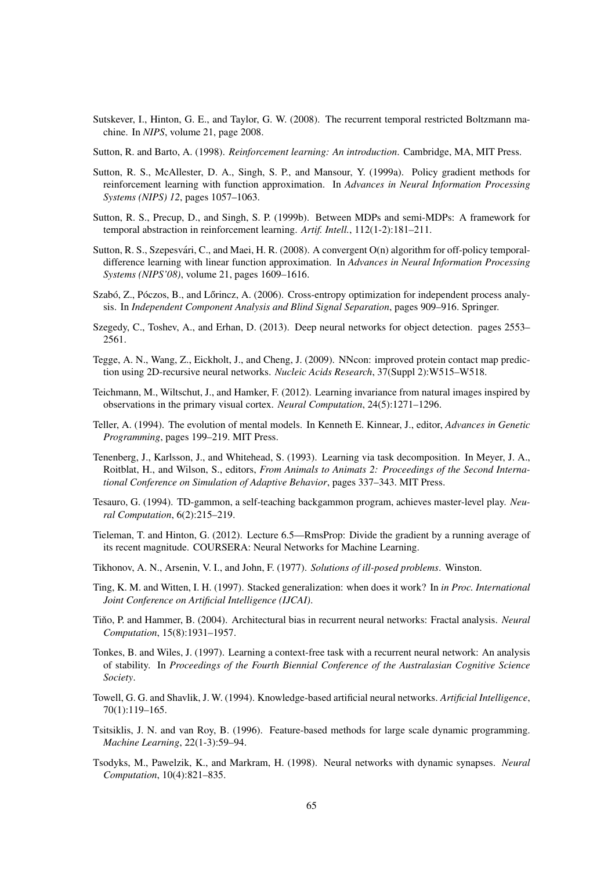Sutskever, I., Hinton, G. E., and Taylor, G. W. (2008). The recurrent temporal restricted Boltzmann machine. In *NIPS*, volume 21, page 2008.

Sutton, R. and Barto, A. (1998). *Reinforcement learning: An introduction*. Cambridge, MA, MIT Press.

- Sutton, R. S., McAllester, D. A., Singh, S. P., and Mansour, Y. (1999a). Policy gradient methods for reinforcement learning with function approximation. In *Advances in Neural Information Processing Systems (NIPS) 12*, pages 1057–1063.
- Sutton, R. S., Precup, D., and Singh, S. P. (1999b). Between MDPs and semi-MDPs: A framework for temporal abstraction in reinforcement learning. *Artif. Intell.*, 112(1-2):181–211.
- Sutton, R. S., Szepesvári, C., and Maei, H. R. (2008). A convergent O(n) algorithm for off-policy temporaldifference learning with linear function approximation. In *Advances in Neural Information Processing Systems (NIPS'08)*, volume 21, pages 1609–1616.
- Szabó, Z., Póczos, B., and Lőrincz, A. (2006). Cross-entropy optimization for independent process analysis. In *Independent Component Analysis and Blind Signal Separation*, pages 909–916. Springer.
- Szegedy, C., Toshev, A., and Erhan, D. (2013). Deep neural networks for object detection. pages 2553– 2561.
- Tegge, A. N., Wang, Z., Eickholt, J., and Cheng, J. (2009). NNcon: improved protein contact map prediction using 2D-recursive neural networks. *Nucleic Acids Research*, 37(Suppl 2):W515–W518.
- Teichmann, M., Wiltschut, J., and Hamker, F. (2012). Learning invariance from natural images inspired by observations in the primary visual cortex. *Neural Computation*, 24(5):1271–1296.
- Teller, A. (1994). The evolution of mental models. In Kenneth E. Kinnear, J., editor, *Advances in Genetic Programming*, pages 199–219. MIT Press.
- Tenenberg, J., Karlsson, J., and Whitehead, S. (1993). Learning via task decomposition. In Meyer, J. A., Roitblat, H., and Wilson, S., editors, *From Animals to Animats 2: Proceedings of the Second International Conference on Simulation of Adaptive Behavior*, pages 337–343. MIT Press.
- Tesauro, G. (1994). TD-gammon, a self-teaching backgammon program, achieves master-level play. *Neural Computation*, 6(2):215–219.
- Tieleman, T. and Hinton, G. (2012). Lecture 6.5—RmsProp: Divide the gradient by a running average of its recent magnitude. COURSERA: Neural Networks for Machine Learning.
- Tikhonov, A. N., Arsenin, V. I., and John, F. (1977). *Solutions of ill-posed problems*. Winston.
- Ting, K. M. and Witten, I. H. (1997). Stacked generalization: when does it work? In *in Proc. International Joint Conference on Artificial Intelligence (IJCAI)*.
- Tino, P. and Hammer, B. (2004). Architectural bias in recurrent neural networks: Fractal analysis. *Neural Computation*, 15(8):1931–1957.
- Tonkes, B. and Wiles, J. (1997). Learning a context-free task with a recurrent neural network: An analysis of stability. In *Proceedings of the Fourth Biennial Conference of the Australasian Cognitive Science Society*.
- Towell, G. G. and Shavlik, J. W. (1994). Knowledge-based artificial neural networks. *Artificial Intelligence*, 70(1):119–165.
- Tsitsiklis, J. N. and van Roy, B. (1996). Feature-based methods for large scale dynamic programming. *Machine Learning*, 22(1-3):59–94.
- Tsodyks, M., Pawelzik, K., and Markram, H. (1998). Neural networks with dynamic synapses. *Neural Computation*, 10(4):821–835.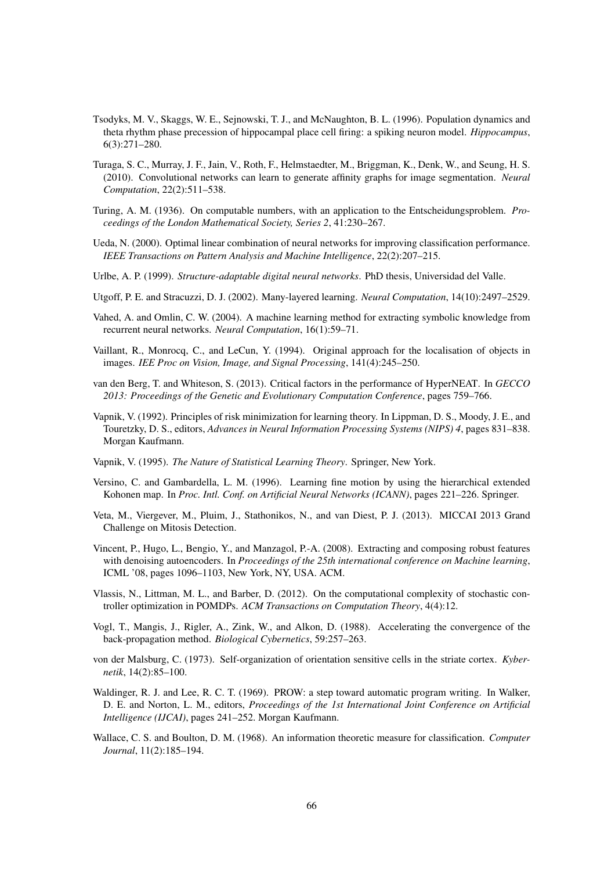- Tsodyks, M. V., Skaggs, W. E., Sejnowski, T. J., and McNaughton, B. L. (1996). Population dynamics and theta rhythm phase precession of hippocampal place cell firing: a spiking neuron model. *Hippocampus*, 6(3):271–280.
- Turaga, S. C., Murray, J. F., Jain, V., Roth, F., Helmstaedter, M., Briggman, K., Denk, W., and Seung, H. S. (2010). Convolutional networks can learn to generate affinity graphs for image segmentation. *Neural Computation*, 22(2):511–538.
- Turing, A. M. (1936). On computable numbers, with an application to the Entscheidungsproblem. *Proceedings of the London Mathematical Society, Series 2*, 41:230–267.
- Ueda, N. (2000). Optimal linear combination of neural networks for improving classification performance. *IEEE Transactions on Pattern Analysis and Machine Intelligence*, 22(2):207–215.
- Urlbe, A. P. (1999). *Structure-adaptable digital neural networks*. PhD thesis, Universidad del Valle.
- Utgoff, P. E. and Stracuzzi, D. J. (2002). Many-layered learning. *Neural Computation*, 14(10):2497–2529.
- Vahed, A. and Omlin, C. W. (2004). A machine learning method for extracting symbolic knowledge from recurrent neural networks. *Neural Computation*, 16(1):59–71.
- Vaillant, R., Monrocq, C., and LeCun, Y. (1994). Original approach for the localisation of objects in images. *IEE Proc on Vision, Image, and Signal Processing*, 141(4):245–250.
- van den Berg, T. and Whiteson, S. (2013). Critical factors in the performance of HyperNEAT. In *GECCO 2013: Proceedings of the Genetic and Evolutionary Computation Conference*, pages 759–766.
- Vapnik, V. (1992). Principles of risk minimization for learning theory. In Lippman, D. S., Moody, J. E., and Touretzky, D. S., editors, *Advances in Neural Information Processing Systems (NIPS) 4*, pages 831–838. Morgan Kaufmann.
- Vapnik, V. (1995). *The Nature of Statistical Learning Theory*. Springer, New York.
- Versino, C. and Gambardella, L. M. (1996). Learning fine motion by using the hierarchical extended Kohonen map. In *Proc. Intl. Conf. on Artificial Neural Networks (ICANN)*, pages 221–226. Springer.
- Veta, M., Viergever, M., Pluim, J., Stathonikos, N., and van Diest, P. J. (2013). MICCAI 2013 Grand Challenge on Mitosis Detection.
- Vincent, P., Hugo, L., Bengio, Y., and Manzagol, P.-A. (2008). Extracting and composing robust features with denoising autoencoders. In *Proceedings of the 25th international conference on Machine learning*, ICML '08, pages 1096–1103, New York, NY, USA. ACM.
- Vlassis, N., Littman, M. L., and Barber, D. (2012). On the computational complexity of stochastic controller optimization in POMDPs. *ACM Transactions on Computation Theory*, 4(4):12.
- Vogl, T., Mangis, J., Rigler, A., Zink, W., and Alkon, D. (1988). Accelerating the convergence of the back-propagation method. *Biological Cybernetics*, 59:257–263.
- von der Malsburg, C. (1973). Self-organization of orientation sensitive cells in the striate cortex. *Kybernetik*, 14(2):85–100.
- Waldinger, R. J. and Lee, R. C. T. (1969). PROW: a step toward automatic program writing. In Walker, D. E. and Norton, L. M., editors, *Proceedings of the 1st International Joint Conference on Artificial Intelligence (IJCAI)*, pages 241–252. Morgan Kaufmann.
- Wallace, C. S. and Boulton, D. M. (1968). An information theoretic measure for classification. *Computer Journal*, 11(2):185–194.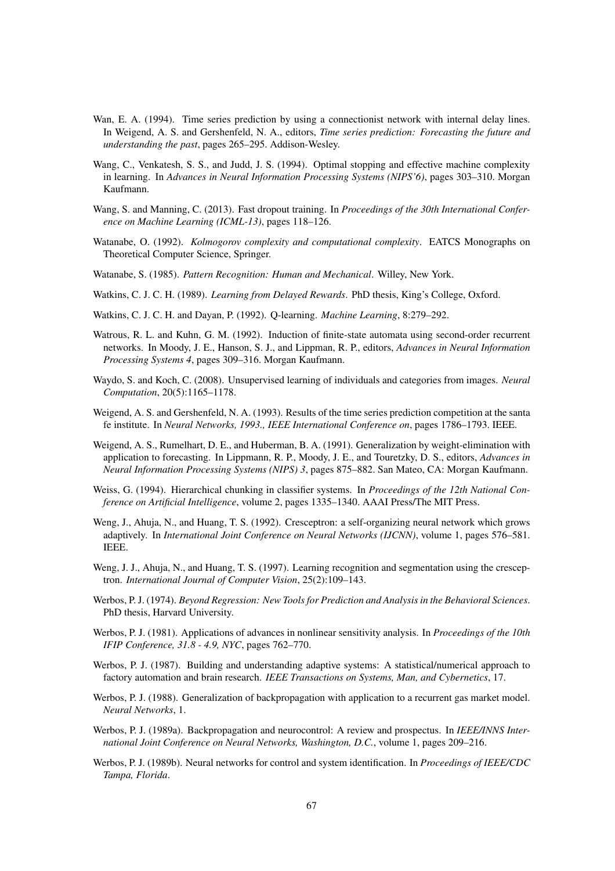- Wan, E. A. (1994). Time series prediction by using a connectionist network with internal delay lines. In Weigend, A. S. and Gershenfeld, N. A., editors, *Time series prediction: Forecasting the future and understanding the past*, pages 265–295. Addison-Wesley.
- Wang, C., Venkatesh, S. S., and Judd, J. S. (1994). Optimal stopping and effective machine complexity in learning. In *Advances in Neural Information Processing Systems (NIPS'6)*, pages 303–310. Morgan Kaufmann.
- Wang, S. and Manning, C. (2013). Fast dropout training. In *Proceedings of the 30th International Conference on Machine Learning (ICML-13)*, pages 118–126.
- Watanabe, O. (1992). *Kolmogorov complexity and computational complexity*. EATCS Monographs on Theoretical Computer Science, Springer.
- Watanabe, S. (1985). *Pattern Recognition: Human and Mechanical*. Willey, New York.
- Watkins, C. J. C. H. (1989). *Learning from Delayed Rewards*. PhD thesis, King's College, Oxford.
- Watkins, C. J. C. H. and Dayan, P. (1992). Q-learning. *Machine Learning*, 8:279–292.
- Watrous, R. L. and Kuhn, G. M. (1992). Induction of finite-state automata using second-order recurrent networks. In Moody, J. E., Hanson, S. J., and Lippman, R. P., editors, *Advances in Neural Information Processing Systems 4*, pages 309–316. Morgan Kaufmann.
- Waydo, S. and Koch, C. (2008). Unsupervised learning of individuals and categories from images. *Neural Computation*, 20(5):1165–1178.
- Weigend, A. S. and Gershenfeld, N. A. (1993). Results of the time series prediction competition at the santa fe institute. In *Neural Networks, 1993., IEEE International Conference on*, pages 1786–1793. IEEE.
- Weigend, A. S., Rumelhart, D. E., and Huberman, B. A. (1991). Generalization by weight-elimination with application to forecasting. In Lippmann, R. P., Moody, J. E., and Touretzky, D. S., editors, *Advances in Neural Information Processing Systems (NIPS) 3*, pages 875–882. San Mateo, CA: Morgan Kaufmann.
- Weiss, G. (1994). Hierarchical chunking in classifier systems. In *Proceedings of the 12th National Conference on Artificial Intelligence*, volume 2, pages 1335–1340. AAAI Press/The MIT Press.
- Weng, J., Ahuja, N., and Huang, T. S. (1992). Cresceptron: a self-organizing neural network which grows adaptively. In *International Joint Conference on Neural Networks (IJCNN)*, volume 1, pages 576–581. IEEE.
- Weng, J. J., Ahuja, N., and Huang, T. S. (1997). Learning recognition and segmentation using the cresceptron. *International Journal of Computer Vision*, 25(2):109–143.
- Werbos, P. J. (1974). *Beyond Regression: New Tools for Prediction and Analysis in the Behavioral Sciences*. PhD thesis, Harvard University.
- Werbos, P. J. (1981). Applications of advances in nonlinear sensitivity analysis. In *Proceedings of the 10th IFIP Conference, 31.8 - 4.9, NYC*, pages 762–770.
- Werbos, P. J. (1987). Building and understanding adaptive systems: A statistical/numerical approach to factory automation and brain research. *IEEE Transactions on Systems, Man, and Cybernetics*, 17.
- Werbos, P. J. (1988). Generalization of backpropagation with application to a recurrent gas market model. *Neural Networks*, 1.
- Werbos, P. J. (1989a). Backpropagation and neurocontrol: A review and prospectus. In *IEEE/INNS International Joint Conference on Neural Networks, Washington, D.C.*, volume 1, pages 209–216.
- Werbos, P. J. (1989b). Neural networks for control and system identification. In *Proceedings of IEEE/CDC Tampa, Florida*.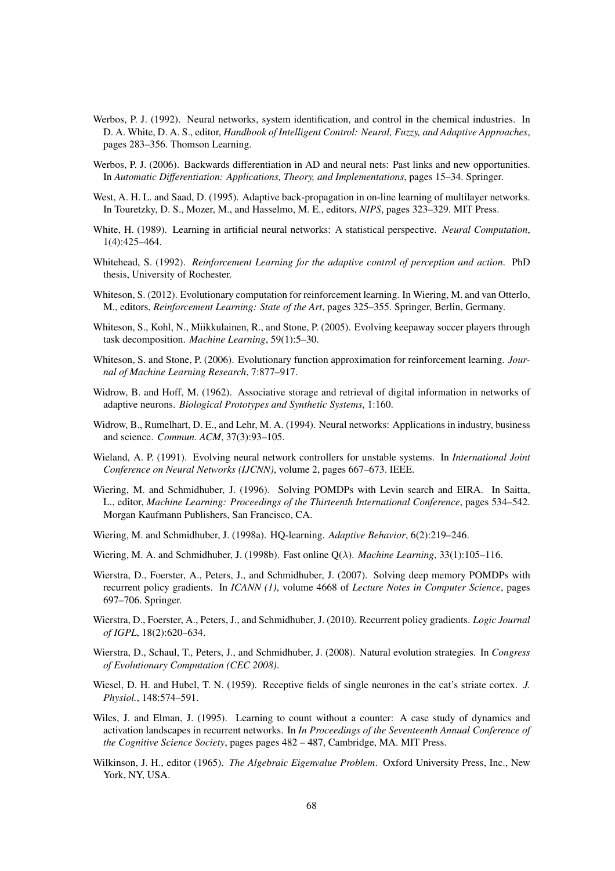- Werbos, P. J. (1992). Neural networks, system identification, and control in the chemical industries. In D. A. White, D. A. S., editor, *Handbook of Intelligent Control: Neural, Fuzzy, and Adaptive Approaches*, pages 283–356. Thomson Learning.
- Werbos, P. J. (2006). Backwards differentiation in AD and neural nets: Past links and new opportunities. In *Automatic Differentiation: Applications, Theory, and Implementations*, pages 15–34. Springer.
- West, A. H. L. and Saad, D. (1995). Adaptive back-propagation in on-line learning of multilayer networks. In Touretzky, D. S., Mozer, M., and Hasselmo, M. E., editors, *NIPS*, pages 323–329. MIT Press.
- White, H. (1989). Learning in artificial neural networks: A statistical perspective. *Neural Computation*, 1(4):425–464.
- Whitehead, S. (1992). *Reinforcement Learning for the adaptive control of perception and action*. PhD thesis, University of Rochester.
- Whiteson, S. (2012). Evolutionary computation for reinforcement learning. In Wiering, M. and van Otterlo, M., editors, *Reinforcement Learning: State of the Art*, pages 325–355. Springer, Berlin, Germany.
- Whiteson, S., Kohl, N., Miikkulainen, R., and Stone, P. (2005). Evolving keepaway soccer players through task decomposition. *Machine Learning*, 59(1):5–30.
- Whiteson, S. and Stone, P. (2006). Evolutionary function approximation for reinforcement learning. *Journal of Machine Learning Research*, 7:877–917.
- Widrow, B. and Hoff, M. (1962). Associative storage and retrieval of digital information in networks of adaptive neurons. *Biological Prototypes and Synthetic Systems*, 1:160.
- Widrow, B., Rumelhart, D. E., and Lehr, M. A. (1994). Neural networks: Applications in industry, business and science. *Commun. ACM*, 37(3):93–105.
- Wieland, A. P. (1991). Evolving neural network controllers for unstable systems. In *International Joint Conference on Neural Networks (IJCNN)*, volume 2, pages 667–673. IEEE.
- Wiering, M. and Schmidhuber, J. (1996). Solving POMDPs with Levin search and EIRA. In Saitta, L., editor, *Machine Learning: Proceedings of the Thirteenth International Conference*, pages 534–542. Morgan Kaufmann Publishers, San Francisco, CA.
- Wiering, M. and Schmidhuber, J. (1998a). HQ-learning. *Adaptive Behavior*, 6(2):219–246.
- Wiering, M. A. and Schmidhuber, J. (1998b). Fast online Q(λ). *Machine Learning*, 33(1):105–116.
- Wierstra, D., Foerster, A., Peters, J., and Schmidhuber, J. (2007). Solving deep memory POMDPs with recurrent policy gradients. In *ICANN (1)*, volume 4668 of *Lecture Notes in Computer Science*, pages 697–706. Springer.
- Wierstra, D., Foerster, A., Peters, J., and Schmidhuber, J. (2010). Recurrent policy gradients. *Logic Journal of IGPL*, 18(2):620–634.
- Wierstra, D., Schaul, T., Peters, J., and Schmidhuber, J. (2008). Natural evolution strategies. In *Congress of Evolutionary Computation (CEC 2008)*.
- Wiesel, D. H. and Hubel, T. N. (1959). Receptive fields of single neurones in the cat's striate cortex. *J. Physiol.*, 148:574–591.
- Wiles, J. and Elman, J. (1995). Learning to count without a counter: A case study of dynamics and activation landscapes in recurrent networks. In *In Proceedings of the Seventeenth Annual Conference of the Cognitive Science Society*, pages pages 482 – 487, Cambridge, MA. MIT Press.
- Wilkinson, J. H., editor (1965). *The Algebraic Eigenvalue Problem*. Oxford University Press, Inc., New York, NY, USA.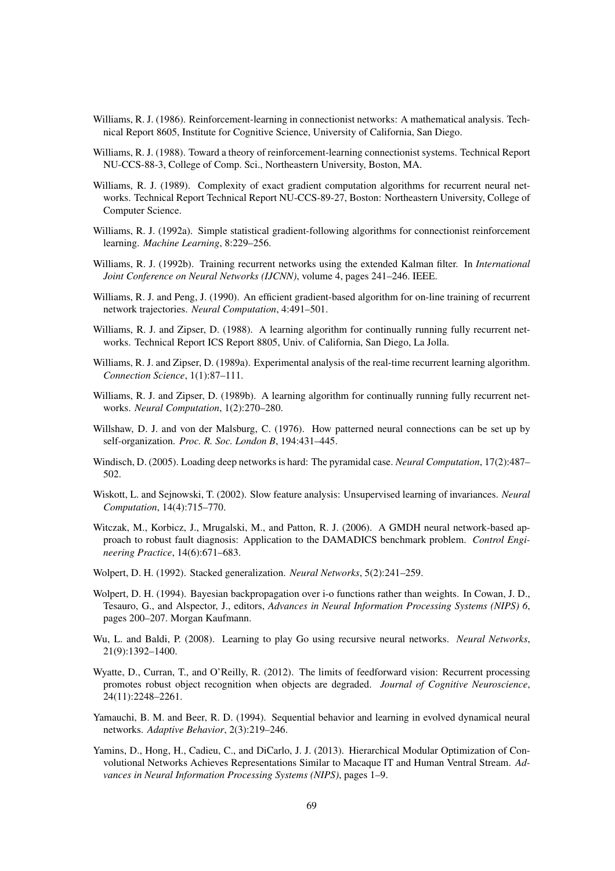- Williams, R. J. (1986). Reinforcement-learning in connectionist networks: A mathematical analysis. Technical Report 8605, Institute for Cognitive Science, University of California, San Diego.
- Williams, R. J. (1988). Toward a theory of reinforcement-learning connectionist systems. Technical Report NU-CCS-88-3, College of Comp. Sci., Northeastern University, Boston, MA.
- Williams, R. J. (1989). Complexity of exact gradient computation algorithms for recurrent neural networks. Technical Report Technical Report NU-CCS-89-27, Boston: Northeastern University, College of Computer Science.
- Williams, R. J. (1992a). Simple statistical gradient-following algorithms for connectionist reinforcement learning. *Machine Learning*, 8:229–256.
- Williams, R. J. (1992b). Training recurrent networks using the extended Kalman filter. In *International Joint Conference on Neural Networks (IJCNN)*, volume 4, pages 241–246. IEEE.
- Williams, R. J. and Peng, J. (1990). An efficient gradient-based algorithm for on-line training of recurrent network trajectories. *Neural Computation*, 4:491–501.
- Williams, R. J. and Zipser, D. (1988). A learning algorithm for continually running fully recurrent networks. Technical Report ICS Report 8805, Univ. of California, San Diego, La Jolla.
- Williams, R. J. and Zipser, D. (1989a). Experimental analysis of the real-time recurrent learning algorithm. *Connection Science*, 1(1):87–111.
- Williams, R. J. and Zipser, D. (1989b). A learning algorithm for continually running fully recurrent networks. *Neural Computation*, 1(2):270–280.
- Willshaw, D. J. and von der Malsburg, C. (1976). How patterned neural connections can be set up by self-organization. *Proc. R. Soc. London B*, 194:431–445.
- Windisch, D. (2005). Loading deep networks is hard: The pyramidal case. *Neural Computation*, 17(2):487– 502.
- Wiskott, L. and Sejnowski, T. (2002). Slow feature analysis: Unsupervised learning of invariances. *Neural Computation*, 14(4):715–770.
- Witczak, M., Korbicz, J., Mrugalski, M., and Patton, R. J. (2006). A GMDH neural network-based approach to robust fault diagnosis: Application to the DAMADICS benchmark problem. *Control Engineering Practice*, 14(6):671–683.
- Wolpert, D. H. (1992). Stacked generalization. *Neural Networks*, 5(2):241–259.
- Wolpert, D. H. (1994). Bayesian backpropagation over i-o functions rather than weights. In Cowan, J. D., Tesauro, G., and Alspector, J., editors, *Advances in Neural Information Processing Systems (NIPS) 6*, pages 200–207. Morgan Kaufmann.
- Wu, L. and Baldi, P. (2008). Learning to play Go using recursive neural networks. *Neural Networks*, 21(9):1392–1400.
- Wyatte, D., Curran, T., and O'Reilly, R. (2012). The limits of feedforward vision: Recurrent processing promotes robust object recognition when objects are degraded. *Journal of Cognitive Neuroscience*, 24(11):2248–2261.
- Yamauchi, B. M. and Beer, R. D. (1994). Sequential behavior and learning in evolved dynamical neural networks. *Adaptive Behavior*, 2(3):219–246.
- Yamins, D., Hong, H., Cadieu, C., and DiCarlo, J. J. (2013). Hierarchical Modular Optimization of Convolutional Networks Achieves Representations Similar to Macaque IT and Human Ventral Stream. *Advances in Neural Information Processing Systems (NIPS)*, pages 1–9.